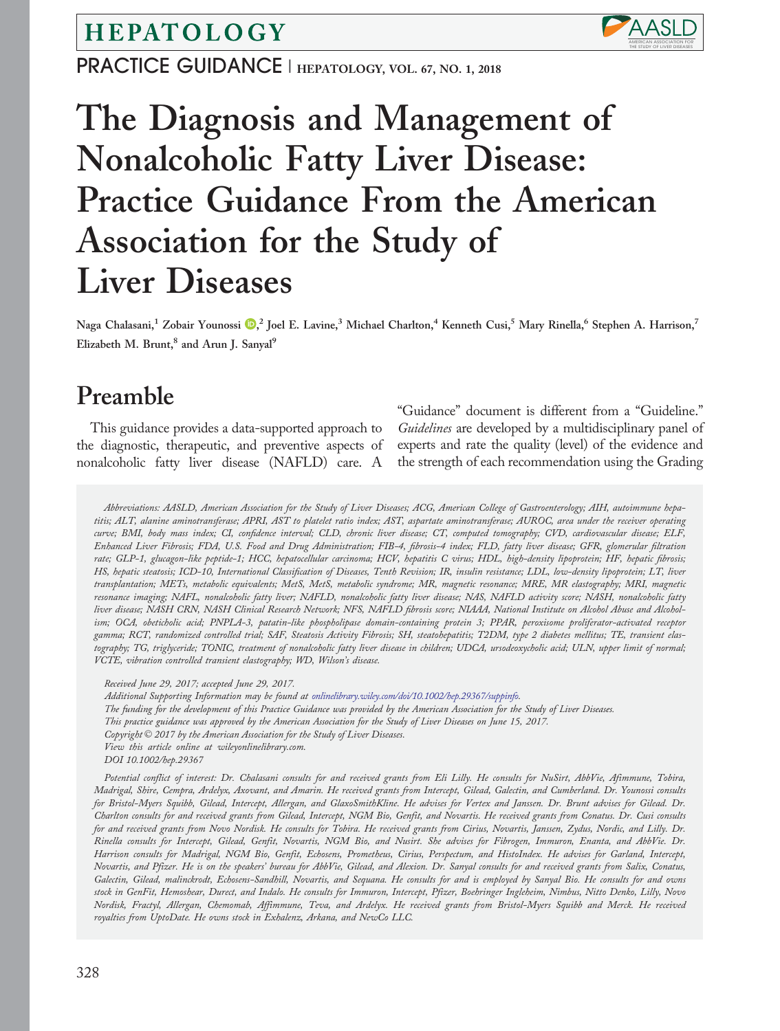HEPATOLOGY

PRACTICE GUIDANCE | HEPATOLOGY, VOL. 67, NO. 1, 2018

# The Diagnosis and Management of Nonalcoholic Fatty Liver Disease: Practice Guidance From the American Association for the Study of Liver Diseases

Naga Chalasani,<sup>1</sup> Zobair Younossi D,<sup>2</sup> Joel E. Lavine,<sup>3</sup> Michael Charlton,<sup>4</sup> Kenneth Cusi,<sup>5</sup> Mary Rinella,<sup>6</sup> Stephen A. Harrison,<sup>7</sup> Elizabeth M. Brunt,<sup>8</sup> and Arun J. Sanyal<sup>9</sup>

## Preamble

This guidance provides a data-supported approach to the diagnostic, therapeutic, and preventive aspects of nonalcoholic fatty liver disease (NAFLD) care. A

"Guidance" document is different from a "Guideline." Guidelines are developed by a multidisciplinary panel of experts and rate the quality (level) of the evidence and the strength of each recommendation using the Grading

THE STUDY OF LIVER DISEASES MERICAN ASSOCIATION FOR

**AASL** 

Abbreviations: AASLD, American Association for the Study of Liver Diseases; ACG, American College of Gastroenterology; AIH, autoimmune hepatitis; ALT, alanine aminotransferase; APRI, AST to platelet ratio index; AST, aspartate aminotransferase; AUROC, area under the receiver operating curve; BMI, body mass index; CI, confidence interval; CLD, chronic liver disease; CT, computed tomography; CVD, cardiovascular disease; ELF, Enhanced Liver Fibrosis; FDA, U.S. Food and Drug Administration; FIB-4, fibrosis-4 index; FLD, fatty liver disease; GFR, glomerular filtration rate; GLP-1, glucagon-like peptide-1; HCC, hepatocellular carcinoma; HCV, hepatitis C virus; HDL, high-density lipoprotein; HF, hepatic fibrosis; HS, hepatic steatosis; ICD-10, International Classification of Diseases, Tenth Revision; IR, insulin resistance; LDL, low-density lipoprotein; LT, liver transplantation; METs, metabolic equivalents; MetS, MetS, metabolic syndrome; MR, magnetic resonance; MRE, MR elastography; MRI, magnetic resonance imaging; NAFL, nonalcoholic fatty liver; NAFLD, nonalcoholic fatty liver disease; NAS, NAFLD activity score; NASH, nonalcoholic fatty liver disease; NASH CRN, NASH Clinical Research Network; NFS, NAFLD fibrosis score; NIAAA, National Institute on Alcohol Abuse and Alcoholism; OCA, obeticholic acid; PNPLA-3, patatin-like phospholipase domain-containing protein 3; PPAR, peroxisome proliferator-activated receptor gamma; RCT, randomized controlled trial; SAF, Steatosis Activity Fibrosis; SH, steatohepatitis; T2DM, type 2 diabetes mellitus; TE, transient elastography; TG, triglyceride; TONIC, treatment of nonalcoholic fatty liver disease in children; UDCA, ursodeoxycholic acid; ULN, upper limit of normal; VCTE, vibration controlled transient elastography; WD, Wilson's disease.

Received June 29, 2017; accepted June 29, 2017. Additional Supporting Information may be found at [onlinelibrary.wiley.com/doi/10.1002/hep.29367/suppinfo.](http://onlinelibrary.wiley.com/doi/10.1002/hep.29367/suppinfo) The funding for the development of this Practice Guidance was provided by the American Association for the Study of Liver Diseases. This practice guidance was approved by the American Association for the Study of Liver Diseases on June 15, 2017. Copyright  $\odot$  2017 by the American Association for the Study of Liver Diseases. View this article online at wileyonlinelibrary.com. DOI 10.1002/hep.29367

Potential conflict of interest: Dr. Chalasani consults for and received grants from Eli Lilly. He consults for NuSirt, AbbVie, Afimmune, Tobira, Madrigal, Shire, Cempra, Ardelyx, Axovant, and Amarin. He received grants from Intercept, Gilead, Galectin, and Cumberland. Dr. Younossi consults for Bristol-Myers Squibb, Gilead, Intercept, Allergan, and GlaxoSmithKline. He advises for Vertex and Janssen. Dr. Brunt advises for Gilead. Dr. Charlton consults for and received grants from Gilead, Intercept, NGM Bio, Genfit, and Novartis. He received grants from Conatus. Dr. Cusi consults for and received grants from Novo Nordisk. He consults for Tobira. He received grants from Cirius, Novartis, Janssen, Zydus, Nordic, and Lilly. Dr. Rinella consults for Intercept, Gilead, Genfit, Novartis, NGM Bio, and Nusirt. She advises for Fibrogen, Immuron, Enanta, and AbbVie. Dr. Harrison consults for Madrigal, NGM Bio, Genfit, Echosens, Prometheus, Cirius, Perspectum, and HistoIndex. He advises for Garland, Intercept, Novartis, and Pfizer. He is on the speakers' bureau for AbbVie, Gilead, and Alexion. Dr. Sanyal consults for and received grants from Salix, Conatus, Galectin, Gilead, malinckrodt, Echosens-Sandhill, Novartis, and Sequana. He consults for and is employed by Sanyal Bio. He consults for and owns stock in GenFit, Hemoshear, Durect, and Indalo. He consults for Immuron, Intercept, Pfizer, Boehringer Ingleheim, Nimbus, Nitto Denko, Lilly, Novo Nordisk, Fractyl, Allergan, Chemomab, Affimmune, Teva, and Ardelyx. He received grants from Bristol-Myers Squibb and Merck. He received royalties from UptoDate. He owns stock in Exhalenz, Arkana, and NewCo LLC.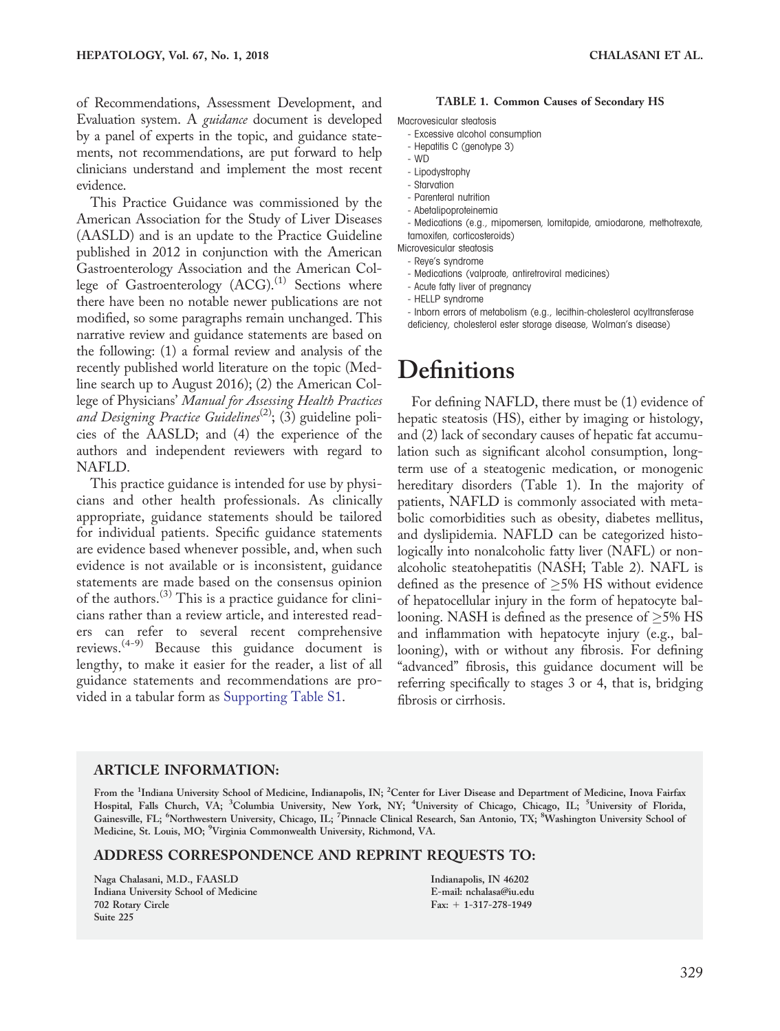of Recommendations, Assessment Development, and Evaluation system. A *guidance* document is developed by a panel of experts in the topic, and guidance statements, not recommendations, are put forward to help clinicians understand and implement the most recent evidence.

This Practice Guidance was commissioned by the American Association for the Study of Liver Diseases (AASLD) and is an update to the Practice Guideline published in 2012 in conjunction with the American Gastroenterology Association and the American College of Gastroenterology  $(ACC)^{(1)}$  Sections where there have been no notable newer publications are not modified, so some paragraphs remain unchanged. This narrative review and guidance statements are based on the following: (1) a formal review and analysis of the recently published world literature on the topic (Medline search up to August 2016); (2) the American College of Physicians' Manual for Assessing Health Practices and Designing Practice Guidelines<sup>(2)</sup>; (3) guideline policies of the AASLD; and (4) the experience of the authors and independent reviewers with regard to NAFLD.

This practice guidance is intended for use by physicians and other health professionals. As clinically appropriate, guidance statements should be tailored for individual patients. Specific guidance statements are evidence based whenever possible, and, when such evidence is not available or is inconsistent, guidance statements are made based on the consensus opinion of the authors.(3) This is a practice guidance for clinicians rather than a review article, and interested readers can refer to several recent comprehensive reviews.(4-9) Because this guidance document is lengthy, to make it easier for the reader, a list of all guidance statements and recommendations are provided in a tabular form as [Supporting Table S1](http://onlinelibrary.wiley.com/doi/10.1002/hep.29367/suppinfo).

#### TABLE 1. Common Causes of Secondary HS

Macrovesicular steatosis

- Excessive alcohol consumption
- Hepatitis C (genotype 3)
- WD
- Lipodystrophy
- Starvation
- Parenteral nutrition
- Abetalipoproteinemia
- Medications (e.g., mipomersen, lomitapide, amiodarone, methotrexate, tamoxifen, corticosteroids)
- Microvesicular steatosis
- Reye's syndrome
- Medications (valproate, antiretroviral medicines)
- Acute fatty liver of pregnancy
- HELLP syndrome

- Inborn errors of metabolism (e.g., lecithin-cholesterol acyltransferase deficiency, cholesterol ester storage disease, Wolman's disease)

## **Definitions**

For defining NAFLD, there must be (1) evidence of hepatic steatosis (HS), either by imaging or histology, and (2) lack of secondary causes of hepatic fat accumulation such as significant alcohol consumption, longterm use of a steatogenic medication, or monogenic hereditary disorders (Table 1). In the majority of patients, NAFLD is commonly associated with metabolic comorbidities such as obesity, diabetes mellitus, and dyslipidemia. NAFLD can be categorized histologically into nonalcoholic fatty liver (NAFL) or nonalcoholic steatohepatitis (NASH; Table 2). NAFL is defined as the presence of  $\geq$ 5% HS without evidence of hepatocellular injury in the form of hepatocyte ballooning. NASH is defined as the presence of  ${\geq}5\%$  HS and inflammation with hepatocyte injury (e.g., ballooning), with or without any fibrosis. For defining "advanced" fibrosis, this guidance document will be referring specifically to stages 3 or 4, that is, bridging fibrosis or cirrhosis.

#### ARTICLE INFORMATION:

From the <sup>1</sup>Indiana University School of Medicine, Indianapolis, IN; <sup>2</sup>Center for Liver Disease and Department of Medicine, Inova Fairfax Hospital, Falls Church, VA; <sup>3</sup>Columbia University, New York, NY; <sup>4</sup>University of Chicago, Chicago, IL; <sup>5</sup>University of Florida, Gainesville, FL; <sup>6</sup>Northwestern University, Chicago, IL; <sup>7</sup>Pinnacle Clinical Research, San Antonio, TX; <sup>8</sup>Washington University School of Medicine, St. Louis, MO; <sup>9</sup>Virginia Commonwealth University, Richmond, VA.

#### ADDRESS CORRESPONDENCE AND REPRINT REQUESTS TO:

Naga Chalasani, M.D., FAASLD Indiana University School of Medicine 702 Rotary Circle Suite 225

Indianapolis, IN 46202 E-mail: nchalasa@iu.edu  $Fax: + 1-317-278-1949$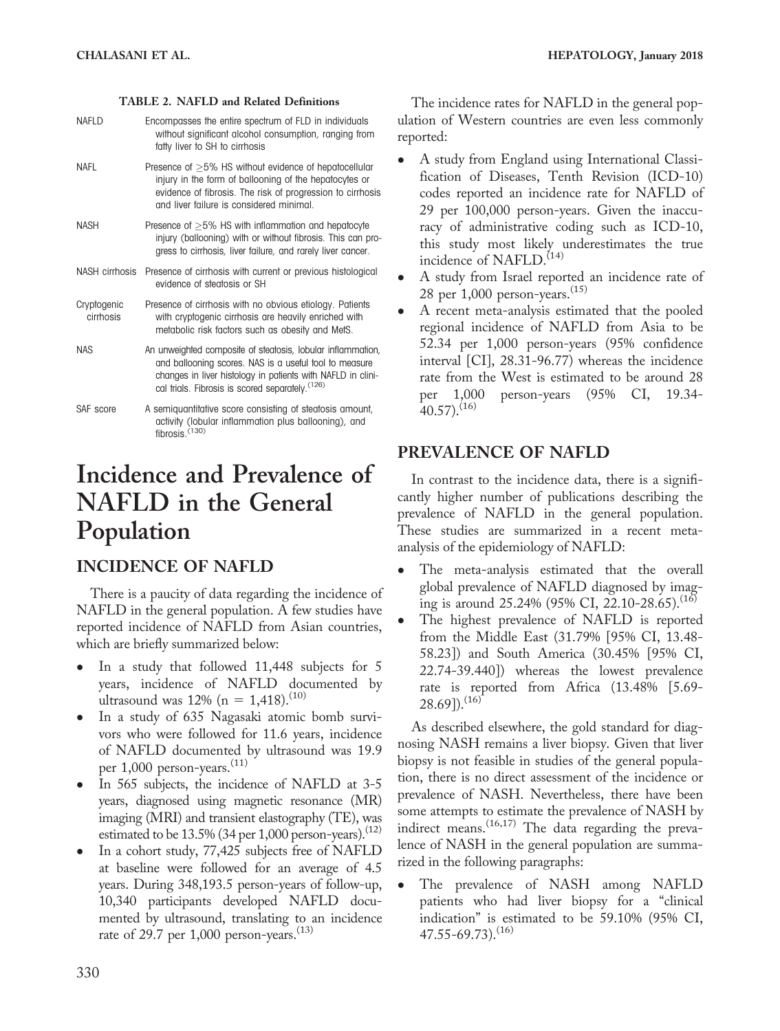#### TABLE 2. NAFLD and Related Definitions

| <b>NAFID</b>             | Encompasses the entire spectrum of FLD in individuals<br>without significant alcohol consumption, ranging from<br>fatty liver to SH to cirrhosis                                                                                         |
|--------------------------|------------------------------------------------------------------------------------------------------------------------------------------------------------------------------------------------------------------------------------------|
| <b>NAFL</b>              | Presence of $>5\%$ HS without evidence of hepatocellular<br>injury in the form of ballooning of the hepatocytes or<br>evidence of fibrosis. The risk of progression to cirrhosis<br>and liver failure is considered minimal.             |
| <b>NASH</b>              | Presence of $>5\%$ HS with inflammation and hepatocyte<br>injury (ballooning) with or without fibrosis. This can pro-<br>gress to cirrhosis, liver failure, and rarely liver cancer.                                                     |
| NASH cirrhosis           | Presence of cirrhosis with current or previous histological<br>evidence of steatosis or SH                                                                                                                                               |
| Cryptogenic<br>cirrhosis | Presence of cirrhosis with no obvious etiology. Patients<br>with cryptogenic cirrhosis are heavily enriched with<br>metabolic risk factors such as obesity and MetS.                                                                     |
| <b>NAS</b>               | An unweighted composite of steatosis, lobular inflammation,<br>and ballooning scores. NAS is a useful tool to measure<br>changes in liver histology in patients with NAFLD in clini-<br>cal trials. Fibrosis is scored separately. (126) |
| SAF score                | A semiquantitative score consisting of steatosis amount,<br>activity (lobular inflammation plus ballooning), and<br>fibrosis. $(130)$                                                                                                    |

## Incidence and Prevalence of NAFLD in the General Population

## INCIDENCE OF NAFLD

There is a paucity of data regarding the incidence of NAFLD in the general population. A few studies have reported incidence of NAFLD from Asian countries, which are briefly summarized below:

- In a study that followed 11,448 subjects for 5 years, incidence of NAFLD documented by ultrasound was  $12\%$  (n = 1,418).<sup>(10)</sup>
- In a study of 635 Nagasaki atomic bomb survivors who were followed for 11.6 years, incidence of NAFLD documented by ultrasound was 19.9 per 1,000 person-years.<sup>(11)</sup>
- In 565 subjects, the incidence of NAFLD at 3-5 years, diagnosed using magnetic resonance (MR) imaging (MRI) and transient elastography (TE), was estimated to be  $13.5\%$  (34 per 1,000 person-years).<sup>(12)</sup>
- In a cohort study, 77,425 subjects free of NAFLD at baseline were followed for an average of 4.5 years. During 348,193.5 person-years of follow-up, 10,340 participants developed NAFLD documented by ultrasound, translating to an incidence rate of 29.7 per  $1,000$  person-years.<sup>(13)</sup>

The incidence rates for NAFLD in the general population of Western countries are even less commonly reported:

- A study from England using International Classification of Diseases, Tenth Revision (ICD-10) codes reported an incidence rate for NAFLD of 29 per 100,000 person-years. Given the inaccuracy of administrative coding such as ICD-10, this study most likely underestimates the true incidence of NAFLD.<sup>(14)</sup>
- A study from Israel reported an incidence rate of 28 per  $1,000$  person-years.<sup> $(15)$ </sup>
- A recent meta-analysis estimated that the pooled regional incidence of NAFLD from Asia to be 52.34 per 1,000 person-years (95% confidence interval [CI], 28.31-96.77) whereas the incidence rate from the West is estimated to be around 28 per 1,000 person-years (95% CI, 19.34-  $40.57$ ).<sup>(16)</sup>

### PREVALENCE OF NAFLD

In contrast to the incidence data, there is a significantly higher number of publications describing the prevalence of NAFLD in the general population. These studies are summarized in a recent metaanalysis of the epidemiology of NAFLD:

- The meta-analysis estimated that the overall global prevalence of NAFLD diagnosed by imaging is around  $25.24\%$  (95% CI, 22.10-28.65).<sup>(16)</sup>
- The highest prevalence of NAFLD is reported from the Middle East (31.79% [95% CI, 13.48- 58.23]) and South America (30.45% [95% CI, 22.74-39.440]) whereas the lowest prevalence rate is reported from Africa (13.48% [5.69-  $28.69$ ]).<sup>(16)</sup>

As described elsewhere, the gold standard for diagnosing NASH remains a liver biopsy. Given that liver biopsy is not feasible in studies of the general population, there is no direct assessment of the incidence or prevalence of NASH. Nevertheless, there have been some attempts to estimate the prevalence of NASH by indirect means.  $(16,17)$  The data regarding the prevalence of NASH in the general population are summarized in the following paragraphs:

 The prevalence of NASH among NAFLD patients who had liver biopsy for a "clinical indication" is estimated to be 59.10% (95% CI,  $47.55 - 69.73$ ).<sup>(16)</sup>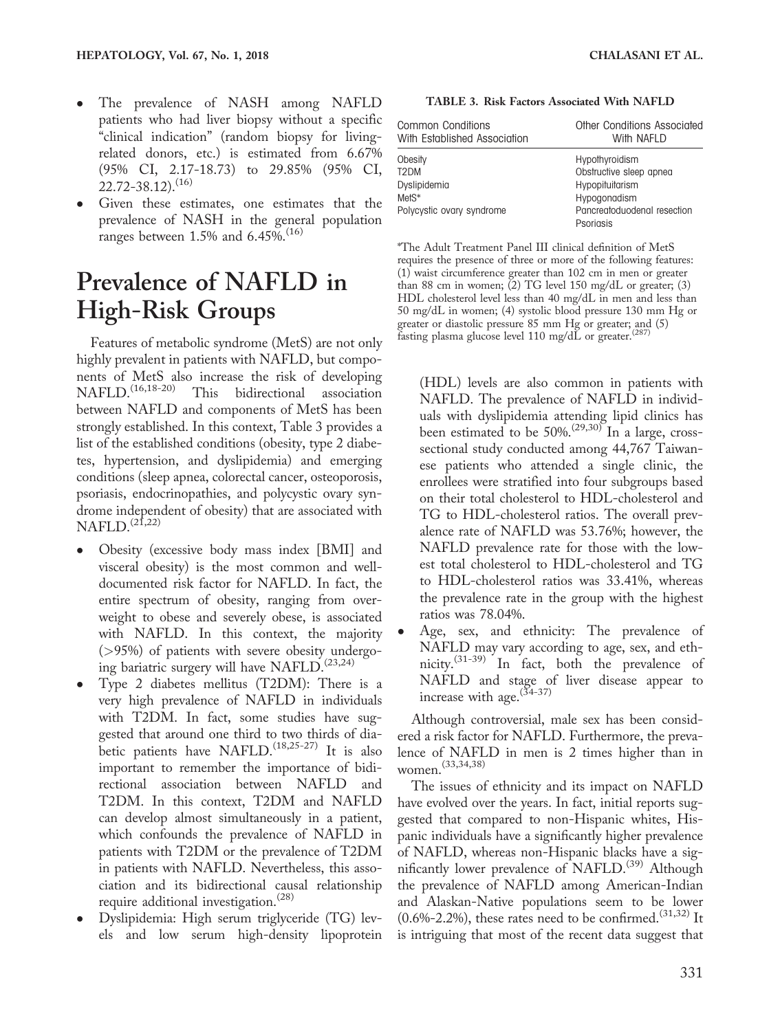- The prevalence of NASH among NAFLD patients who had liver biopsy without a specific "clinical indication" (random biopsy for livingrelated donors, etc.) is estimated from 6.67% (95% CI, 2.17-18.73) to 29.85% (95% CI,  $22.72 - 38.12$ ).<sup>(16)</sup>
- Given these estimates, one estimates that the prevalence of NASH in the general population ranges between 1.5% and 6.45%.<sup>(16)</sup>

## Prevalence of NAFLD in High-Risk Groups

Features of metabolic syndrome (MetS) are not only highly prevalent in patients with NAFLD, but components of MetS also increase the risk of developing<br>NAFLD.<sup>(16,18-20)</sup> This bidirectional association This bidirectional association between NAFLD and components of MetS has been strongly established. In this context, Table 3 provides a list of the established conditions (obesity, type 2 diabetes, hypertension, and dyslipidemia) and emerging conditions (sleep apnea, colorectal cancer, osteoporosis, psoriasis, endocrinopathies, and polycystic ovary syndrome independent of obesity) that are associated with  $NAFLD.$ <sup>(21,22)</sup>

- Obesity (excessive body mass index [BMI] and visceral obesity) is the most common and welldocumented risk factor for NAFLD. In fact, the entire spectrum of obesity, ranging from overweight to obese and severely obese, is associated with NAFLD. In this context, the majority (>95%) of patients with severe obesity undergoing bariatric surgery will have NAFLD.(23,24)
- Type 2 diabetes mellitus (T2DM): There is a very high prevalence of NAFLD in individuals with T2DM. In fact, some studies have suggested that around one third to two thirds of diabetic patients have NAFLD.<sup>(18,25-27)</sup> It is also important to remember the importance of bidirectional association between NAFLD and T2DM. In this context, T2DM and NAFLD can develop almost simultaneously in a patient, which confounds the prevalence of NAFLD in patients with T2DM or the prevalence of T2DM in patients with NAFLD. Nevertheless, this association and its bidirectional causal relationship require additional investigation.<sup>(28)</sup>
- Dyslipidemia: High serum triglyceride (TG) levels and low serum high-density lipoprotein

TABLE 3. Risk Factors Associated With NAFLD

| Common Conditions<br>With Established Association | Other Conditions Associated<br>With NAFLD<br>Hypothyroidism |
|---------------------------------------------------|-------------------------------------------------------------|
| Obesity                                           |                                                             |
| T <sub>2</sub> DM                                 | Obstructive sleep apnea                                     |
| Dyslipidemia                                      | Hypopituitarism                                             |
| Met <sub>S</sub> *                                | Hypogonadism                                                |
| Polycystic ovary syndrome                         | Pancreatoduodenal resection<br>Psoriasis                    |

\*The Adult Treatment Panel III clinical definition of MetS requires the presence of three or more of the following features: (1) waist circumference greater than 102 cm in men or greater than 88 cm in women; (2) TG level 150 mg/dL or greater; (3) HDL cholesterol level less than 40 mg/dL in men and less than 50 mg/dL in women; (4) systolic blood pressure 130 mm Hg or greater or diastolic pressure 85 mm Hg or greater; and (5) fasting plasma glucose level 110 mg/dL or greater.(287)

(HDL) levels are also common in patients with NAFLD. The prevalence of NAFLD in individuals with dyslipidemia attending lipid clinics has been estimated to be  $50\%^{(29,30)}$  In a large, crosssectional study conducted among 44,767 Taiwanese patients who attended a single clinic, the enrollees were stratified into four subgroups based on their total cholesterol to HDL-cholesterol and TG to HDL-cholesterol ratios. The overall prevalence rate of NAFLD was 53.76%; however, the NAFLD prevalence rate for those with the lowest total cholesterol to HDL-cholesterol and TG to HDL-cholesterol ratios was 33.41%, whereas the prevalence rate in the group with the highest ratios was 78.04%.

 Age, sex, and ethnicity: The prevalence of NAFLD may vary according to age, sex, and ethnicity.(31-39) In fact, both the prevalence of NAFLD and stage of liver disease appear to increase with age.  $(34-37)$ 

Although controversial, male sex has been considered a risk factor for NAFLD. Furthermore, the prevalence of NAFLD in men is 2 times higher than in women.(33,34,38)

The issues of ethnicity and its impact on NAFLD have evolved over the years. In fact, initial reports suggested that compared to non-Hispanic whites, Hispanic individuals have a significantly higher prevalence of NAFLD, whereas non-Hispanic blacks have a significantly lower prevalence of NAFLD.<sup>(39)</sup> Although the prevalence of NAFLD among American-Indian and Alaskan-Native populations seem to be lower  $(0.6\text{%-2.2\%})$ , these rates need to be confirmed.<sup> $(31,32)$ </sup> It is intriguing that most of the recent data suggest that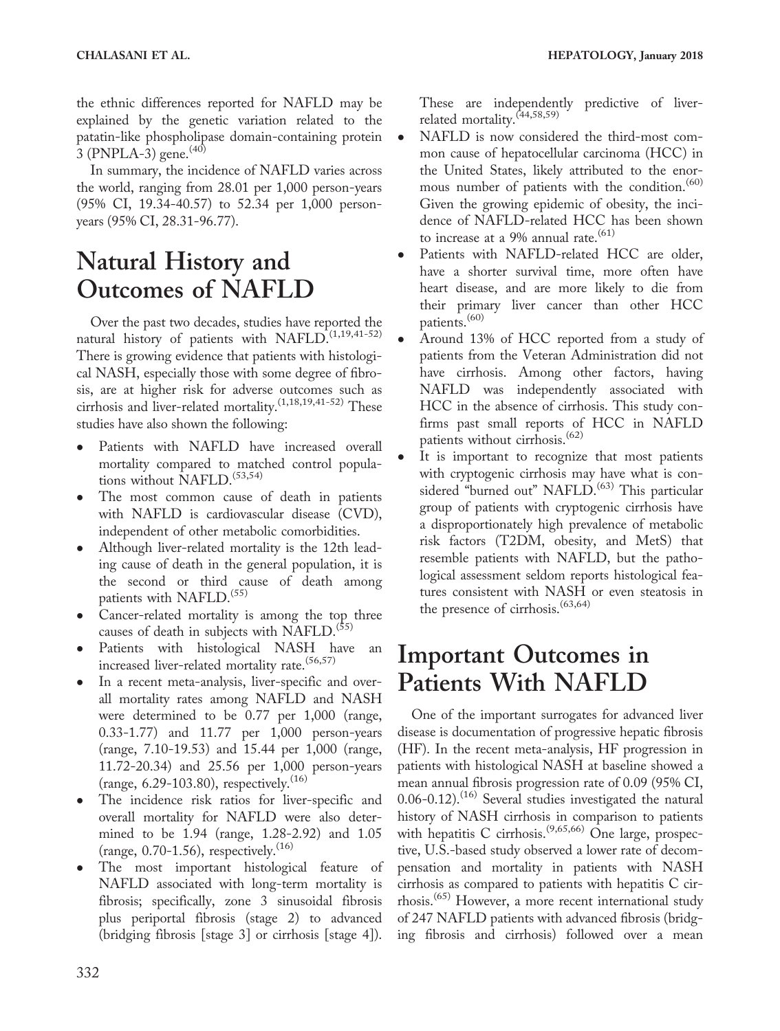the ethnic differences reported for NAFLD may be explained by the genetic variation related to the patatin-like phospholipase domain-containing protein 3 (PNPLA-3) gene.  $(40)$ 

In summary, the incidence of NAFLD varies across the world, ranging from 28.01 per 1,000 person-years (95% CI, 19.34-40.57) to 52.34 per 1,000 personyears (95% CI, 28.31-96.77).

## Natural History and Outcomes of NAFLD

Over the past two decades, studies have reported the natural history of patients with NAFLD.<sup>(1,19,41-52)</sup> There is growing evidence that patients with histological NASH, especially those with some degree of fibrosis, are at higher risk for adverse outcomes such as cirrhosis and liver-related mortality.(1,18,19,41-52) These studies have also shown the following:

- Patients with NAFLD have increased overall mortality compared to matched control populations without NAFLD.<sup>(53,54)</sup>
- The most common cause of death in patients with NAFLD is cardiovascular disease (CVD), independent of other metabolic comorbidities.
- Although liver-related mortality is the 12th leading cause of death in the general population, it is the second or third cause of death among patients with NAFLD.<sup>(55)</sup>
- Cancer-related mortality is among the top three causes of death in subjects with NAFLD.<sup>(55)</sup>
- Patients with histological NASH have an increased liver-related mortality rate.<sup>(56,57)</sup>
- In a recent meta-analysis, liver-specific and overall mortality rates among NAFLD and NASH were determined to be 0.77 per 1,000 (range, 0.33-1.77) and 11.77 per 1,000 person-years (range, 7.10-19.53) and 15.44 per 1,000 (range, 11.72-20.34) and 25.56 per 1,000 person-years (range,  $6.29 - 103.80$ ), respectively.<sup>(16)</sup>
- The incidence risk ratios for liver-specific and overall mortality for NAFLD were also determined to be 1.94 (range, 1.28-2.92) and 1.05 (range,  $0.70$ -1.56), respectively.<sup>(16)</sup>
- The most important histological feature of NAFLD associated with long-term mortality is fibrosis; specifically, zone 3 sinusoidal fibrosis plus periportal fibrosis (stage 2) to advanced (bridging fibrosis [stage 3] or cirrhosis [stage 4]).

These are independently predictive of liverrelated mortality.(44,58,59)

- NAFLD is now considered the third-most common cause of hepatocellular carcinoma (HCC) in the United States, likely attributed to the enormous number of patients with the condition.<sup>(60)</sup> Given the growing epidemic of obesity, the incidence of NAFLD-related HCC has been shown to increase at a 9% annual rate. $(61)$
- Patients with NAFLD-related HCC are older, have a shorter survival time, more often have heart disease, and are more likely to die from their primary liver cancer than other HCC patients.<sup>(60)</sup>
- Around 13% of HCC reported from a study of patients from the Veteran Administration did not have cirrhosis. Among other factors, having NAFLD was independently associated with HCC in the absence of cirrhosis. This study confirms past small reports of HCC in NAFLD patients without cirrhosis.<sup>(62)</sup>
- It is important to recognize that most patients with cryptogenic cirrhosis may have what is considered "burned out" NAFLD.<sup>(63)</sup> This particular group of patients with cryptogenic cirrhosis have a disproportionately high prevalence of metabolic risk factors (T2DM, obesity, and MetS) that resemble patients with NAFLD, but the pathological assessment seldom reports histological features consistent with NASH or even steatosis in the presence of cirrhosis.<sup> $(63,64)$ </sup>

## Important Outcomes in Patients With NAFLD

One of the important surrogates for advanced liver disease is documentation of progressive hepatic fibrosis (HF). In the recent meta-analysis, HF progression in patients with histological NASH at baseline showed a mean annual fibrosis progression rate of 0.09 (95% CI,  $0.06 - 0.12$ .<sup>(16)</sup> Several studies investigated the natural history of NASH cirrhosis in comparison to patients with hepatitis C cirrhosis.<sup>(9,65,66)</sup> One large, prospective, U.S.-based study observed a lower rate of decompensation and mortality in patients with NASH cirrhosis as compared to patients with hepatitis C cirrhosis.<sup>(65)</sup> However, a more recent international study of 247 NAFLD patients with advanced fibrosis (bridging fibrosis and cirrhosis) followed over a mean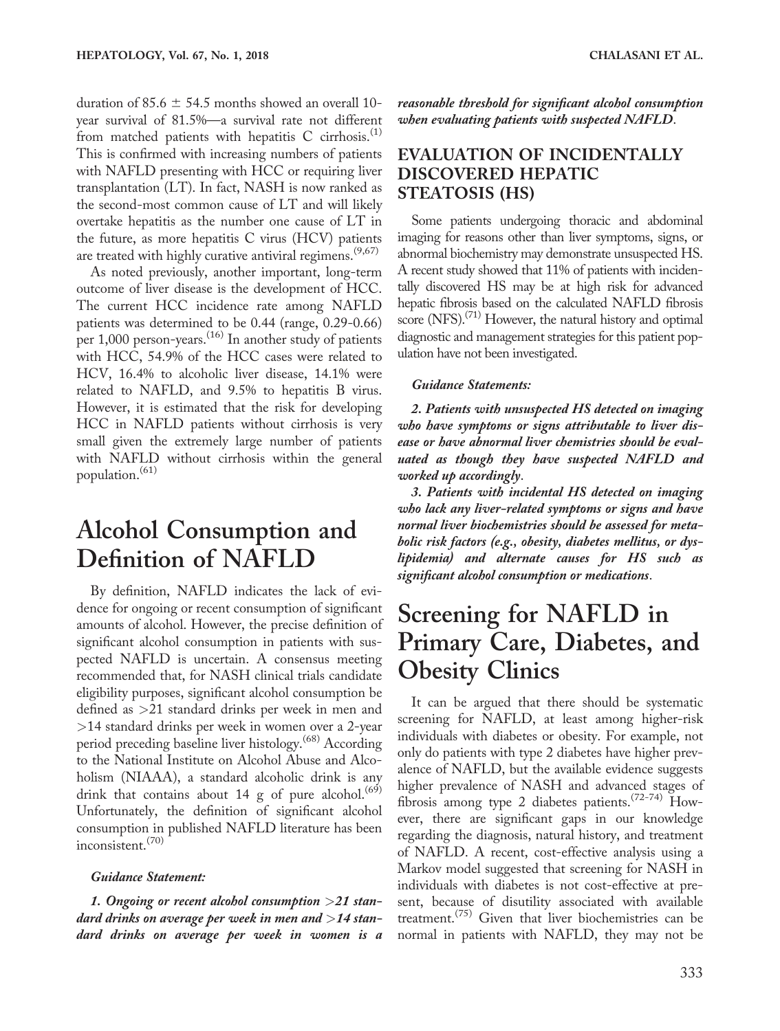duration of 85.6  $\pm$  54.5 months showed an overall 10year survival of 81.5%—a survival rate not different from matched patients with hepatitis  $C$  cirrhosis.<sup>(1)</sup> This is confirmed with increasing numbers of patients with NAFLD presenting with HCC or requiring liver transplantation (LT). In fact, NASH is now ranked as the second-most common cause of LT and will likely overtake hepatitis as the number one cause of LT in the future, as more hepatitis C virus (HCV) patients are treated with highly curative antiviral regimens.<sup> $(9,67)$ </sup>

As noted previously, another important, long-term outcome of liver disease is the development of HCC. The current HCC incidence rate among NAFLD patients was determined to be 0.44 (range, 0.29-0.66) per 1,000 person-years.<sup>(16)</sup> In another study of patients with HCC, 54.9% of the HCC cases were related to HCV, 16.4% to alcoholic liver disease, 14.1% were related to NAFLD, and 9.5% to hepatitis B virus. However, it is estimated that the risk for developing HCC in NAFLD patients without cirrhosis is very small given the extremely large number of patients with NAFLD without cirrhosis within the general population.(61)

## Alcohol Consumption and Definition of NAFLD

By definition, NAFLD indicates the lack of evidence for ongoing or recent consumption of significant amounts of alcohol. However, the precise definition of significant alcohol consumption in patients with suspected NAFLD is uncertain. A consensus meeting recommended that, for NASH clinical trials candidate eligibility purposes, significant alcohol consumption be defined as >21 standard drinks per week in men and >14 standard drinks per week in women over a 2-year period preceding baseline liver histology.<sup>(68)</sup> According to the National Institute on Alcohol Abuse and Alcoholism (NIAAA), a standard alcoholic drink is any drink that contains about 14 g of pure alcohol.<sup> $(69)$ </sup> Unfortunately, the definition of significant alcohol consumption in published NAFLD literature has been inconsistent.(70)

#### Guidance Statement:

1. Ongoing or recent alcohol consumption >21 standard drinks on average per week in men and  $>$ 14 standard drinks on average per week in women is a reasonable threshold for significant alcohol consumption when evaluating patients with suspected NAFLD.

### EVALUATION OF INCIDENTALLY DISCOVERED HEPATIC STEATOSIS (HS)

Some patients undergoing thoracic and abdominal imaging for reasons other than liver symptoms, signs, or abnormal biochemistry may demonstrate unsuspected HS. A recent study showed that 11% of patients with incidentally discovered HS may be at high risk for advanced hepatic fibrosis based on the calculated NAFLD fibrosis score (NFS). $^{(71)}$  However, the natural history and optimal diagnostic and management strategies for this patient population have not been investigated.

#### Guidance Statements:

2. Patients with unsuspected HS detected on imaging who have symptoms or signs attributable to liver disease or have abnormal liver chemistries should be evaluated as though they have suspected NAFLD and worked up accordingly.

3. Patients with incidental HS detected on imaging who lack any liver-related symptoms or signs and have normal liver biochemistries should be assessed for metabolic risk factors (e.g., obesity, diabetes mellitus, or dyslipidemia) and alternate causes for HS such as significant alcohol consumption or medications.

## Screening for NAFLD in Primary Care, Diabetes, and Obesity Clinics

It can be argued that there should be systematic screening for NAFLD, at least among higher-risk individuals with diabetes or obesity. For example, not only do patients with type 2 diabetes have higher prevalence of NAFLD, but the available evidence suggests higher prevalence of NASH and advanced stages of fibrosis among type 2 diabetes patients.<sup> $(72-74)$ </sup> However, there are significant gaps in our knowledge regarding the diagnosis, natural history, and treatment of NAFLD. A recent, cost-effective analysis using a Markov model suggested that screening for NASH in individuals with diabetes is not cost-effective at present, because of disutility associated with available treatment.<sup> $(75)$ </sup> Given that liver biochemistries can be normal in patients with NAFLD, they may not be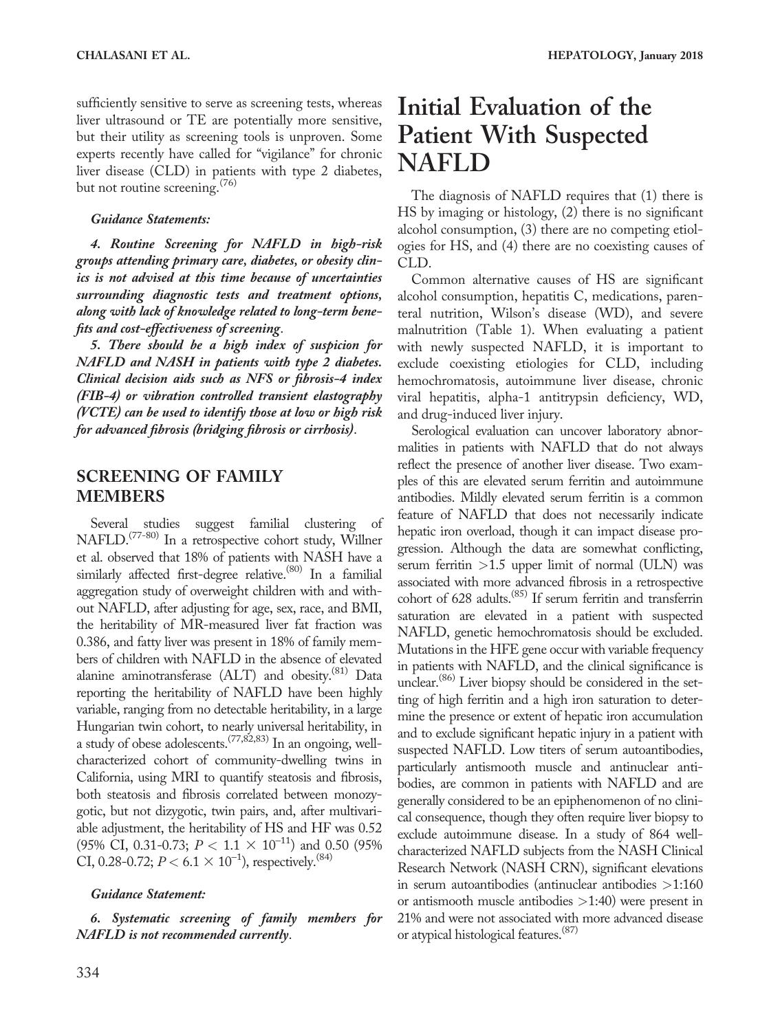sufficiently sensitive to serve as screening tests, whereas liver ultrasound or TE are potentially more sensitive, but their utility as screening tools is unproven. Some experts recently have called for "vigilance" for chronic liver disease (CLD) in patients with type 2 diabetes, but not routine screening.<sup>(76)</sup>

#### Guidance Statements:

4. Routine Screening for NAFLD in high-risk groups attending primary care, diabetes, or obesity clinics is not advised at this time because of uncertainties surrounding diagnostic tests and treatment options, along with lack of knowledge related to long-term benefits and cost-effectiveness of screening.

5. There should be a high index of suspicion for NAFLD and NASH in patients with type 2 diabetes. Clinical decision aids such as NFS or fibrosis-4 index (FIB-4) or vibration controlled transient elastography (VCTE) can be used to identify those at low or high risk for advanced fibrosis (bridging fibrosis or cirrhosis).

### SCREENING OF FAMILY MEMBERS

Several studies suggest familial clustering of NAFLD.(77-80) In a retrospective cohort study, Willner et al. observed that 18% of patients with NASH have a similarly affected first-degree relative.<sup> $(80)$ </sup> In a familial aggregation study of overweight children with and without NAFLD, after adjusting for age, sex, race, and BMI, the heritability of MR-measured liver fat fraction was 0.386, and fatty liver was present in 18% of family members of children with NAFLD in the absence of elevated alanine aminotransferase  $(ALT)$  and obesity.<sup> $(81)$ </sup> Data reporting the heritability of NAFLD have been highly variable, ranging from no detectable heritability, in a large Hungarian twin cohort, to nearly universal heritability, in a study of obese adolescents.<sup>(77,82,83)</sup> In an ongoing, wellcharacterized cohort of community-dwelling twins in California, using MRI to quantify steatosis and fibrosis, both steatosis and fibrosis correlated between monozygotic, but not dizygotic, twin pairs, and, after multivariable adjustment, the heritability of HS and HF was 0.52 (95% CI, 0.31-0.73;  $P < 1.1 \times 10^{-11}$ ) and 0.50 (95% CI, 0.28-0.72;  $P < 6.1 \times 10^{-1}$ ), respectively.<sup>(84)</sup>

#### Guidance Statement:

6. Systematic screening of family members for NAFLD is not recommended currently.

## Initial Evaluation of the Patient With Suspected NAFLD

The diagnosis of NAFLD requires that (1) there is HS by imaging or histology, (2) there is no significant alcohol consumption, (3) there are no competing etiologies for HS, and (4) there are no coexisting causes of CLD.

Common alternative causes of HS are significant alcohol consumption, hepatitis C, medications, parenteral nutrition, Wilson's disease (WD), and severe malnutrition (Table 1). When evaluating a patient with newly suspected NAFLD, it is important to exclude coexisting etiologies for CLD, including hemochromatosis, autoimmune liver disease, chronic viral hepatitis, alpha-1 antitrypsin deficiency, WD, and drug-induced liver injury.

Serological evaluation can uncover laboratory abnormalities in patients with NAFLD that do not always reflect the presence of another liver disease. Two examples of this are elevated serum ferritin and autoimmune antibodies. Mildly elevated serum ferritin is a common feature of NAFLD that does not necessarily indicate hepatic iron overload, though it can impact disease progression. Although the data are somewhat conflicting, serum ferritin  $>1.5$  upper limit of normal (ULN) was associated with more advanced fibrosis in a retrospective cohort of 628 adults.(85) If serum ferritin and transferrin saturation are elevated in a patient with suspected NAFLD, genetic hemochromatosis should be excluded. Mutations in the HFE gene occur with variable frequency in patients with NAFLD, and the clinical significance is unclear.<sup>(86)</sup> Liver biopsy should be considered in the setting of high ferritin and a high iron saturation to determine the presence or extent of hepatic iron accumulation and to exclude significant hepatic injury in a patient with suspected NAFLD. Low titers of serum autoantibodies, particularly antismooth muscle and antinuclear antibodies, are common in patients with NAFLD and are generally considered to be an epiphenomenon of no clinical consequence, though they often require liver biopsy to exclude autoimmune disease. In a study of 864 wellcharacterized NAFLD subjects from the NASH Clinical Research Network (NASH CRN), significant elevations in serum autoantibodies (antinuclear antibodies >1:160 or antismooth muscle antibodies >1:40) were present in 21% and were not associated with more advanced disease or atypical histological features.(87)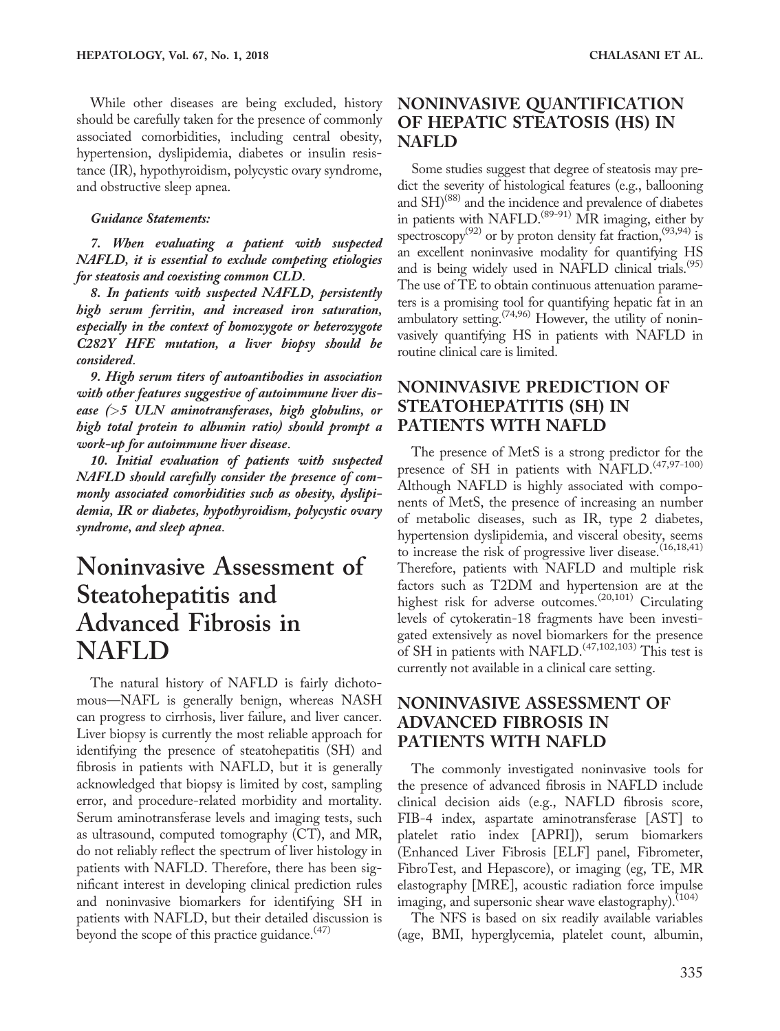While other diseases are being excluded, history should be carefully taken for the presence of commonly associated comorbidities, including central obesity, hypertension, dyslipidemia, diabetes or insulin resistance (IR), hypothyroidism, polycystic ovary syndrome, and obstructive sleep apnea.

#### Guidance Statements:

7. When evaluating a patient with suspected NAFLD, it is essential to exclude competing etiologies for steatosis and coexisting common CLD.

8. In patients with suspected NAFLD, persistently high serum ferritin, and increased iron saturation, especially in the context of homozygote or heterozygote C282Y HFE mutation, a liver biopsy should be considered.

9. High serum titers of autoantibodies in association with other features suggestive of autoimmune liver disease  $(>5$  ULN aminotransferases, high globulins, or high total protein to albumin ratio) should prompt a work-up for autoimmune liver disease.

10. Initial evaluation of patients with suspected NAFLD should carefully consider the presence of commonly associated comorbidities such as obesity, dyslipidemia, IR or diabetes, hypothyroidism, polycystic ovary syndrome, and sleep apnea.

## Noninvasive Assessment of Steatohepatitis and Advanced Fibrosis in NAFLD

The natural history of NAFLD is fairly dichotomous—NAFL is generally benign, whereas NASH can progress to cirrhosis, liver failure, and liver cancer. Liver biopsy is currently the most reliable approach for identifying the presence of steatohepatitis (SH) and fibrosis in patients with NAFLD, but it is generally acknowledged that biopsy is limited by cost, sampling error, and procedure-related morbidity and mortality. Serum aminotransferase levels and imaging tests, such as ultrasound, computed tomography (CT), and MR, do not reliably reflect the spectrum of liver histology in patients with NAFLD. Therefore, there has been significant interest in developing clinical prediction rules and noninvasive biomarkers for identifying SH in patients with NAFLD, but their detailed discussion is beyond the scope of this practice guidance.<sup>(47)</sup>

### NONINVASIVE QUANTIFICATION OF HEPATIC STEATOSIS (HS) IN NAFLD

Some studies suggest that degree of steatosis may predict the severity of histological features (e.g., ballooning and SH)<sup>(88)</sup> and the incidence and prevalence of diabetes in patients with NAFLD.<sup>(89-91)</sup> MR imaging, either by spectroscopy<sup>(92)</sup> or by proton density fat fraction,<sup>(93,94)</sup> is an excellent noninvasive modality for quantifying HS and is being widely used in NAFLD clinical trials.<sup>(95)</sup> The use of TE to obtain continuous attenuation parameters is a promising tool for quantifying hepatic fat in an ambulatory setting.<sup> $(74,96)$ </sup> However, the utility of noninvasively quantifying HS in patients with NAFLD in routine clinical care is limited.

### NONINVASIVE PREDICTION OF STEATOHEPATITIS (SH) IN PATIENTS WITH NAFLD

The presence of MetS is a strong predictor for the presence of SH in patients with NAFLD.<sup>(47,97-100)</sup> Although NAFLD is highly associated with components of MetS, the presence of increasing an number of metabolic diseases, such as IR, type 2 diabetes, hypertension dyslipidemia, and visceral obesity, seems to increase the risk of progressive liver disease.  $(16,18,41)$ Therefore, patients with NAFLD and multiple risk factors such as T2DM and hypertension are at the highest risk for adverse outcomes.<sup>(20,101)</sup> Circulating levels of cytokeratin-18 fragments have been investigated extensively as novel biomarkers for the presence of SH in patients with NAFLD.(47,102,103) This test is currently not available in a clinical care setting.

### NONINVASIVE ASSESSMENT OF ADVANCED FIBROSIS IN PATIENTS WITH NAFLD

The commonly investigated noninvasive tools for the presence of advanced fibrosis in NAFLD include clinical decision aids (e.g., NAFLD fibrosis score, FIB-4 index, aspartate aminotransferase [AST] to platelet ratio index [APRI]), serum biomarkers (Enhanced Liver Fibrosis [ELF] panel, Fibrometer, FibroTest, and Hepascore), or imaging (eg, TE, MR elastography [MRE], acoustic radiation force impulse imaging, and supersonic shear wave elastography).<sup>(104)</sup>

The NFS is based on six readily available variables (age, BMI, hyperglycemia, platelet count, albumin,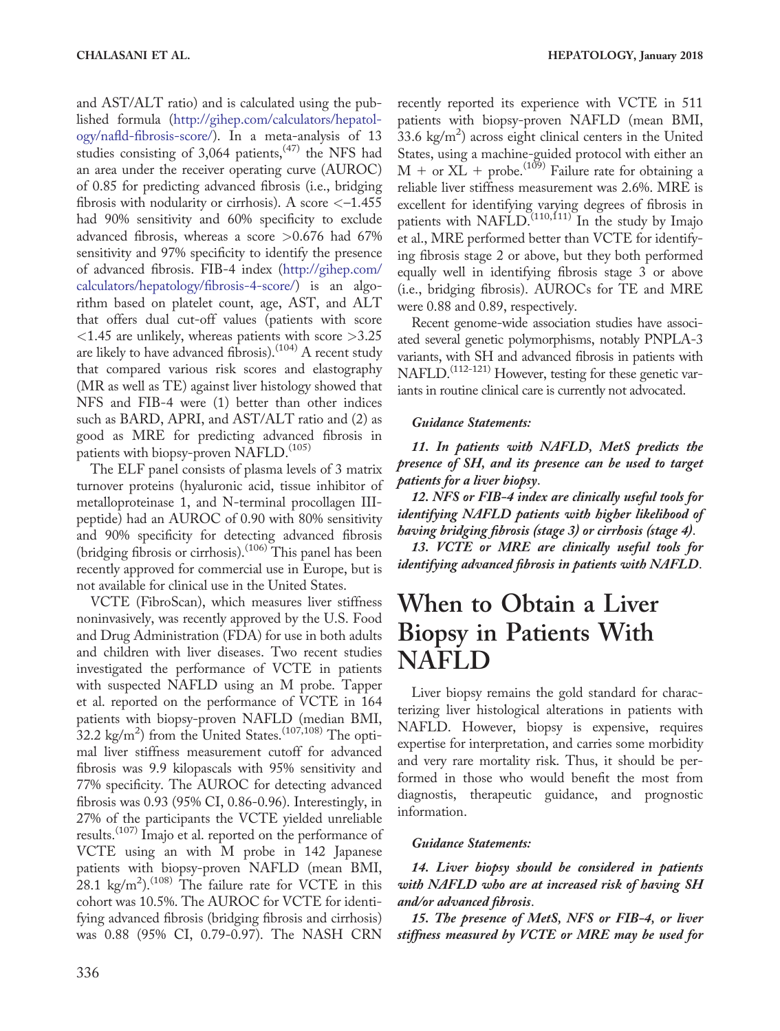and AST/ALT ratio) and is calculated using the published formula [\(http://gihep.com/calculators/hepatol](http://gihep.com/calculators/hepatology/nafld-fibrosis-score/)[ogy/nafld-fibrosis-score/\)](http://gihep.com/calculators/hepatology/nafld-fibrosis-score/). In a meta-analysis of 13 studies consisting of  $3,064$  patients,<sup> $(47)$ </sup> the NFS had an area under the receiver operating curve (AUROC) of 0.85 for predicting advanced fibrosis (i.e., bridging fibrosis with nodularity or cirrhosis). A score  $\langle -1.455 \rangle$ had 90% sensitivity and 60% specificity to exclude advanced fibrosis, whereas a score >0.676 had 67% sensitivity and 97% specificity to identify the presence of advanced fibrosis. FIB-4 index ([http://gihep.com/](http://gihep.com/calculators/hepatology/fibrosis-4-score/) [calculators/hepatology/fibrosis-4-score/\)](http://gihep.com/calculators/hepatology/fibrosis-4-score/) is an algorithm based on platelet count, age, AST, and ALT that offers dual cut-off values (patients with score <1.45 are unlikely, whereas patients with score >3.25 are likely to have advanced fibrosis).<sup> $(104)$ </sup> A recent study that compared various risk scores and elastography (MR as well as TE) against liver histology showed that NFS and FIB-4 were (1) better than other indices such as BARD, APRI, and AST/ALT ratio and (2) as good as MRE for predicting advanced fibrosis in patients with biopsy-proven NAFLD.<sup>(105)</sup>

The ELF panel consists of plasma levels of 3 matrix turnover proteins (hyaluronic acid, tissue inhibitor of metalloproteinase 1, and N-terminal procollagen IIIpeptide) had an AUROC of 0.90 with 80% sensitivity and 90% specificity for detecting advanced fibrosis (bridging fibrosis or cirrhosis).<sup> $(106)$ </sup> This panel has been recently approved for commercial use in Europe, but is not available for clinical use in the United States.

VCTE (FibroScan), which measures liver stiffness noninvasively, was recently approved by the U.S. Food and Drug Administration (FDA) for use in both adults and children with liver diseases. Two recent studies investigated the performance of VCTE in patients with suspected NAFLD using an M probe. Tapper et al. reported on the performance of VCTE in 164 patients with biopsy-proven NAFLD (median BMI,  $32.2 \text{ kg/m}^2$ ) from the United States.<sup>(107,108)</sup> The optimal liver stiffness measurement cutoff for advanced fibrosis was 9.9 kilopascals with 95% sensitivity and 77% specificity. The AUROC for detecting advanced fibrosis was 0.93 (95% CI, 0.86-0.96). Interestingly, in 27% of the participants the VCTE yielded unreliable results.(107) Imajo et al. reported on the performance of VCTE using an with M probe in 142 Japanese patients with biopsy-proven NAFLD (mean BMI, 28.1 kg/m<sup>2</sup>).<sup>(108)</sup> The failure rate for VCTE in this cohort was 10.5%. The AUROC for VCTE for identifying advanced fibrosis (bridging fibrosis and cirrhosis) was 0.88 (95% CI, 0.79-0.97). The NASH CRN

recently reported its experience with VCTE in 511 patients with biopsy-proven NAFLD (mean BMI,  $33.6 \text{ kg/m}^2$ ) across eight clinical centers in the United States, using a machine-guided protocol with either an  $M + or XL + probe.<sup>(109)</sup> Failure rate for obtaining a$ reliable liver stiffness measurement was 2.6%. MRE is excellent for identifying varying degrees of fibrosis in patients with NAFLD. $^{(110,111)}$  In the study by Imajo et al., MRE performed better than VCTE for identifying fibrosis stage 2 or above, but they both performed equally well in identifying fibrosis stage 3 or above (i.e., bridging fibrosis). AUROCs for TE and MRE were 0.88 and 0.89, respectively.

Recent genome-wide association studies have associated several genetic polymorphisms, notably PNPLA-3 variants, with SH and advanced fibrosis in patients with NAFLD.<sup>(112-121)</sup> However, testing for these genetic variants in routine clinical care is currently not advocated.

#### Guidance Statements:

11. In patients with NAFLD, MetS predicts the presence of SH, and its presence can be used to target patients for a liver biopsy.

12. NFS or FIB-4 index are clinically useful tools for identifying NAFLD patients with higher likelihood of having bridging fibrosis (stage 3) or cirrhosis (stage 4).

13. VCTE or MRE are clinically useful tools for identifying advanced fibrosis in patients with NAFLD.

## When to Obtain a Liver Biopsy in Patients With NAFLD

Liver biopsy remains the gold standard for characterizing liver histological alterations in patients with NAFLD. However, biopsy is expensive, requires expertise for interpretation, and carries some morbidity and very rare mortality risk. Thus, it should be performed in those who would benefit the most from diagnostis, therapeutic guidance, and prognostic information.

#### Guidance Statements:

14. Liver biopsy should be considered in patients with NAFLD who are at increased risk of having SH and/or advanced fibrosis.

15. The presence of MetS, NFS or FIB-4, or liver stiffness measured by VCTE or MRE may be used for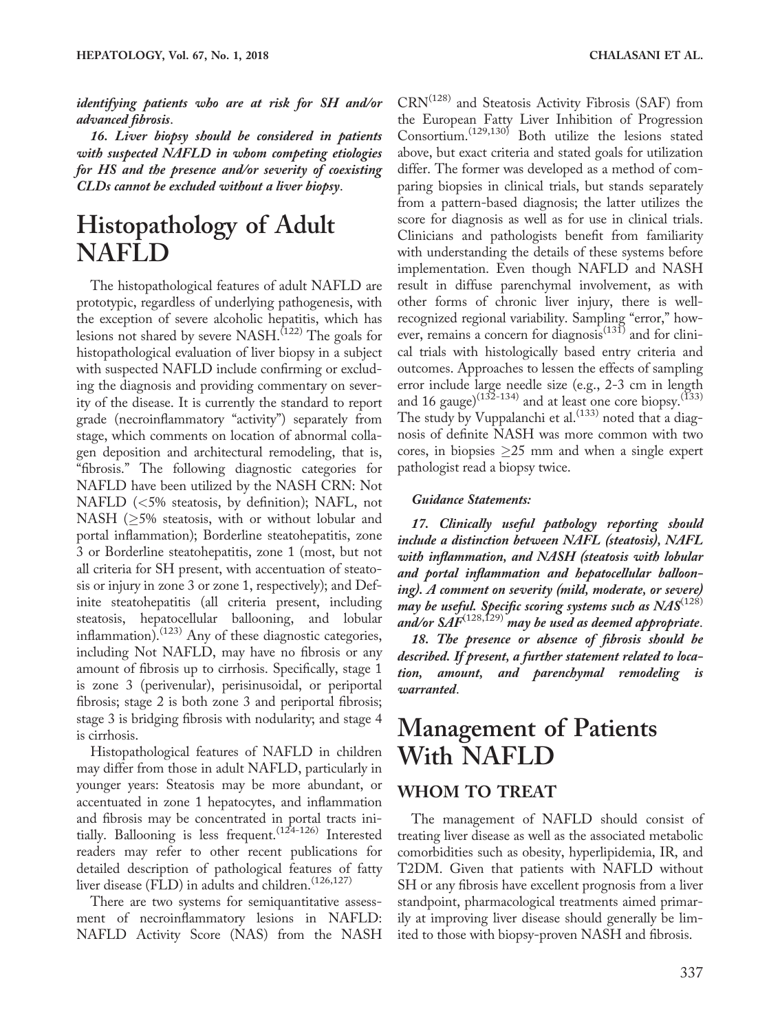identifying patients who are at risk for SH and/or advanced fibrosis.

16. Liver biopsy should be considered in patients with suspected NAFLD in whom competing etiologies for HS and the presence and/or severity of coexisting CLDs cannot be excluded without a liver biopsy.

## Histopathology of Adult NAFLD

The histopathological features of adult NAFLD are prototypic, regardless of underlying pathogenesis, with the exception of severe alcoholic hepatitis, which has lesions not shared by severe  $NASH$ .<sup> $(122)$ </sup> The goals for histopathological evaluation of liver biopsy in a subject with suspected NAFLD include confirming or excluding the diagnosis and providing commentary on severity of the disease. It is currently the standard to report grade (necroinflammatory "activity") separately from stage, which comments on location of abnormal collagen deposition and architectural remodeling, that is, "fibrosis." The following diagnostic categories for NAFLD have been utilized by the NASH CRN: Not NAFLD (<5% steatosis, by definition); NAFL, not NASH ( $\geq$ 5% steatosis, with or without lobular and portal inflammation); Borderline steatohepatitis, zone 3 or Borderline steatohepatitis, zone 1 (most, but not all criteria for SH present, with accentuation of steatosis or injury in zone 3 or zone 1, respectively); and Definite steatohepatitis (all criteria present, including steatosis, hepatocellular ballooning, and lobular inflammation).<sup>(123)</sup> Any of these diagnostic categories, including Not NAFLD, may have no fibrosis or any amount of fibrosis up to cirrhosis. Specifically, stage 1 is zone 3 (perivenular), perisinusoidal, or periportal fibrosis; stage 2 is both zone 3 and periportal fibrosis; stage 3 is bridging fibrosis with nodularity; and stage 4 is cirrhosis.

Histopathological features of NAFLD in children may differ from those in adult NAFLD, particularly in younger years: Steatosis may be more abundant, or accentuated in zone 1 hepatocytes, and inflammation and fibrosis may be concentrated in portal tracts initially. Ballooning is less frequent.<sup>(124-126)</sup> Interested readers may refer to other recent publications for detailed description of pathological features of fatty liver disease (FLD) in adults and children.<sup>(126,127)</sup>

There are two systems for semiquantitative assessment of necroinflammatory lesions in NAFLD: NAFLD Activity Score (NAS) from the NASH CRN(128) and Steatosis Activity Fibrosis (SAF) from the European Fatty Liver Inhibition of Progression Consortium.(129,130) Both utilize the lesions stated above, but exact criteria and stated goals for utilization differ. The former was developed as a method of comparing biopsies in clinical trials, but stands separately from a pattern-based diagnosis; the latter utilizes the score for diagnosis as well as for use in clinical trials. Clinicians and pathologists benefit from familiarity with understanding the details of these systems before implementation. Even though NAFLD and NASH result in diffuse parenchymal involvement, as with other forms of chronic liver injury, there is wellrecognized regional variability. Sampling "error," however, remains a concern for diagnosis<sup>(131)</sup> and for clinical trials with histologically based entry criteria and outcomes. Approaches to lessen the effects of sampling error include large needle size (e.g., 2-3 cm in length and 16 gauge)<sup>(132-134)</sup> and at least one core biopsy.<sup>(133)</sup> The study by Vuppalanchi et al.<sup>(133)</sup> noted that a diagnosis of definite NASH was more common with two cores, in biopsies  $\geq$ 25 mm and when a single expert pathologist read a biopsy twice.

#### Guidance Statements:

17. Clinically useful pathology reporting should include a distinction between NAFL (steatosis), NAFL with inflammation, and NASH (steatosis with lobular and portal inflammation and hepatocellular ballooning). A comment on severity (mild, moderate, or severe) may be useful. Specific scoring systems such as  $N\!A\!S^{(128)}$ and/or  $\widetilde{SAF}^{(128,129)}$  may be used as deemed appropriate.

18. The presence or absence of fibrosis should be described. If present, a further statement related to location, amount, and parenchymal remodeling is warranted.

## Management of Patients With NAFLD

### WHOM TO TREAT

The management of NAFLD should consist of treating liver disease as well as the associated metabolic comorbidities such as obesity, hyperlipidemia, IR, and T2DM. Given that patients with NAFLD without SH or any fibrosis have excellent prognosis from a liver standpoint, pharmacological treatments aimed primarily at improving liver disease should generally be limited to those with biopsy-proven NASH and fibrosis.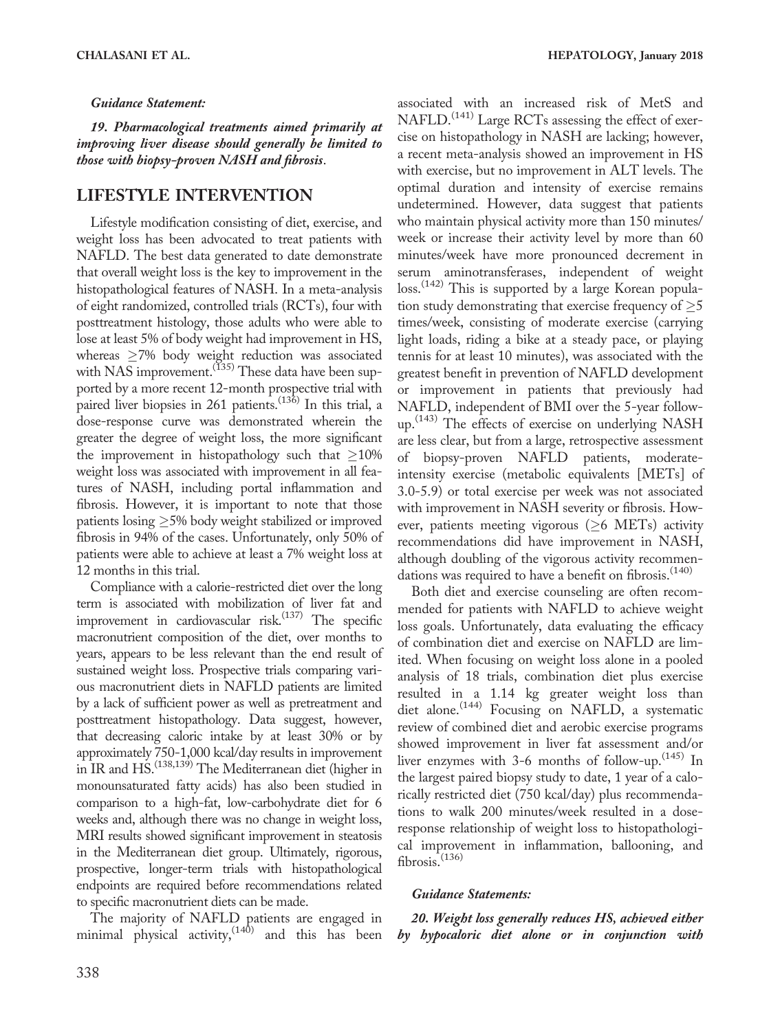#### Guidance Statement:

19. Pharmacological treatments aimed primarily at improving liver disease should generally be limited to those with biopsy-proven NASH and fibrosis.

#### LIFESTYLE INTERVENTION

Lifestyle modification consisting of diet, exercise, and weight loss has been advocated to treat patients with NAFLD. The best data generated to date demonstrate that overall weight loss is the key to improvement in the histopathological features of NASH. In a meta-analysis of eight randomized, controlled trials (RCTs), four with posttreatment histology, those adults who were able to lose at least 5% of body weight had improvement in HS, whereas  $\geq$ 7% body weight reduction was associated with  $NAS$  improvement.<sup>(135)</sup> These data have been supported by a more recent 12-month prospective trial with paired liver biopsies in 261 patients.<sup> $(136)$ </sup> In this trial, a dose-response curve was demonstrated wherein the greater the degree of weight loss, the more significant the improvement in histopathology such that  $\geq$ 10% weight loss was associated with improvement in all features of NASH, including portal inflammation and fibrosis. However, it is important to note that those patients  $\text{losing} \geq$ 5% body weight stabilized or improved fibrosis in 94% of the cases. Unfortunately, only 50% of patients were able to achieve at least a 7% weight loss at 12 months in this trial.

Compliance with a calorie-restricted diet over the long term is associated with mobilization of liver fat and improvement in cardiovascular risk. $(137)$  The specific macronutrient composition of the diet, over months to years, appears to be less relevant than the end result of sustained weight loss. Prospective trials comparing various macronutrient diets in NAFLD patients are limited by a lack of sufficient power as well as pretreatment and posttreatment histopathology. Data suggest, however, that decreasing caloric intake by at least 30% or by approximately 750-1,000 kcal/day results in improvement in IR and HS.<sup>(138,139)</sup> The Mediterranean diet (higher in monounsaturated fatty acids) has also been studied in comparison to a high-fat, low-carbohydrate diet for 6 weeks and, although there was no change in weight loss, MRI results showed significant improvement in steatosis in the Mediterranean diet group. Ultimately, rigorous, prospective, longer-term trials with histopathological endpoints are required before recommendations related to specific macronutrient diets can be made.

The majority of NAFLD patients are engaged in minimal physical activity,  $(140)$  and this has been

associated with an increased risk of MetS and NAFLD.<sup>(141)</sup> Large RCTs assessing the effect of exercise on histopathology in NASH are lacking; however, a recent meta-analysis showed an improvement in HS with exercise, but no improvement in ALT levels. The optimal duration and intensity of exercise remains undetermined. However, data suggest that patients who maintain physical activity more than 150 minutes/ week or increase their activity level by more than 60 minutes/week have more pronounced decrement in serum aminotransferases, independent of weight loss.<sup>(142)</sup> This is supported by a large Korean population study demonstrating that exercise frequency of  $\geq 5$ times/week, consisting of moderate exercise (carrying light loads, riding a bike at a steady pace, or playing tennis for at least 10 minutes), was associated with the greatest benefit in prevention of NAFLD development or improvement in patients that previously had NAFLD, independent of BMI over the 5-year follow $up.<sup>(143)</sup>$  The effects of exercise on underlying NASH are less clear, but from a large, retrospective assessment of biopsy-proven NAFLD patients, moderateintensity exercise (metabolic equivalents [METs] of 3.0-5.9) or total exercise per week was not associated with improvement in NASH severity or fibrosis. However, patients meeting vigorous ( $\geq$ 6 METs) activity recommendations did have improvement in NASH, although doubling of the vigorous activity recommendations was required to have a benefit on fibrosis.<sup>(140)</sup>

Both diet and exercise counseling are often recommended for patients with NAFLD to achieve weight loss goals. Unfortunately, data evaluating the efficacy of combination diet and exercise on NAFLD are limited. When focusing on weight loss alone in a pooled analysis of 18 trials, combination diet plus exercise resulted in a 1.14 kg greater weight loss than diet alone.<sup>(144)</sup> Focusing on NAFLD, a systematic review of combined diet and aerobic exercise programs showed improvement in liver fat assessment and/or liver enzymes with 3-6 months of follow-up.  $(145)$  In the largest paired biopsy study to date, 1 year of a calorically restricted diet (750 kcal/day) plus recommendations to walk 200 minutes/week resulted in a doseresponse relationship of weight loss to histopathological improvement in inflammation, ballooning, and fibrosis. $(136)$ 

#### Guidance Statements:

20. Weight loss generally reduces HS, achieved either by hypocaloric diet alone or in conjunction with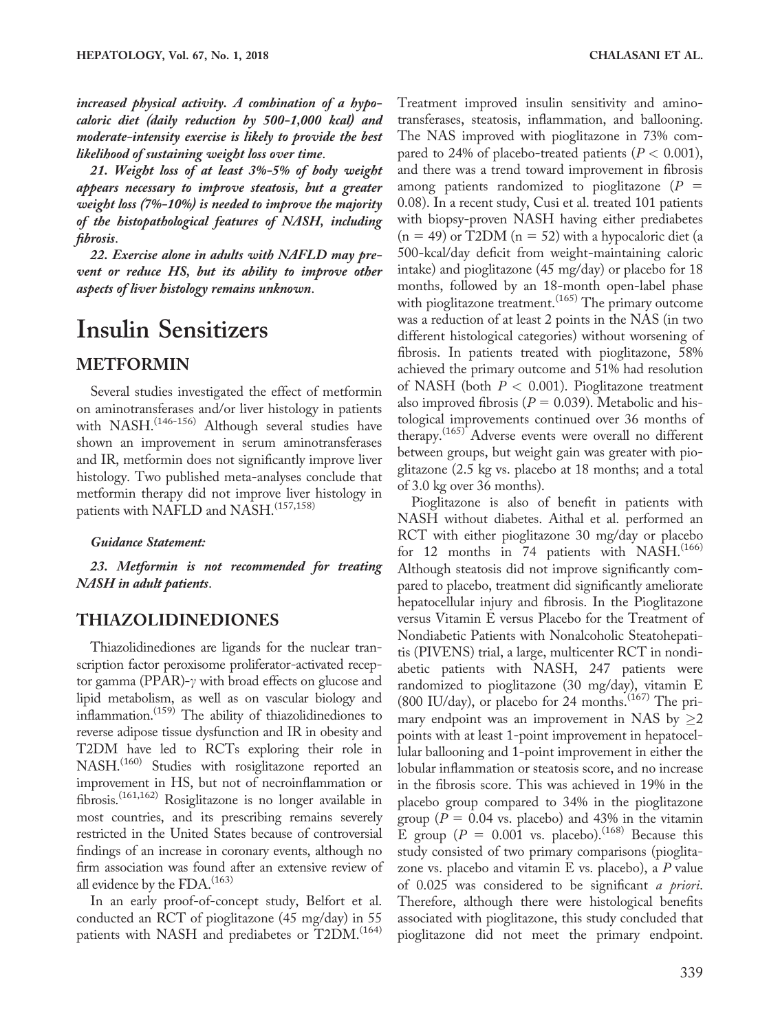moderate-intensity exercise is likely to provide the best likelihood of sustaining weight loss over time.

21. Weight loss of at least 3%-5% of body weight appears necessary to improve steatosis, but a greater weight loss (7%-10%) is needed to improve the majority of the histopathological features of NASH, including fibrosis.

22. Exercise alone in adults with NAFLD may prevent or reduce HS, but its ability to improve other aspects of liver histology remains unknown.

## Insulin Sensitizers

## METFORMIN

Several studies investigated the effect of metformin on aminotransferases and/or liver histology in patients with NASH.<sup>(146-156)</sup> Although several studies have shown an improvement in serum aminotransferases and IR, metformin does not significantly improve liver histology. Two published meta-analyses conclude that metformin therapy did not improve liver histology in patients with NAFLD and NASH.<sup>(157,158)</sup>

#### Guidance Statement:

23. Metformin is not recommended for treating NASH in adult patients.

## THIAZOLIDINEDIONES

Thiazolidinediones are ligands for the nuclear transcription factor peroxisome proliferator-activated receptor gamma (PPAR)- $\gamma$  with broad effects on glucose and lipid metabolism, as well as on vascular biology and inflammation.(159) The ability of thiazolidinediones to reverse adipose tissue dysfunction and IR in obesity and T2DM have led to RCTs exploring their role in NASH.<sup>(160)</sup> Studies with rosiglitazone reported an improvement in HS, but not of necroinflammation or fibrosis.(161,162) Rosiglitazone is no longer available in most countries, and its prescribing remains severely restricted in the United States because of controversial findings of an increase in coronary events, although no firm association was found after an extensive review of all evidence by the FDA. $^{(163)}$ 

In an early proof-of-concept study, Belfort et al. conducted an RCT of pioglitazone (45 mg/day) in 55 patients with NASH and prediabetes or T2DM.<sup>(164)</sup> Treatment improved insulin sensitivity and aminotransferases, steatosis, inflammation, and ballooning. The NAS improved with pioglitazone in 73% compared to 24% of placebo-treated patients ( $P < 0.001$ ), and there was a trend toward improvement in fibrosis among patients randomized to pioglitazone  $(P =$ 0.08). In a recent study, Cusi et al. treated 101 patients with biopsy-proven NASH having either prediabetes  $(n = 49)$  or T2DM  $(n = 52)$  with a hypocaloric diet (a 500-kcal/day deficit from weight-maintaining caloric intake) and pioglitazone (45 mg/day) or placebo for 18 months, followed by an 18-month open-label phase with pioglitazone treatment.<sup>(165)</sup> The primary outcome was a reduction of at least 2 points in the NAS (in two different histological categories) without worsening of fibrosis. In patients treated with pioglitazone, 58% achieved the primary outcome and 51% had resolution of NASH (both  $P < 0.001$ ). Pioglitazone treatment also improved fibrosis ( $P = 0.039$ ). Metabolic and histological improvements continued over 36 months of therapy.<sup>(165)</sup> Adverse events were overall no different between groups, but weight gain was greater with pioglitazone (2.5 kg vs. placebo at 18 months; and a total of 3.0 kg over 36 months).

Pioglitazone is also of benefit in patients with NASH without diabetes. Aithal et al. performed an RCT with either pioglitazone 30 mg/day or placebo for 12 months in 74 patients with NASH.<sup>(166)</sup> Although steatosis did not improve significantly compared to placebo, treatment did significantly ameliorate hepatocellular injury and fibrosis. In the Pioglitazone versus Vitamin E versus Placebo for the Treatment of Nondiabetic Patients with Nonalcoholic Steatohepatitis (PIVENS) trial, a large, multicenter RCT in nondiabetic patients with NASH, 247 patients were randomized to pioglitazone (30 mg/day), vitamin E (800 IU/day), or placebo for 24 months. $(167)$  The primary endpoint was an improvement in NAS by  $\geq$ 2 points with at least 1-point improvement in hepatocellular ballooning and 1-point improvement in either the lobular inflammation or steatosis score, and no increase in the fibrosis score. This was achieved in 19% in the placebo group compared to 34% in the pioglitazone group ( $P = 0.04$  vs. placebo) and 43% in the vitamin E group ( $P = 0.001$  vs. placebo).<sup>(168)</sup> Because this study consisted of two primary comparisons (pioglitazone vs. placebo and vitamin  $E$  vs. placebo), a  $P$  value of 0.025 was considered to be significant a priori. Therefore, although there were histological benefits associated with pioglitazone, this study concluded that pioglitazone did not meet the primary endpoint.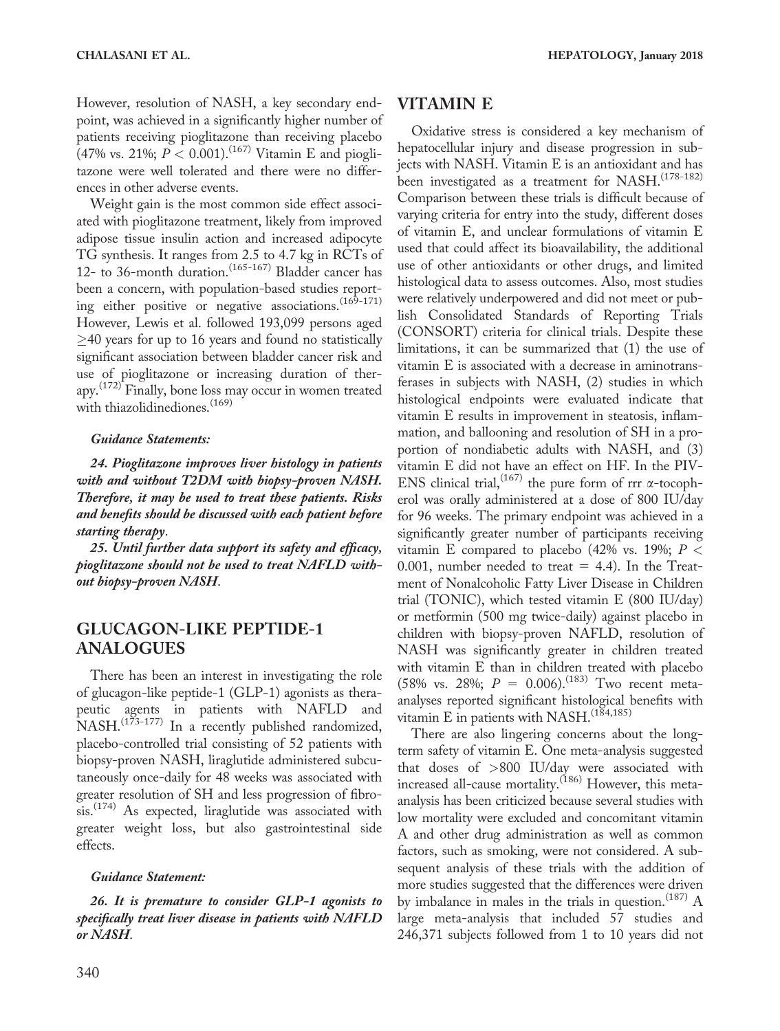However, resolution of NASH, a key secondary endpoint, was achieved in a significantly higher number of patients receiving pioglitazone than receiving placebo (47% vs. 21%;  $P < 0.001$ ).<sup>(167)</sup> Vitamin E and pioglitazone were well tolerated and there were no differences in other adverse events.

Weight gain is the most common side effect associated with pioglitazone treatment, likely from improved adipose tissue insulin action and increased adipocyte TG synthesis. It ranges from 2.5 to 4.7 kg in RCTs of 12- to 36-month duration.<sup>(165-167)</sup> Bladder cancer has been a concern, with population-based studies reporting either positive or negative associations.<sup>(169-171)</sup> However, Lewis et al. followed 193,099 persons aged  $\geq$ 40 years for up to 16 years and found no statistically significant association between bladder cancer risk and use of pioglitazone or increasing duration of therapy.(172) Finally, bone loss may occur in women treated with thiazolidinediones.<sup>(169)</sup>

#### Guidance Statements:

24. Pioglitazone improves liver histology in patients with and without T2DM with biopsy-proven NASH. Therefore, it may be used to treat these patients. Risks and benefits should be discussed with each patient before starting therapy.

25. Until further data support its safety and efficacy, pioglitazone should not be used to treat NAFLD without biopsy-proven NASH.

### GLUCAGON-LIKE PEPTIDE-1 ANALOGUES

There has been an interest in investigating the role of glucagon-like peptide-1 (GLP-1) agonists as therapeutic agents in patients with NAFLD and NASH.<sup>(173-177)</sup> In a recently published randomized, placebo-controlled trial consisting of 52 patients with biopsy-proven NASH, liraglutide administered subcutaneously once-daily for 48 weeks was associated with greater resolution of SH and less progression of fibrosis.<sup>(174)</sup> As expected, liraglutide was associated with greater weight loss, but also gastrointestinal side effects.

#### Guidance Statement:

26. It is premature to consider GLP-1 agonists to specifically treat liver disease in patients with NAFLD or NASH.

### VITAMIN E

Oxidative stress is considered a key mechanism of hepatocellular injury and disease progression in subjects with NASH. Vitamin E is an antioxidant and has been investigated as a treatment for NASH.<sup>(178-182)</sup> Comparison between these trials is difficult because of varying criteria for entry into the study, different doses of vitamin E, and unclear formulations of vitamin E used that could affect its bioavailability, the additional use of other antioxidants or other drugs, and limited histological data to assess outcomes. Also, most studies were relatively underpowered and did not meet or publish Consolidated Standards of Reporting Trials (CONSORT) criteria for clinical trials. Despite these limitations, it can be summarized that (1) the use of vitamin E is associated with a decrease in aminotransferases in subjects with NASH, (2) studies in which histological endpoints were evaluated indicate that vitamin E results in improvement in steatosis, inflammation, and ballooning and resolution of SH in a proportion of nondiabetic adults with NASH, and (3) vitamin E did not have an effect on HF. In the PIV-ENS clinical trial,  $(167)$  the pure form of rrr  $\alpha$ -tocopherol was orally administered at a dose of 800 IU/day for 96 weeks. The primary endpoint was achieved in a significantly greater number of participants receiving vitamin E compared to placebo (42% vs. 19%;  $P <$ 0.001, number needed to treat  $=$  4.4). In the Treatment of Nonalcoholic Fatty Liver Disease in Children trial (TONIC), which tested vitamin E (800 IU/day) or metformin (500 mg twice-daily) against placebo in children with biopsy-proven NAFLD, resolution of NASH was significantly greater in children treated with vitamin E than in children treated with placebo (58% vs. 28%;  $P = 0.006$ ).<sup>(183)</sup> Two recent metaanalyses reported significant histological benefits with vitamin E in patients with NASH.<sup>(184,185)</sup>

There are also lingering concerns about the longterm safety of vitamin E. One meta-analysis suggested that doses of >800 IU/day were associated with increased all-cause mortality.<sup>(186)</sup> However, this metaanalysis has been criticized because several studies with low mortality were excluded and concomitant vitamin A and other drug administration as well as common factors, such as smoking, were not considered. A subsequent analysis of these trials with the addition of more studies suggested that the differences were driven by imbalance in males in the trials in question.<sup>(187)</sup>  $A$ large meta-analysis that included 57 studies and 246,371 subjects followed from 1 to 10 years did not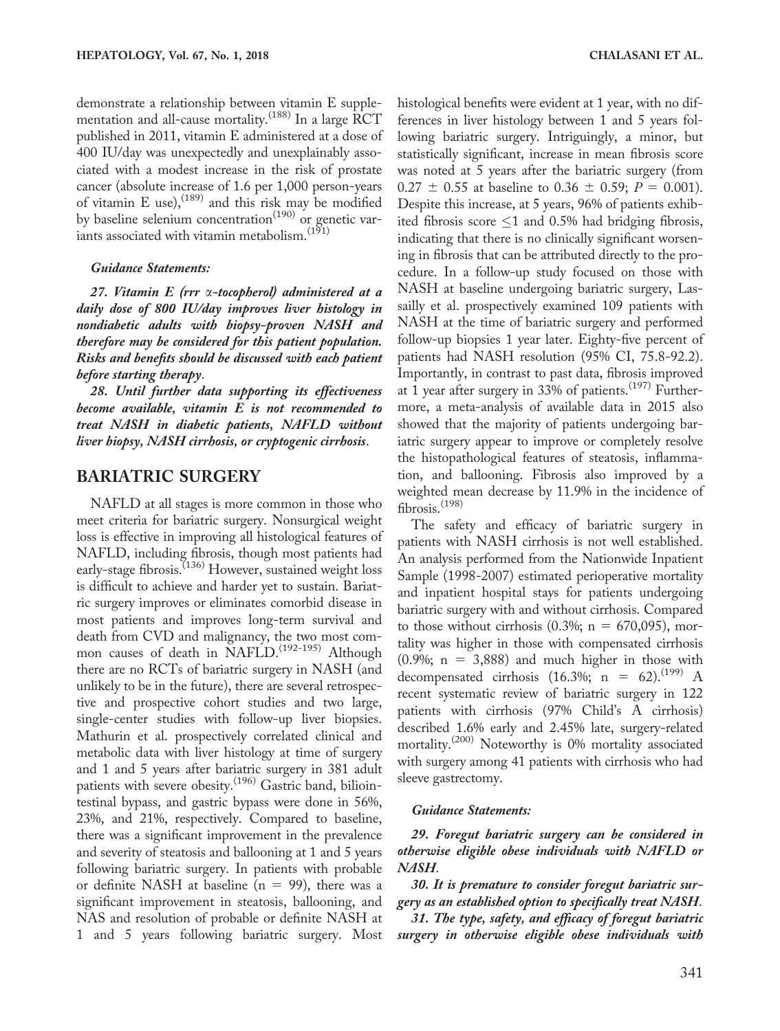demonstrate a relationship between vitamin E supplementation and all-cause mortality.<sup>(188)</sup> In a large RCT published in 2011, vitamin E administered at a dose of 400 IU/day was unexpectedly and unexplainably associated with a modest increase in the risk of prostate cancer (absolute increase of 1.6 per 1,000 person-years of vitamin E use),  $(189)$  and this risk may be modified by baseline selenium concentration<sup>(190)</sup> or genetic variants associated with vitamin metabolism.  $(191)$ 

#### Guidance Statements:

27. Vitamin E (rrr a-tocopherol) administered at a daily dose of 800 IU/day improves liver histology in nondiabetic adults with biopsy-proven NASH and therefore may be considered for this patient population. Risks and benefits should be discussed with each patient before starting therapy.

28. Until further data supporting its effectiveness become available, vitamin E is not recommended to treat NASH in diabetic patients, NAFLD without liver biopsy, NASH cirrhosis, or cryptogenic cirrhosis.

#### BARIATRIC SURGERY

NAFLD at all stages is more common in those who meet criteria for bariatric surgery. Nonsurgical weight loss is effective in improving all histological features of NAFLD, including fibrosis, though most patients had early-stage fibrosis.<sup>(136)</sup> However, sustained weight loss is difficult to achieve and harder yet to sustain. Bariatric surgery improves or eliminates comorbid disease in most patients and improves long-term survival and death from CVD and malignancy, the two most common causes of death in NAFLD.<sup>(192-195)</sup> Although there are no RCTs of bariatric surgery in NASH (and unlikely to be in the future), there are several retrospective and prospective cohort studies and two large, single-center studies with follow-up liver biopsies. Mathurin et al. prospectively correlated clinical and metabolic data with liver histology at time of surgery and 1 and 5 years after bariatric surgery in 381 adult patients with severe obesity.<sup>(196)</sup> Gastric band, biliointestinal bypass, and gastric bypass were done in 56%, 23%, and 21%, respectively. Compared to baseline, there was a significant improvement in the prevalence and severity of steatosis and ballooning at 1 and 5 years following bariatric surgery. In patients with probable or definite NASH at baseline ( $n = 99$ ), there was a significant improvement in steatosis, ballooning, and NAS and resolution of probable or definite NASH at 1 and 5 years following bariatric surgery. Most histological benefits were evident at 1 year, with no differences in liver histology between 1 and 5 years following bariatric surgery. Intriguingly, a minor, but statistically significant, increase in mean fibrosis score was noted at 5 years after the bariatric surgery (from  $0.27 \pm 0.55$  at baseline to  $0.36 \pm 0.59$ ;  $P = 0.001$ ). Despite this increase, at 5 years, 96% of patients exhibited fibrosis score  $\leq$ 1 and 0.5% had bridging fibrosis, indicating that there is no clinically significant worsening in fibrosis that can be attributed directly to the procedure. In a follow-up study focused on those with NASH at baseline undergoing bariatric surgery, Lassailly et al. prospectively examined 109 patients with NASH at the time of bariatric surgery and performed follow-up biopsies 1 year later. Eighty-five percent of patients had NASH resolution (95% CI, 75.8-92.2). Importantly, in contrast to past data, fibrosis improved at 1 year after surgery in 33% of patients.<sup> $(197)$ </sup> Furthermore, a meta-analysis of available data in 2015 also showed that the majority of patients undergoing bariatric surgery appear to improve or completely resolve the histopathological features of steatosis, inflammation, and ballooning. Fibrosis also improved by a weighted mean decrease by 11.9% in the incidence of fibrosis.<sup>(198)</sup>

The safety and efficacy of bariatric surgery in patients with NASH cirrhosis is not well established. An analysis performed from the Nationwide Inpatient Sample (1998-2007) estimated perioperative mortality and inpatient hospital stays for patients undergoing bariatric surgery with and without cirrhosis. Compared to those without cirrhosis  $(0.3\%; n = 670,095)$ , mortality was higher in those with compensated cirrhosis  $(0.9\%; n = 3,888)$  and much higher in those with decompensated cirrhosis (16.3%; n = 62).<sup>(199)</sup> A recent systematic review of bariatric surgery in 122 patients with cirrhosis (97% Child's A cirrhosis) described 1.6% early and 2.45% late, surgery-related mortality.<sup>(200)</sup> Noteworthy is 0% mortality associated with surgery among 41 patients with cirrhosis who had sleeve gastrectomy.

#### Guidance Statements:

29. Foregut bariatric surgery can be considered in otherwise eligible obese individuals with NAFLD or NASH.

30. It is premature to consider foregut bariatric surgery as an established option to specifically treat NASH.

31. The type, safety, and efficacy of foregut bariatric surgery in otherwise eligible obese individuals with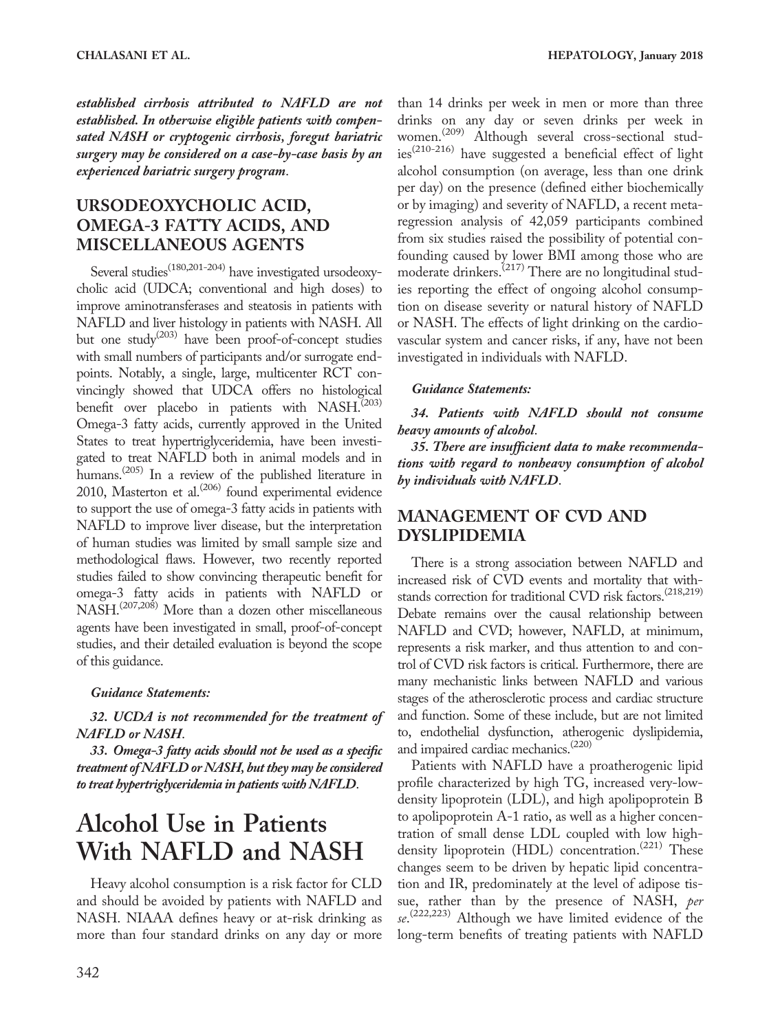established cirrhosis attributed to NAFLD are not established. In otherwise eligible patients with compensated NASH or cryptogenic cirrhosis, foregut bariatric surgery may be considered on a case-by-case basis by an experienced bariatric surgery program.

## URSODEOXYCHOLIC ACID, OMEGA-3 FATTY ACIDS, AND MISCELLANEOUS AGENTS

Several studies<sup>(180,201-204)</sup> have investigated ursodeoxycholic acid (UDCA; conventional and high doses) to improve aminotransferases and steatosis in patients with NAFLD and liver histology in patients with NASH. All but one study<sup> $(203)$ </sup> have been proof-of-concept studies with small numbers of participants and/or surrogate endpoints. Notably, a single, large, multicenter RCT convincingly showed that UDCA offers no histological benefit over placebo in patients with NASH.<sup>(203)</sup> Omega-3 fatty acids, currently approved in the United States to treat hypertriglyceridemia, have been investigated to treat NAFLD both in animal models and in humans.(205) In a review of the published literature in 2010, Masterton et al.<sup>(206)</sup> found experimental evidence to support the use of omega-3 fatty acids in patients with NAFLD to improve liver disease, but the interpretation of human studies was limited by small sample size and methodological flaws. However, two recently reported studies failed to show convincing therapeutic benefit for omega-3 fatty acids in patients with NAFLD or NASH.(207,208) More than a dozen other miscellaneous agents have been investigated in small, proof-of-concept studies, and their detailed evaluation is beyond the scope of this guidance.

#### Guidance Statements:

32. UCDA is not recommended for the treatment of NAFLD or NASH.

33. Omega-3 fatty acids should not be used as a specific treatment of NAFLD or NASH, but they may be considered to treat hypertriglyceridemia in patients with NAFLD.

## Alcohol Use in Patients With NAFLD and NASH

Heavy alcohol consumption is a risk factor for CLD and should be avoided by patients with NAFLD and NASH. NIAAA defines heavy or at-risk drinking as more than four standard drinks on any day or more than 14 drinks per week in men or more than three drinks on any day or seven drinks per week in women.(209) Although several cross-sectional stud- $\sum_{i=1}^{\infty}$  ies<sup>(210-216)</sup> have suggested a beneficial effect of light alcohol consumption (on average, less than one drink per day) on the presence (defined either biochemically or by imaging) and severity of NAFLD, a recent metaregression analysis of 42,059 participants combined from six studies raised the possibility of potential confounding caused by lower BMI among those who are moderate drinkers.(217) There are no longitudinal studies reporting the effect of ongoing alcohol consumption on disease severity or natural history of NAFLD or NASH. The effects of light drinking on the cardiovascular system and cancer risks, if any, have not been investigated in individuals with NAFLD.

#### Guidance Statements:

34. Patients with NAFLD should not consume heavy amounts of alcohol.

35. There are insufficient data to make recommendations with regard to nonheavy consumption of alcohol by individuals with NAFLD.

### MANAGEMENT OF CVD AND DYSLIPIDEMIA

There is a strong association between NAFLD and increased risk of CVD events and mortality that withstands correction for traditional CVD risk factors.<sup>(218,219)</sup> Debate remains over the causal relationship between NAFLD and CVD; however, NAFLD, at minimum, represents a risk marker, and thus attention to and control of CVD risk factors is critical. Furthermore, there are many mechanistic links between NAFLD and various stages of the atherosclerotic process and cardiac structure and function. Some of these include, but are not limited to, endothelial dysfunction, atherogenic dyslipidemia, and impaired cardiac mechanics.<sup>(220)</sup>

Patients with NAFLD have a proatherogenic lipid profile characterized by high TG, increased very-lowdensity lipoprotein (LDL), and high apolipoprotein B to apolipoprotein A-1 ratio, as well as a higher concentration of small dense LDL coupled with low highdensity lipoprotein (HDL) concentration.<sup>(221)</sup> These changes seem to be driven by hepatic lipid concentration and IR, predominately at the level of adipose tissue, rather than by the presence of NASH, per se.<sup>(222,223)</sup> Although we have limited evidence of the long-term benefits of treating patients with NAFLD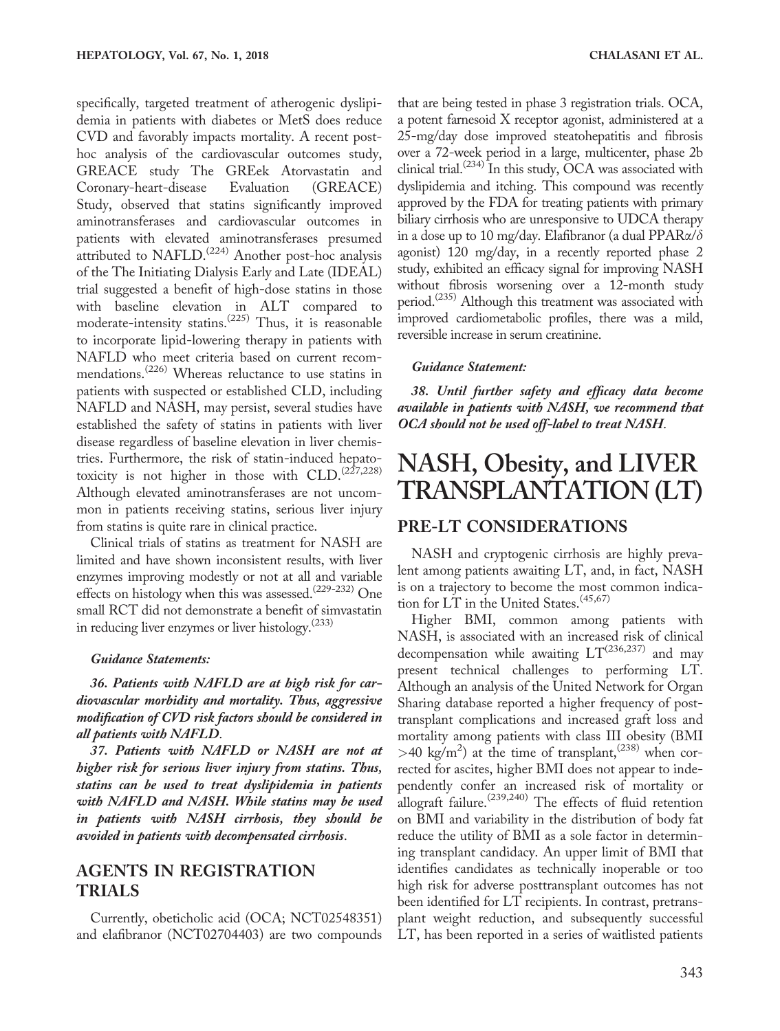specifically, targeted treatment of atherogenic dyslipidemia in patients with diabetes or MetS does reduce CVD and favorably impacts mortality. A recent posthoc analysis of the cardiovascular outcomes study, GREACE study The GREek Atorvastatin and Coronary-heart-disease Evaluation (GREACE) Study, observed that statins significantly improved aminotransferases and cardiovascular outcomes in patients with elevated aminotransferases presumed attributed to NAFLD.<sup>(224)</sup> Another post-hoc analysis of the The Initiating Dialysis Early and Late (IDEAL) trial suggested a benefit of high-dose statins in those with baseline elevation in ALT compared to moderate-intensity statins.<sup> $(225)$ </sup> Thus, it is reasonable to incorporate lipid-lowering therapy in patients with NAFLD who meet criteria based on current recommendations.<sup>(226)</sup> Whereas reluctance to use statins in patients with suspected or established CLD, including NAFLD and NASH, may persist, several studies have established the safety of statins in patients with liver disease regardless of baseline elevation in liver chemistries. Furthermore, the risk of statin-induced hepatotoxicity is not higher in those with  $CLD$ .  $(227,228)$ Although elevated aminotransferases are not uncommon in patients receiving statins, serious liver injury from statins is quite rare in clinical practice.

Clinical trials of statins as treatment for NASH are limited and have shown inconsistent results, with liver enzymes improving modestly or not at all and variable effects on histology when this was assessed.<sup>(229-232)</sup> One small RCT did not demonstrate a benefit of simvastatin in reducing liver enzymes or liver histology.<sup>(233)</sup>

#### Guidance Statements:

36. Patients with NAFLD are at high risk for cardiovascular morbidity and mortality. Thus, aggressive modification of CVD risk factors should be considered in all patients with NAFLD.

37. Patients with NAFLD or NASH are not at higher risk for serious liver injury from statins. Thus, statins can be used to treat dyslipidemia in patients with NAFLD and NASH. While statins may be used in patients with NASH cirrhosis, they should be avoided in patients with decompensated cirrhosis.

### AGENTS IN REGISTRATION TRIALS

Currently, obeticholic acid (OCA; NCT02548351) and elafibranor (NCT02704403) are two compounds that are being tested in phase 3 registration trials. OCA, a potent farnesoid X receptor agonist, administered at a 25-mg/day dose improved steatohepatitis and fibrosis over a 72-week period in a large, multicenter, phase 2b clinical trial.<sup>(234)</sup> In this study,  $\text{OCA}$  was associated with dyslipidemia and itching. This compound was recently approved by the FDA for treating patients with primary biliary cirrhosis who are unresponsive to UDCA therapy in a dose up to 10 mg/day. Elafibranor (a dual PPAR $\alpha/\delta$ agonist) 120 mg/day, in a recently reported phase 2 study, exhibited an efficacy signal for improving NASH without fibrosis worsening over a 12-month study period.<sup>(235)</sup> Although this treatment was associated with improved cardiometabolic profiles, there was a mild, reversible increase in serum creatinine.

#### Guidance Statement:

38. Until further safety and efficacy data become available in patients with NASH, we recommend that OCA should not be used off-label to treat NASH.

## NASH, Obesity, and LIVER TRANSPLANTATION (LT)

#### PRE-LT CONSIDERATIONS

NASH and cryptogenic cirrhosis are highly prevalent among patients awaiting LT, and, in fact, NASH is on a trajectory to become the most common indication for LT in the United States.  $(45,67)$ 

Higher BMI, common among patients with NASH, is associated with an increased risk of clinical decompensation while awaiting  $LT^{(236,237)}$  and may present technical challenges to performing LT. Although an analysis of the United Network for Organ Sharing database reported a higher frequency of posttransplant complications and increased graft loss and mortality among patients with class III obesity (BMI  $>40$  kg/m<sup>2</sup>) at the time of transplant,<sup>(238)</sup> when corrected for ascites, higher BMI does not appear to independently confer an increased risk of mortality or allograft failure.<sup> $(239,240)$ </sup> The effects of fluid retention on BMI and variability in the distribution of body fat reduce the utility of BMI as a sole factor in determining transplant candidacy. An upper limit of BMI that identifies candidates as technically inoperable or too high risk for adverse posttransplant outcomes has not been identified for LT recipients. In contrast, pretransplant weight reduction, and subsequently successful LT, has been reported in a series of waitlisted patients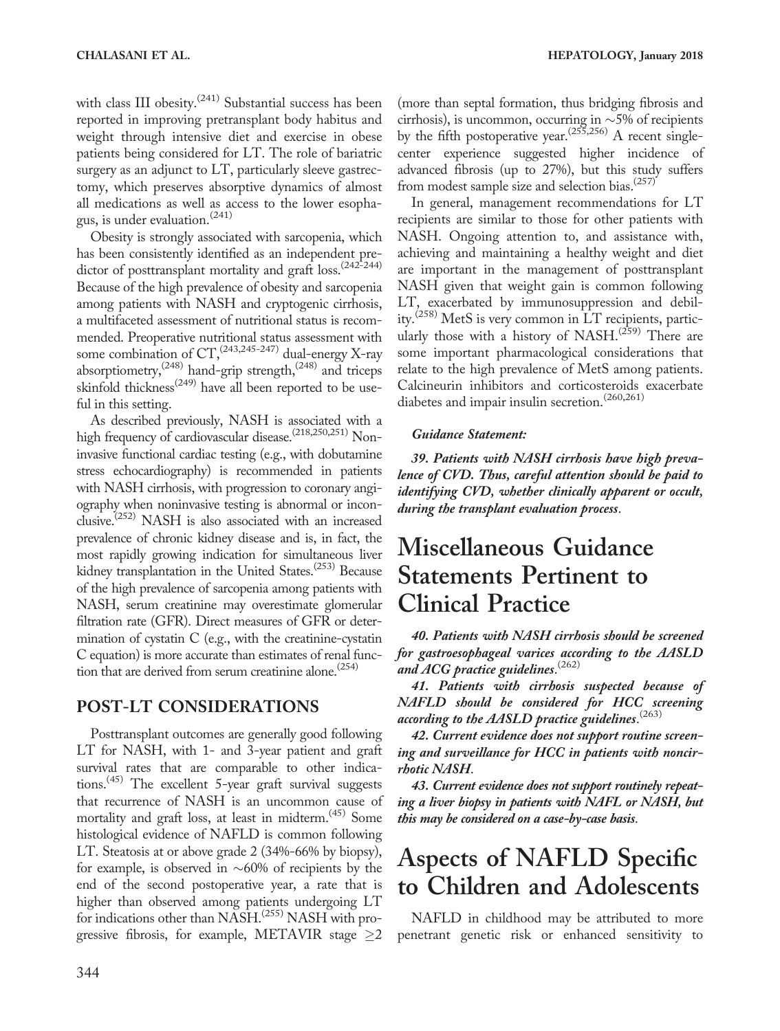with class III obesity.<sup>(241)</sup> Substantial success has been reported in improving pretransplant body habitus and weight through intensive diet and exercise in obese patients being considered for LT. The role of bariatric surgery as an adjunct to LT, particularly sleeve gastrectomy, which preserves absorptive dynamics of almost all medications as well as access to the lower esophagus, is under evaluation.<sup>(241)</sup>

Obesity is strongly associated with sarcopenia, which has been consistently identified as an independent predictor of posttransplant mortality and graft loss.<sup>(242-244)</sup> Because of the high prevalence of obesity and sarcopenia among patients with NASH and cryptogenic cirrhosis, a multifaceted assessment of nutritional status is recommended. Preoperative nutritional status assessment with some combination of  $CT<sub>1</sub><sup>(243,245-247)</sup>$  dual-energy X-ray absorptiometry,(248) hand-grip strength,(248) and triceps skinfold thickness<sup>(249)</sup> have all been reported to be useful in this setting.

As described previously, NASH is associated with a high frequency of cardiovascular disease.<sup>(218,250,251)</sup> Noninvasive functional cardiac testing (e.g., with dobutamine stress echocardiography) is recommended in patients with NASH cirrhosis, with progression to coronary angiography when noninvasive testing is abnormal or inconclusive.<sup> $(252)$ </sup> NASH is also associated with an increased prevalence of chronic kidney disease and is, in fact, the most rapidly growing indication for simultaneous liver kidney transplantation in the United States.<sup>(253)</sup> Because of the high prevalence of sarcopenia among patients with NASH, serum creatinine may overestimate glomerular filtration rate (GFR). Direct measures of GFR or determination of cystatin C (e.g., with the creatinine-cystatin C equation) is more accurate than estimates of renal function that are derived from serum creatinine alone.<sup> $(254)$ </sup>

### POST-LT CONSIDERATIONS

Posttransplant outcomes are generally good following LT for NASH, with 1- and 3-year patient and graft survival rates that are comparable to other indications.<sup>(45)</sup> The excellent 5-year graft survival suggests that recurrence of NASH is an uncommon cause of mortality and graft loss, at least in midterm.<sup>(45)</sup> Some histological evidence of NAFLD is common following LT. Steatosis at or above grade 2 (34%-66% by biopsy), for example, is observed in  $~60\%$  of recipients by the end of the second postoperative year, a rate that is higher than observed among patients undergoing LT for indications other than NASH.<sup>(255)</sup> NASH with progressive fibrosis, for example, METAVIR stage  $\geq$ 2

(more than septal formation, thus bridging fibrosis and cirrhosis), is uncommon, occurring in  $\sim$  5% of recipients by the fifth postoperative year.<sup> $(255,256)$ </sup> A recent singlecenter experience suggested higher incidence of advanced fibrosis (up to 27%), but this study suffers from modest sample size and selection bias.(257)

In general, management recommendations for LT recipients are similar to those for other patients with NASH. Ongoing attention to, and assistance with, achieving and maintaining a healthy weight and diet are important in the management of posttransplant NASH given that weight gain is common following LT, exacerbated by immunosuppression and debility.<sup>(258)</sup> MetS is very common in LT recipients, particularly those with a history of NASH.<sup>(259)</sup> There are some important pharmacological considerations that relate to the high prevalence of MetS among patients. Calcineurin inhibitors and corticosteroids exacerbate diabetes and impair insulin secretion.(260,261)

#### Guidance Statement:

39. Patients with NASH cirrhosis have high prevalence of CVD. Thus, careful attention should be paid to identifying CVD, whether clinically apparent or occult, during the transplant evaluation process.

## Miscellaneous Guidance Statements Pertinent to Clinical Practice

40. Patients with NASH cirrhosis should be screened for gastroesophageal varices according to the AASLD and ACG practice guidelines.  $^{(262)}$ 

41. Patients with cirrhosis suspected because of NAFLD should be considered for HCC screening according to the AASLD practice guidelines.  $^{(263)}$ 

42. Current evidence does not support routine screening and surveillance for HCC in patients with noncirrhotic NASH.

43. Current evidence does not support routinely repeating a liver biopsy in patients with NAFL or NASH, but this may be considered on a case-by-case basis.

## Aspects of NAFLD Specific to Children and Adolescents

NAFLD in childhood may be attributed to more penetrant genetic risk or enhanced sensitivity to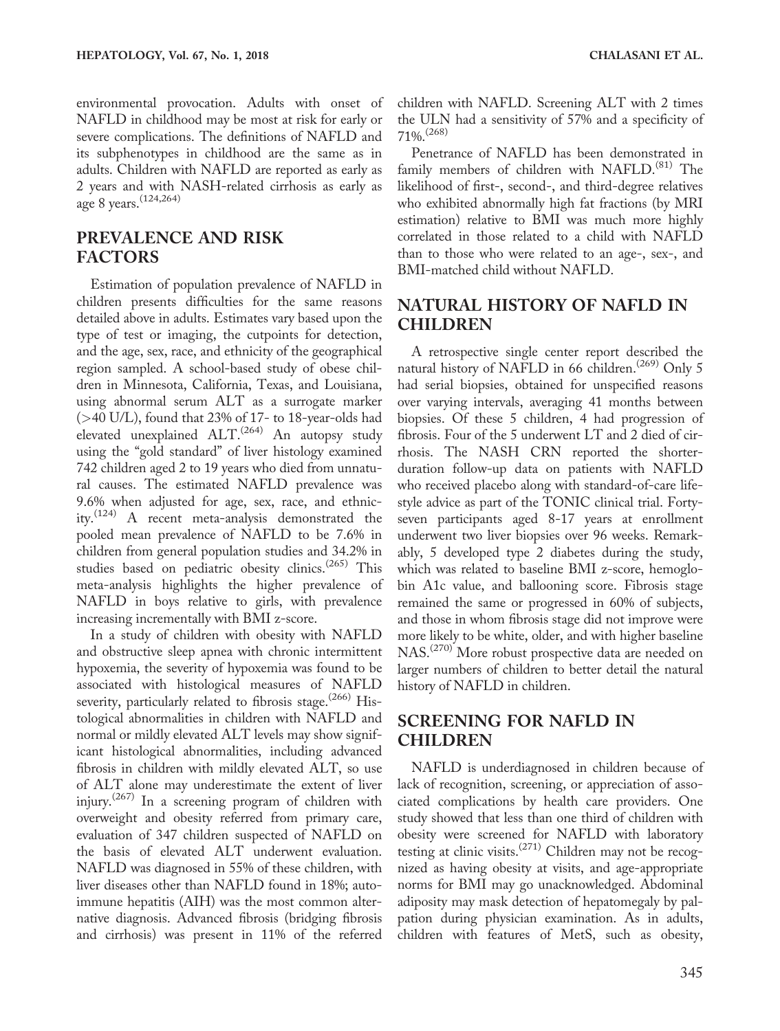environmental provocation. Adults with onset of NAFLD in childhood may be most at risk for early or severe complications. The definitions of NAFLD and its subphenotypes in childhood are the same as in adults. Children with NAFLD are reported as early as 2 years and with NASH-related cirrhosis as early as age 8 years.(124,264)

### PREVALENCE AND RISK FACTORS

Estimation of population prevalence of NAFLD in children presents difficulties for the same reasons detailed above in adults. Estimates vary based upon the type of test or imaging, the cutpoints for detection, and the age, sex, race, and ethnicity of the geographical region sampled. A school-based study of obese children in Minnesota, California, Texas, and Louisiana, using abnormal serum ALT as a surrogate marker (>40 U/L), found that 23% of 17- to 18-year-olds had elevated unexplained  $ALT$ .<sup>(264)</sup> An autopsy study using the "gold standard" of liver histology examined 742 children aged 2 to 19 years who died from unnatural causes. The estimated NAFLD prevalence was 9.6% when adjusted for age, sex, race, and ethnicity.<sup>(124)</sup> A recent meta-analysis demonstrated the pooled mean prevalence of NAFLD to be 7.6% in children from general population studies and 34.2% in studies based on pediatric obesity clinics.<sup>(265)</sup> This meta-analysis highlights the higher prevalence of NAFLD in boys relative to girls, with prevalence increasing incrementally with BMI z-score.

In a study of children with obesity with NAFLD and obstructive sleep apnea with chronic intermittent hypoxemia, the severity of hypoxemia was found to be associated with histological measures of NAFLD severity, particularly related to fibrosis stage.<sup>(266)</sup> Histological abnormalities in children with NAFLD and normal or mildly elevated ALT levels may show significant histological abnormalities, including advanced fibrosis in children with mildly elevated ALT, so use of ALT alone may underestimate the extent of liver injury.<sup> $(267)$ </sup> In a screening program of children with overweight and obesity referred from primary care, evaluation of 347 children suspected of NAFLD on the basis of elevated ALT underwent evaluation. NAFLD was diagnosed in 55% of these children, with liver diseases other than NAFLD found in 18%; autoimmune hepatitis (AIH) was the most common alternative diagnosis. Advanced fibrosis (bridging fibrosis and cirrhosis) was present in 11% of the referred

children with NAFLD. Screening ALT with 2 times the ULN had a sensitivity of 57% and a specificity of 71%.(268)

Penetrance of NAFLD has been demonstrated in family members of children with NAFLD.<sup>(81)</sup> The likelihood of first-, second-, and third-degree relatives who exhibited abnormally high fat fractions (by MRI estimation) relative to BMI was much more highly correlated in those related to a child with NAFLD than to those who were related to an age-, sex-, and BMI-matched child without NAFLD.

### NATURAL HISTORY OF NAFLD IN CHILDREN

A retrospective single center report described the natural history of NAFLD in 66 children.<sup> $(269)$ </sup> Only 5 had serial biopsies, obtained for unspecified reasons over varying intervals, averaging 41 months between biopsies. Of these 5 children, 4 had progression of fibrosis. Four of the 5 underwent LT and 2 died of cirrhosis. The NASH CRN reported the shorterduration follow-up data on patients with NAFLD who received placebo along with standard-of-care lifestyle advice as part of the TONIC clinical trial. Fortyseven participants aged 8-17 years at enrollment underwent two liver biopsies over 96 weeks. Remarkably, 5 developed type 2 diabetes during the study, which was related to baseline BMI z-score, hemoglobin A1c value, and ballooning score. Fibrosis stage remained the same or progressed in 60% of subjects, and those in whom fibrosis stage did not improve were more likely to be white, older, and with higher baseline NAS.(270) More robust prospective data are needed on larger numbers of children to better detail the natural history of NAFLD in children.

## SCREENING FOR NAFLD IN CHILDREN

NAFLD is underdiagnosed in children because of lack of recognition, screening, or appreciation of associated complications by health care providers. One study showed that less than one third of children with obesity were screened for NAFLD with laboratory testing at clinic visits.<sup>(271)</sup> Children may not be recognized as having obesity at visits, and age-appropriate norms for BMI may go unacknowledged. Abdominal adiposity may mask detection of hepatomegaly by palpation during physician examination. As in adults, children with features of MetS, such as obesity,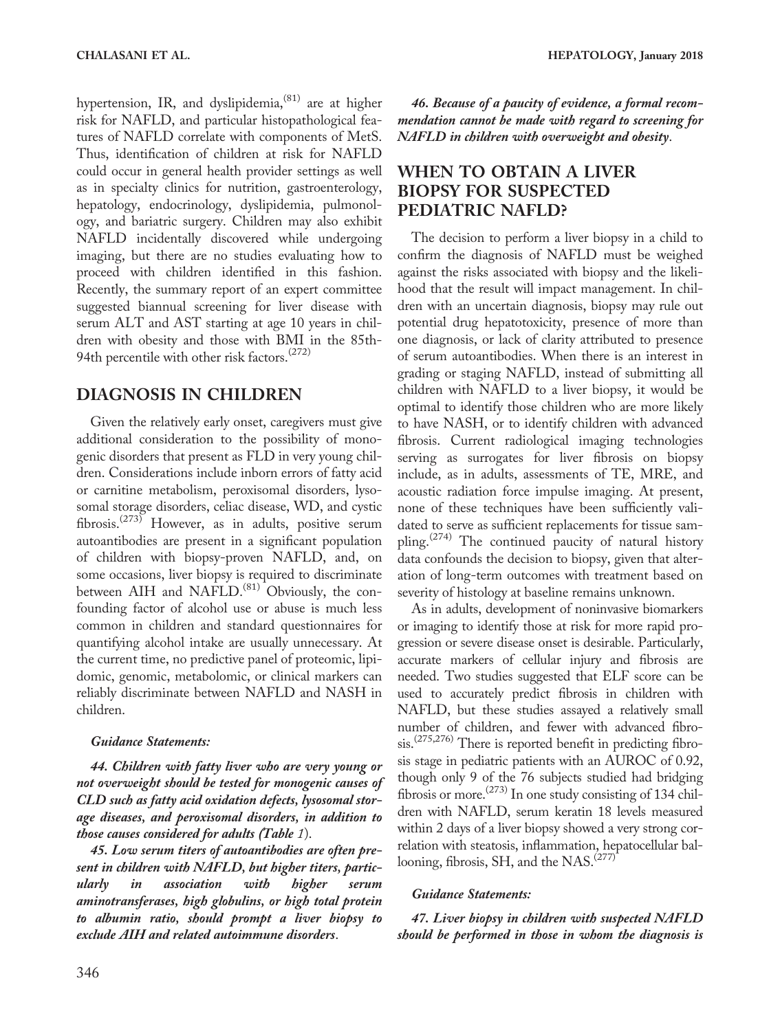hypertension, IR, and dyslipidemia,<sup>(81)</sup> are at higher risk for NAFLD, and particular histopathological features of NAFLD correlate with components of MetS. Thus, identification of children at risk for NAFLD could occur in general health provider settings as well as in specialty clinics for nutrition, gastroenterology, hepatology, endocrinology, dyslipidemia, pulmonology, and bariatric surgery. Children may also exhibit NAFLD incidentally discovered while undergoing imaging, but there are no studies evaluating how to proceed with children identified in this fashion. Recently, the summary report of an expert committee suggested biannual screening for liver disease with serum ALT and AST starting at age 10 years in children with obesity and those with BMI in the 85th-94th percentile with other risk factors.<sup>(272)</sup>

### DIAGNOSIS IN CHILDREN

Given the relatively early onset, caregivers must give additional consideration to the possibility of monogenic disorders that present as FLD in very young children. Considerations include inborn errors of fatty acid or carnitine metabolism, peroxisomal disorders, lysosomal storage disorders, celiac disease, WD, and cystic fibrosis.<sup> $(273)$ </sup> However, as in adults, positive serum autoantibodies are present in a significant population of children with biopsy-proven NAFLD, and, on some occasions, liver biopsy is required to discriminate between AIH and NAFLD.<sup>(81)</sup> Obviously, the confounding factor of alcohol use or abuse is much less common in children and standard questionnaires for quantifying alcohol intake are usually unnecessary. At the current time, no predictive panel of proteomic, lipidomic, genomic, metabolomic, or clinical markers can reliably discriminate between NAFLD and NASH in children.

#### Guidance Statements:

44. Children with fatty liver who are very young or not overweight should be tested for monogenic causes of CLD such as fatty acid oxidation defects, lysosomal storage diseases, and peroxisomal disorders, in addition to those causes considered for adults (Table 1).

45. Low serum titers of autoantibodies are often present in children with NAFLD, but higher titers, particularly in association with higher serum aminotransferases, high globulins, or high total protein to albumin ratio, should prompt a liver biopsy to exclude AIH and related autoimmune disorders.

46. Because of a paucity of evidence, a formal recommendation cannot be made with regard to screening for NAFLD in children with overweight and obesity.

## WHEN TO OBTAIN A LIVER BIOPSY FOR SUSPECTED PEDIATRIC NAFLD?

The decision to perform a liver biopsy in a child to confirm the diagnosis of NAFLD must be weighed against the risks associated with biopsy and the likelihood that the result will impact management. In children with an uncertain diagnosis, biopsy may rule out potential drug hepatotoxicity, presence of more than one diagnosis, or lack of clarity attributed to presence of serum autoantibodies. When there is an interest in grading or staging NAFLD, instead of submitting all children with NAFLD to a liver biopsy, it would be optimal to identify those children who are more likely to have NASH, or to identify children with advanced fibrosis. Current radiological imaging technologies serving as surrogates for liver fibrosis on biopsy include, as in adults, assessments of TE, MRE, and acoustic radiation force impulse imaging. At present, none of these techniques have been sufficiently validated to serve as sufficient replacements for tissue sampling.<sup>(274)</sup> The continued paucity of natural history data confounds the decision to biopsy, given that alteration of long-term outcomes with treatment based on severity of histology at baseline remains unknown.

As in adults, development of noninvasive biomarkers or imaging to identify those at risk for more rapid progression or severe disease onset is desirable. Particularly, accurate markers of cellular injury and fibrosis are needed. Two studies suggested that ELF score can be used to accurately predict fibrosis in children with NAFLD, but these studies assayed a relatively small number of children, and fewer with advanced fibrosis.<sup>(275,276)</sup> There is reported benefit in predicting fibrosis stage in pediatric patients with an AUROC of 0.92, though only 9 of the 76 subjects studied had bridging fibrosis or more.<sup> $(273)$ </sup> In one study consisting of 134 children with NAFLD, serum keratin 18 levels measured within 2 days of a liver biopsy showed a very strong correlation with steatosis, inflammation, hepatocellular ballooning, fibrosis, SH, and the NAS.<sup>(277)</sup>

#### Guidance Statements:

47. Liver biopsy in children with suspected NAFLD should be performed in those in whom the diagnosis is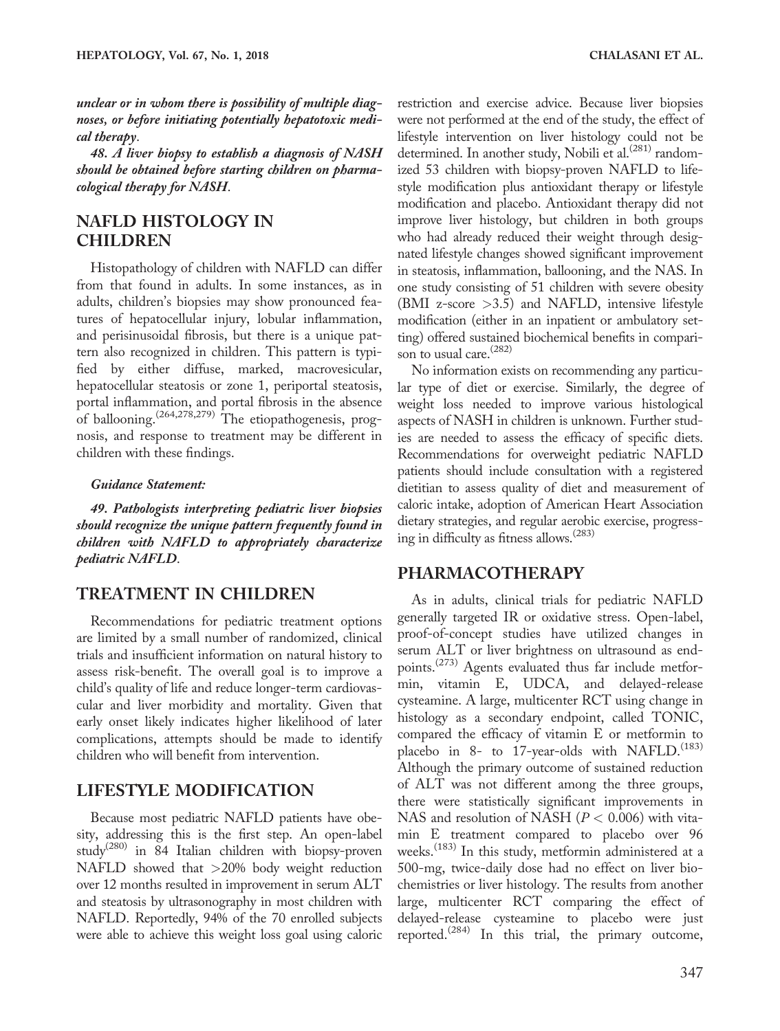unclear or in whom there is possibility of multiple diagnoses, or before initiating potentially hepatotoxic medical therapy.

48. A liver biopsy to establish a diagnosis of NASH should be obtained before starting children on pharmacological therapy for NASH.

### NAFLD HISTOLOGY IN CHILDREN

Histopathology of children with NAFLD can differ from that found in adults. In some instances, as in adults, children's biopsies may show pronounced features of hepatocellular injury, lobular inflammation, and perisinusoidal fibrosis, but there is a unique pattern also recognized in children. This pattern is typified by either diffuse, marked, macrovesicular, hepatocellular steatosis or zone 1, periportal steatosis, portal inflammation, and portal fibrosis in the absence of ballooning.<sup>(264,278,279)</sup> The etiopathogenesis, prognosis, and response to treatment may be different in children with these findings.

#### Guidance Statement:

49. Pathologists interpreting pediatric liver biopsies should recognize the unique pattern frequently found in children with NAFLD to appropriately characterize pediatric NAFLD.

### TREATMENT IN CHILDREN

Recommendations for pediatric treatment options are limited by a small number of randomized, clinical trials and insufficient information on natural history to assess risk-benefit. The overall goal is to improve a child's quality of life and reduce longer-term cardiovascular and liver morbidity and mortality. Given that early onset likely indicates higher likelihood of later complications, attempts should be made to identify children who will benefit from intervention.

### LIFESTYLE MODIFICATION

Because most pediatric NAFLD patients have obesity, addressing this is the first step. An open-label study<sup>(280)</sup> in 84 Italian children with biopsy-proven NAFLD showed that >20% body weight reduction over 12 months resulted in improvement in serum ALT and steatosis by ultrasonography in most children with NAFLD. Reportedly, 94% of the 70 enrolled subjects were able to achieve this weight loss goal using caloric

restriction and exercise advice. Because liver biopsies were not performed at the end of the study, the effect of lifestyle intervention on liver histology could not be determined. In another study, Nobili et al. $^{(281)}$  randomized 53 children with biopsy-proven NAFLD to lifestyle modification plus antioxidant therapy or lifestyle modification and placebo. Antioxidant therapy did not improve liver histology, but children in both groups who had already reduced their weight through designated lifestyle changes showed significant improvement in steatosis, inflammation, ballooning, and the NAS. In one study consisting of 51 children with severe obesity (BMI z-score >3.5) and NAFLD, intensive lifestyle modification (either in an inpatient or ambulatory setting) offered sustained biochemical benefits in comparison to usual care.<sup>(282)</sup>

No information exists on recommending any particular type of diet or exercise. Similarly, the degree of weight loss needed to improve various histological aspects of NASH in children is unknown. Further studies are needed to assess the efficacy of specific diets. Recommendations for overweight pediatric NAFLD patients should include consultation with a registered dietitian to assess quality of diet and measurement of caloric intake, adoption of American Heart Association dietary strategies, and regular aerobic exercise, progressing in difficulty as fitness allows.<sup>(283)</sup>

#### PHARMACOTHERAPY

As in adults, clinical trials for pediatric NAFLD generally targeted IR or oxidative stress. Open-label, proof-of-concept studies have utilized changes in serum ALT or liver brightness on ultrasound as endpoints.<sup>(273)</sup> Agents evaluated thus far include metformin, vitamin E, UDCA, and delayed-release cysteamine. A large, multicenter RCT using change in histology as a secondary endpoint, called TONIC, compared the efficacy of vitamin E or metformin to placebo in 8- to 17-year-olds with NAFLD.<sup> $(183)$ </sup> Although the primary outcome of sustained reduction of ALT was not different among the three groups, there were statistically significant improvements in NAS and resolution of NASH ( $P < 0.006$ ) with vitamin E treatment compared to placebo over 96 weeks.<sup>(183)</sup> In this study, metformin administered at a 500-mg, twice-daily dose had no effect on liver biochemistries or liver histology. The results from another large, multicenter RCT comparing the effect of delayed-release cysteamine to placebo were just reported.<sup>(284)</sup> In this trial, the primary outcome,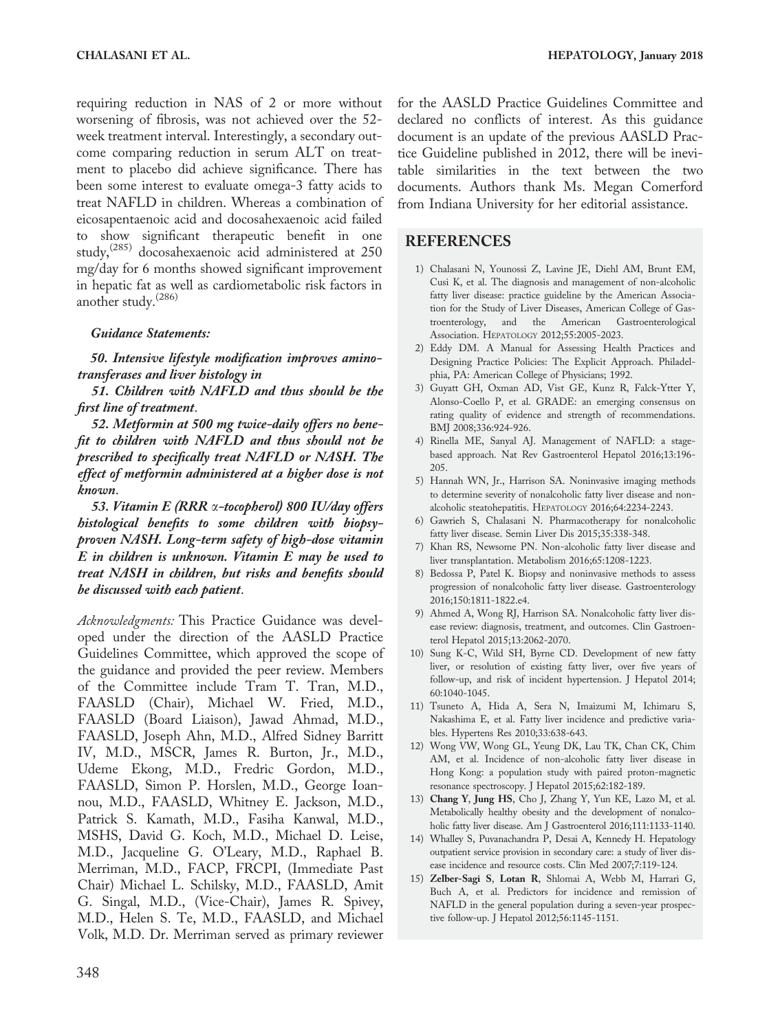requiring reduction in NAS of 2 or more without worsening of fibrosis, was not achieved over the 52 week treatment interval. Interestingly, a secondary outcome comparing reduction in serum ALT on treatment to placebo did achieve significance. There has been some interest to evaluate omega-3 fatty acids to treat NAFLD in children. Whereas a combination of eicosapentaenoic acid and docosahexaenoic acid failed to show significant therapeutic benefit in one study,(285) docosahexaenoic acid administered at 250 mg/day for 6 months showed significant improvement in hepatic fat as well as cardiometabolic risk factors in another study.(286)

#### Guidance Statements:

50. Intensive lifestyle modification improves aminotransferases and liver histology in

51. Children with NAFLD and thus should be the first line of treatment.

52. Metformin at 500 mg twice-daily offers no benefit to children with NAFLD and thus should not be prescribed to specifically treat NAFLD or NASH. The effect of metformin administered at a higher dose is not known.

53. Vitamin E (RRR a-tocopherol) 800 IU/day offers histological benefits to some children with biopsyproven NASH. Long-term safety of high-dose vitamin E in children is unknown. Vitamin E may be used to treat NASH in children, but risks and benefits should be discussed with each patient.

Acknowledgments: This Practice Guidance was developed under the direction of the AASLD Practice Guidelines Committee, which approved the scope of the guidance and provided the peer review. Members of the Committee include Tram T. Tran, M.D., FAASLD (Chair), Michael W. Fried, M.D., FAASLD (Board Liaison), Jawad Ahmad, M.D., FAASLD, Joseph Ahn, M.D., Alfred Sidney Barritt IV, M.D., MSCR, James R. Burton, Jr., M.D., Udeme Ekong, M.D., Fredric Gordon, M.D., FAASLD, Simon P. Horslen, M.D., George Ioannou, M.D., FAASLD, Whitney E. Jackson, M.D., Patrick S. Kamath, M.D., Fasiha Kanwal, M.D., MSHS, David G. Koch, M.D., Michael D. Leise, M.D., Jacqueline G. O'Leary, M.D., Raphael B. Merriman, M.D., FACP, FRCPI, (Immediate Past Chair) Michael L. Schilsky, M.D., FAASLD, Amit G. Singal, M.D., (Vice-Chair), James R. Spivey, M.D., Helen S. Te, M.D., FAASLD, and Michael Volk, M.D. Dr. Merriman served as primary reviewer for the AASLD Practice Guidelines Committee and declared no conflicts of interest. As this guidance document is an update of the previous AASLD Practice Guideline published in 2012, there will be inevitable similarities in the text between the two documents. Authors thank Ms. Megan Comerford from Indiana University for her editorial assistance.

### REFERENCES

- 1) Chalasani N, Younossi Z, Lavine JE, Diehl AM, Brunt EM, Cusi K, et al. The diagnosis and management of non-alcoholic fatty liver disease: practice guideline by the American Association for the Study of Liver Diseases, American College of Gastroenterology, and the American Gastroenterological Association. HEPATOLOGY 2012;55:2005-2023.
- 2) Eddy DM. A Manual for Assessing Health Practices and Designing Practice Policies: The Explicit Approach. Philadelphia, PA: American College of Physicians; 1992.
- 3) Guyatt GH, Oxman AD, Vist GE, Kunz R, Falck-Ytter Y, Alonso-Coello P, et al. GRADE: an emerging consensus on rating quality of evidence and strength of recommendations. BMJ 2008;336:924-926.
- 4) Rinella ME, Sanyal AJ. Management of NAFLD: a stagebased approach. Nat Rev Gastroenterol Hepatol 2016;13:196- 205.
- 5) Hannah WN, Jr., Harrison SA. Noninvasive imaging methods to determine severity of nonalcoholic fatty liver disease and nonalcoholic steatohepatitis. HEPATOLOGY 2016;64:2234-2243.
- 6) Gawrieh S, Chalasani N. Pharmacotherapy for nonalcoholic fatty liver disease. Semin Liver Dis 2015;35:338-348.
- 7) Khan RS, Newsome PN. Non-alcoholic fatty liver disease and liver transplantation. Metabolism 2016;65:1208-1223.
- 8) Bedossa P, Patel K. Biopsy and noninvasive methods to assess progression of nonalcoholic fatty liver disease. Gastroenterology 2016;150:1811-1822.e4.
- 9) Ahmed A, Wong RJ, Harrison SA. Nonalcoholic fatty liver disease review: diagnosis, treatment, and outcomes. Clin Gastroenterol Hepatol 2015;13:2062-2070.
- 10) Sung K-C, Wild SH, Byrne CD. Development of new fatty liver, or resolution of existing fatty liver, over five years of follow-up, and risk of incident hypertension. J Hepatol 2014; 60:1040-1045.
- 11) Tsuneto A, Hida A, Sera N, Imaizumi M, Ichimaru S, Nakashima E, et al. Fatty liver incidence and predictive variables. Hypertens Res 2010;33:638-643.
- 12) Wong VW, Wong GL, Yeung DK, Lau TK, Chan CK, Chim AM, et al. Incidence of non-alcoholic fatty liver disease in Hong Kong: a population study with paired proton-magnetic resonance spectroscopy. J Hepatol 2015;62:182-189.
- 13) Chang Y, Jung HS, Cho J, Zhang Y, Yun KE, Lazo M, et al. Metabolically healthy obesity and the development of nonalcoholic fatty liver disease. Am J Gastroenterol 2016;111:1133-1140.
- 14) Whalley S, Puvanachandra P, Desai A, Kennedy H. Hepatology outpatient service provision in secondary care: a study of liver disease incidence and resource costs. Clin Med 2007;7:119-124.
- 15) Zelber-Sagi S, Lotan R, Shlomai A, Webb M, Harrari G, Buch A, et al. Predictors for incidence and remission of NAFLD in the general population during a seven-year prospective follow-up. J Hepatol 2012;56:1145-1151.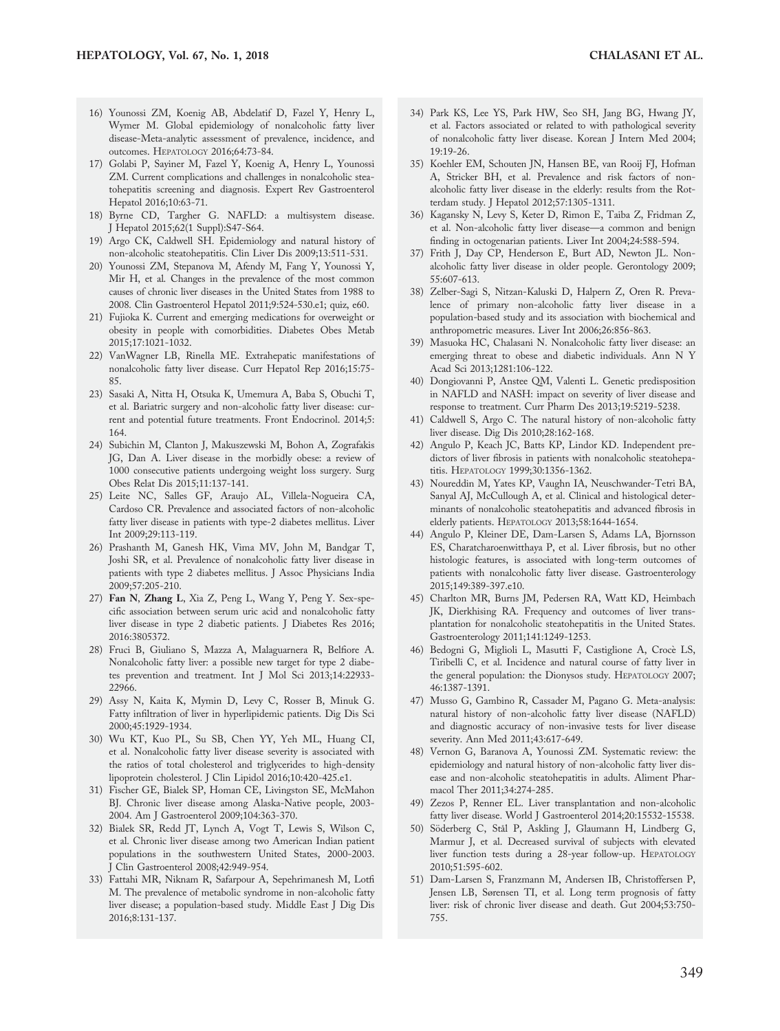- 16) Younossi ZM, Koenig AB, Abdelatif D, Fazel Y, Henry L, Wymer M. Global epidemiology of nonalcoholic fatty liver disease-Meta-analytic assessment of prevalence, incidence, and outcomes. HEPATOLOGY 2016;64:73-84.
- 17) Golabi P, Sayiner M, Fazel Y, Koenig A, Henry L, Younossi ZM. Current complications and challenges in nonalcoholic steatohepatitis screening and diagnosis. Expert Rev Gastroenterol Hepatol 2016;10:63-71.
- 18) Byrne CD, Targher G. NAFLD: a multisystem disease. J Hepatol 2015;62(1 Suppl):S47-S64.
- 19) Argo CK, Caldwell SH. Epidemiology and natural history of non-alcoholic steatohepatitis. Clin Liver Dis 2009;13:511-531.
- 20) Younossi ZM, Stepanova M, Afendy M, Fang Y, Younossi Y, Mir H, et al. Changes in the prevalence of the most common causes of chronic liver diseases in the United States from 1988 to 2008. Clin Gastroenterol Hepatol 2011;9:524-530.e1; quiz, e60.
- 21) Fujioka K. Current and emerging medications for overweight or obesity in people with comorbidities. Diabetes Obes Metab 2015;17:1021-1032.
- 22) VanWagner LB, Rinella ME. Extrahepatic manifestations of nonalcoholic fatty liver disease. Curr Hepatol Rep 2016;15:75- 85.
- 23) Sasaki A, Nitta H, Otsuka K, Umemura A, Baba S, Obuchi T, et al. Bariatric surgery and non-alcoholic fatty liver disease: current and potential future treatments. Front Endocrinol. 2014;5: 164.
- 24) Subichin M, Clanton J, Makuszewski M, Bohon A, Zografakis JG, Dan A. Liver disease in the morbidly obese: a review of 1000 consecutive patients undergoing weight loss surgery. Surg Obes Relat Dis 2015;11:137-141.
- 25) Leite NC, Salles GF, Araujo AL, Villela-Nogueira CA, Cardoso CR. Prevalence and associated factors of non-alcoholic fatty liver disease in patients with type-2 diabetes mellitus. Liver Int 2009;29:113-119.
- 26) Prashanth M, Ganesh HK, Vima MV, John M, Bandgar T, Joshi SR, et al. Prevalence of nonalcoholic fatty liver disease in patients with type 2 diabetes mellitus. J Assoc Physicians India 2009;57:205-210.
- 27) Fan N, Zhang L, Xia Z, Peng L, Wang Y, Peng Y. Sex-specific association between serum uric acid and nonalcoholic fatty liver disease in type 2 diabetic patients. J Diabetes Res 2016; 2016:3805372.
- 28) Fruci B, Giuliano S, Mazza A, Malaguarnera R, Belfiore A. Nonalcoholic fatty liver: a possible new target for type 2 diabetes prevention and treatment. Int J Mol Sci 2013;14:22933- 22966.
- 29) Assy N, Kaita K, Mymin D, Levy C, Rosser B, Minuk G. Fatty infiltration of liver in hyperlipidemic patients. Dig Dis Sci 2000;45:1929-1934.
- 30) Wu KT, Kuo PL, Su SB, Chen YY, Yeh ML, Huang CI, et al. Nonalcoholic fatty liver disease severity is associated with the ratios of total cholesterol and triglycerides to high-density lipoprotein cholesterol. J Clin Lipidol 2016;10:420-425.e1.
- 31) Fischer GE, Bialek SP, Homan CE, Livingston SE, McMahon BJ. Chronic liver disease among Alaska-Native people, 2003- 2004. Am J Gastroenterol 2009;104:363-370.
- 32) Bialek SR, Redd JT, Lynch A, Vogt T, Lewis S, Wilson C, et al. Chronic liver disease among two American Indian patient populations in the southwestern United States, 2000-2003. J Clin Gastroenterol 2008;42:949-954.
- 33) Fattahi MR, Niknam R, Safarpour A, Sepehrimanesh M, Lotfi M. The prevalence of metabolic syndrome in non-alcoholic fatty liver disease; a population-based study. Middle East J Dig Dis 2016;8:131-137.
- 34) Park KS, Lee YS, Park HW, Seo SH, Jang BG, Hwang JY, et al. Factors associated or related to with pathological severity of nonalcoholic fatty liver disease. Korean J Intern Med 2004; 19:19-26.
- 35) Koehler EM, Schouten JN, Hansen BE, van Rooij FJ, Hofman A, Stricker BH, et al. Prevalence and risk factors of nonalcoholic fatty liver disease in the elderly: results from the Rotterdam study. J Hepatol 2012;57:1305-1311.
- 36) Kagansky N, Levy S, Keter D, Rimon E, Taiba Z, Fridman Z, et al. Non-alcoholic fatty liver disease—a common and benign finding in octogenarian patients. Liver Int 2004;24:588-594.
- 37) Frith J, Day CP, Henderson E, Burt AD, Newton JL. Nonalcoholic fatty liver disease in older people. Gerontology 2009; 55:607-613.
- 38) Zelber-Sagi S, Nitzan-Kaluski D, Halpern Z, Oren R. Prevalence of primary non-alcoholic fatty liver disease in a population-based study and its association with biochemical and anthropometric measures. Liver Int 2006;26:856-863.
- 39) Masuoka HC, Chalasani N. Nonalcoholic fatty liver disease: an emerging threat to obese and diabetic individuals. Ann N Y Acad Sci 2013;1281:106-122.
- 40) Dongiovanni P, Anstee QM, Valenti L. Genetic predisposition in NAFLD and NASH: impact on severity of liver disease and response to treatment. Curr Pharm Des 2013;19:5219-5238.
- 41) Caldwell S, Argo C. The natural history of non-alcoholic fatty liver disease. Dig Dis 2010;28:162-168.
- 42) Angulo P, Keach JC, Batts KP, Lindor KD. Independent predictors of liver fibrosis in patients with nonalcoholic steatohepatitis. HEPATOLOGY 1999;30:1356-1362.
- 43) Noureddin M, Yates KP, Vaughn IA, Neuschwander-Tetri BA, Sanyal AJ, McCullough A, et al. Clinical and histological determinants of nonalcoholic steatohepatitis and advanced fibrosis in elderly patients. HEPATOLOGY 2013;58:1644-1654.
- 44) Angulo P, Kleiner DE, Dam-Larsen S, Adams LA, Bjornsson ES, Charatcharoenwitthaya P, et al. Liver fibrosis, but no other histologic features, is associated with long-term outcomes of patients with nonalcoholic fatty liver disease. Gastroenterology 2015;149:389-397.e10.
- 45) Charlton MR, Burns JM, Pedersen RA, Watt KD, Heimbach JK, Dierkhising RA. Frequency and outcomes of liver transplantation for nonalcoholic steatohepatitis in the United States. Gastroenterology 2011;141:1249-1253.
- 46) Bedogni G, Miglioli L, Masutti F, Castiglione A, Croce` LS, Tiribelli C, et al. Incidence and natural course of fatty liver in the general population: the Dionysos study. HEPATOLOGY 2007; 46:1387-1391.
- 47) Musso G, Gambino R, Cassader M, Pagano G. Meta-analysis: natural history of non-alcoholic fatty liver disease (NAFLD) and diagnostic accuracy of non-invasive tests for liver disease severity. Ann Med 2011;43:617-649.
- 48) Vernon G, Baranova A, Younossi ZM. Systematic review: the epidemiology and natural history of non-alcoholic fatty liver disease and non-alcoholic steatohepatitis in adults. Aliment Pharmacol Ther 2011;34:274-285.
- 49) Zezos P, Renner EL. Liver transplantation and non-alcoholic fatty liver disease. World J Gastroenterol 2014;20:15532-15538.
- 50) Söderberg C, Stål P, Askling J, Glaumann H, Lindberg G, Marmur J, et al. Decreased survival of subjects with elevated liver function tests during a 28-year follow-up. HEPATOLOGY 2010;51:595-602.
- 51) Dam-Larsen S, Franzmann M, Andersen IB, Christoffersen P, Jensen LB, Sørensen TI, et al. Long term prognosis of fatty liver: risk of chronic liver disease and death. Gut 2004;53:750- 755.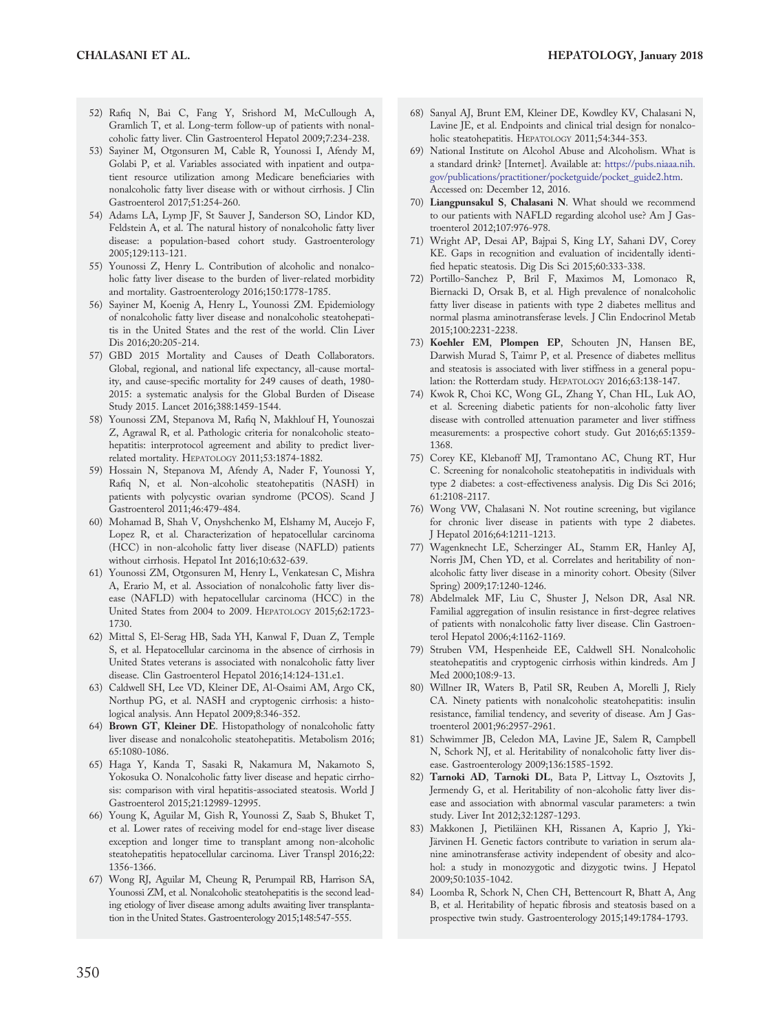- 52) Rafiq N, Bai C, Fang Y, Srishord M, McCullough A, Gramlich T, et al. Long-term follow-up of patients with nonalcoholic fatty liver. Clin Gastroenterol Hepatol 2009;7:234-238.
- 53) Sayiner M, Otgonsuren M, Cable R, Younossi I, Afendy M, Golabi P, et al. Variables associated with inpatient and outpatient resource utilization among Medicare beneficiaries with nonalcoholic fatty liver disease with or without cirrhosis. J Clin Gastroenterol 2017;51:254-260.
- 54) Adams LA, Lymp JF, St Sauver J, Sanderson SO, Lindor KD, Feldstein A, et al. The natural history of nonalcoholic fatty liver disease: a population-based cohort study. Gastroenterology 2005;129:113-121.
- 55) Younossi Z, Henry L. Contribution of alcoholic and nonalcoholic fatty liver disease to the burden of liver-related morbidity and mortality. Gastroenterology 2016;150:1778-1785.
- 56) Sayiner M, Koenig A, Henry L, Younossi ZM. Epidemiology of nonalcoholic fatty liver disease and nonalcoholic steatohepatitis in the United States and the rest of the world. Clin Liver Dis 2016;20:205-214.
- 57) GBD 2015 Mortality and Causes of Death Collaborators. Global, regional, and national life expectancy, all-cause mortality, and cause-specific mortality for 249 causes of death, 1980- 2015: a systematic analysis for the Global Burden of Disease Study 2015. Lancet 2016;388:1459-1544.
- 58) Younossi ZM, Stepanova M, Rafiq N, Makhlouf H, Younoszai Z, Agrawal R, et al. Pathologic criteria for nonalcoholic steatohepatitis: interprotocol agreement and ability to predict liverrelated mortality. HEPATOLOGY 2011;53:1874-1882.
- 59) Hossain N, Stepanova M, Afendy A, Nader F, Younossi Y, Rafiq N, et al. Non-alcoholic steatohepatitis (NASH) in patients with polycystic ovarian syndrome (PCOS). Scand J Gastroenterol 2011;46:479-484.
- 60) Mohamad B, Shah V, Onyshchenko M, Elshamy M, Aucejo F, Lopez R, et al. Characterization of hepatocellular carcinoma (HCC) in non-alcoholic fatty liver disease (NAFLD) patients without cirrhosis. Hepatol Int 2016;10:632-639.
- 61) Younossi ZM, Otgonsuren M, Henry L, Venkatesan C, Mishra A, Erario M, et al. Association of nonalcoholic fatty liver disease (NAFLD) with hepatocellular carcinoma (HCC) in the United States from 2004 to 2009. HEPATOLOGY 2015;62:1723- 1730.
- 62) Mittal S, El-Serag HB, Sada YH, Kanwal F, Duan Z, Temple S, et al. Hepatocellular carcinoma in the absence of cirrhosis in United States veterans is associated with nonalcoholic fatty liver disease. Clin Gastroenterol Hepatol 2016;14:124-131.e1.
- 63) Caldwell SH, Lee VD, Kleiner DE, Al-Osaimi AM, Argo CK, Northup PG, et al. NASH and cryptogenic cirrhosis: a histological analysis. Ann Hepatol 2009;8:346-352.
- 64) Brown GT, Kleiner DE. Histopathology of nonalcoholic fatty liver disease and nonalcoholic steatohepatitis. Metabolism 2016; 65:1080-1086.
- 65) Haga Y, Kanda T, Sasaki R, Nakamura M, Nakamoto S, Yokosuka O. Nonalcoholic fatty liver disease and hepatic cirrhosis: comparison with viral hepatitis-associated steatosis. World J Gastroenterol 2015;21:12989-12995.
- 66) Young K, Aguilar M, Gish R, Younossi Z, Saab S, Bhuket T, et al. Lower rates of receiving model for end-stage liver disease exception and longer time to transplant among non-alcoholic steatohepatitis hepatocellular carcinoma. Liver Transpl 2016;22: 1356-1366.
- 67) Wong RJ, Aguilar M, Cheung R, Perumpail RB, Harrison SA, Younossi ZM, et al. Nonalcoholic steatohepatitis is the second leading etiology of liver disease among adults awaiting liver transplantation in the United States. Gastroenterology 2015;148:547-555.
- 68) Sanyal AJ, Brunt EM, Kleiner DE, Kowdley KV, Chalasani N, Lavine JE, et al. Endpoints and clinical trial design for nonalcoholic steatohepatitis. HEPATOLOGY 2011;54:344-353.
- National Institute on Alcohol Abuse and Alcoholism. What is a standard drink? [Internet]. Available at: [https://pubs.niaaa.nih.](https://pubs.niaaa.nih.gov/publications/practitioner/pocketguide/pocket_guide2.htm) [gov/publications/practitioner/pocketguide/pocket\\_guide2.htm](https://pubs.niaaa.nih.gov/publications/practitioner/pocketguide/pocket_guide2.htm). Accessed on: December 12, 2016.
- 70) Liangpunsakul S, Chalasani N. What should we recommend to our patients with NAFLD regarding alcohol use? Am J Gastroenterol 2012;107:976-978.
- 71) Wright AP, Desai AP, Bajpai S, King LY, Sahani DV, Corey KE. Gaps in recognition and evaluation of incidentally identified hepatic steatosis. Dig Dis Sci 2015;60:333-338.
- 72) Portillo-Sanchez P, Bril F, Maximos M, Lomonaco R, Biernacki D, Orsak B, et al. High prevalence of nonalcoholic fatty liver disease in patients with type 2 diabetes mellitus and normal plasma aminotransferase levels. J Clin Endocrinol Metab 2015;100:2231-2238.
- 73) Koehler EM, Plompen EP, Schouten JN, Hansen BE, Darwish Murad S, Taimr P, et al. Presence of diabetes mellitus and steatosis is associated with liver stiffness in a general population: the Rotterdam study. HEPATOLOGY 2016;63:138-147.
- 74) Kwok R, Choi KC, Wong GL, Zhang Y, Chan HL, Luk AO, et al. Screening diabetic patients for non-alcoholic fatty liver disease with controlled attenuation parameter and liver stiffness measurements: a prospective cohort study. Gut 2016;65:1359- 1368.
- 75) Corey KE, Klebanoff MJ, Tramontano AC, Chung RT, Hur C. Screening for nonalcoholic steatohepatitis in individuals with type 2 diabetes: a cost-effectiveness analysis. Dig Dis Sci 2016; 61:2108-2117.
- 76) Wong VW, Chalasani N. Not routine screening, but vigilance for chronic liver disease in patients with type 2 diabetes. J Hepatol 2016;64:1211-1213.
- 77) Wagenknecht LE, Scherzinger AL, Stamm ER, Hanley AJ, Norris JM, Chen YD, et al. Correlates and heritability of nonalcoholic fatty liver disease in a minority cohort. Obesity (Silver Spring) 2009;17:1240-1246.
- 78) Abdelmalek MF, Liu C, Shuster J, Nelson DR, Asal NR. Familial aggregation of insulin resistance in first-degree relatives of patients with nonalcoholic fatty liver disease. Clin Gastroenterol Hepatol 2006;4:1162-1169.
- 79) Struben VM, Hespenheide EE, Caldwell SH. Nonalcoholic steatohepatitis and cryptogenic cirrhosis within kindreds. Am J Med 2000;108:9-13.
- 80) Willner IR, Waters B, Patil SR, Reuben A, Morelli J, Riely CA. Ninety patients with nonalcoholic steatohepatitis: insulin resistance, familial tendency, and severity of disease. Am J Gastroenterol 2001;96:2957-2961.
- 81) Schwimmer JB, Celedon MA, Lavine JE, Salem R, Campbell N, Schork NJ, et al. Heritability of nonalcoholic fatty liver disease. Gastroenterology 2009;136:1585-1592.
- 82) Tarnoki AD, Tarnoki DL, Bata P, Littvay L, Osztovits J, Jermendy G, et al. Heritability of non-alcoholic fatty liver disease and association with abnormal vascular parameters: a twin study. Liver Int 2012;32:1287-1293.
- 83) Makkonen J, Pietiläinen KH, Rissanen A, Kaprio J, Yki-Järvinen H. Genetic factors contribute to variation in serum alanine aminotransferase activity independent of obesity and alcohol: a study in monozygotic and dizygotic twins. J Hepatol 2009;50:1035-1042.
- 84) Loomba R, Schork N, Chen CH, Bettencourt R, Bhatt A, Ang B, et al. Heritability of hepatic fibrosis and steatosis based on a prospective twin study. Gastroenterology 2015;149:1784-1793.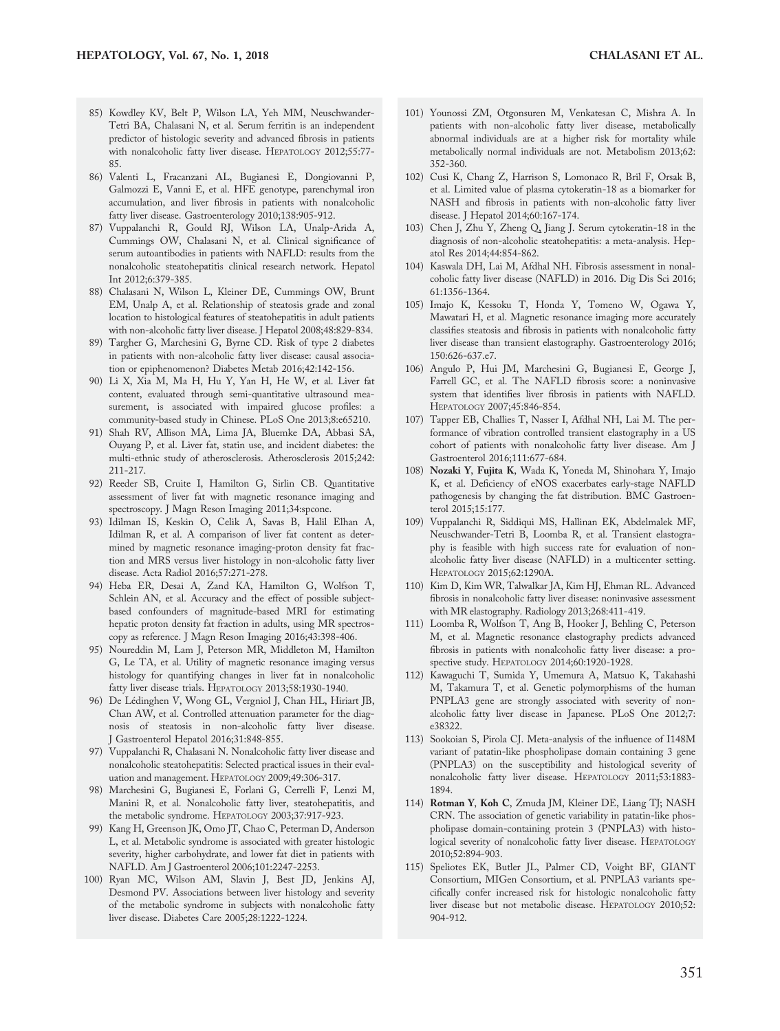- 85) Kowdley KV, Belt P, Wilson LA, Yeh MM, Neuschwander-Tetri BA, Chalasani N, et al. Serum ferritin is an independent predictor of histologic severity and advanced fibrosis in patients with nonalcoholic fatty liver disease. HEPATOLOGY 2012;55:77- 85.
- 86) Valenti L, Fracanzani AL, Bugianesi E, Dongiovanni P, Galmozzi E, Vanni E, et al. HFE genotype, parenchymal iron accumulation, and liver fibrosis in patients with nonalcoholic fatty liver disease. Gastroenterology 2010;138:905-912.
- 87) Vuppalanchi R, Gould RJ, Wilson LA, Unalp-Arida A, Cummings OW, Chalasani N, et al. Clinical significance of serum autoantibodies in patients with NAFLD: results from the nonalcoholic steatohepatitis clinical research network. Hepatol Int 2012;6:379-385.
- 88) Chalasani N, Wilson L, Kleiner DE, Cummings OW, Brunt EM, Unalp A, et al. Relationship of steatosis grade and zonal location to histological features of steatohepatitis in adult patients with non-alcoholic fatty liver disease. J Hepatol 2008;48:829-834.
- 89) Targher G, Marchesini G, Byrne CD. Risk of type 2 diabetes in patients with non-alcoholic fatty liver disease: causal association or epiphenomenon? Diabetes Metab 2016;42:142-156.
- 90) Li X, Xia M, Ma H, Hu Y, Yan H, He W, et al. Liver fat content, evaluated through semi-quantitative ultrasound measurement, is associated with impaired glucose profiles: a community-based study in Chinese. PLoS One 2013;8:e65210.
- 91) Shah RV, Allison MA, Lima JA, Bluemke DA, Abbasi SA, Ouyang P, et al. Liver fat, statin use, and incident diabetes: the multi-ethnic study of atherosclerosis. Atherosclerosis 2015;242: 211-217.
- 92) Reeder SB, Cruite I, Hamilton G, Sirlin CB. Quantitative assessment of liver fat with magnetic resonance imaging and spectroscopy. J Magn Reson Imaging 2011;34:spcone.
- 93) Idilman IS, Keskin O, Celik A, Savas B, Halil Elhan A, Idilman R, et al. A comparison of liver fat content as determined by magnetic resonance imaging-proton density fat fraction and MRS versus liver histology in non-alcoholic fatty liver disease. Acta Radiol 2016;57:271-278.
- 94) Heba ER, Desai A, Zand KA, Hamilton G, Wolfson T, Schlein AN, et al. Accuracy and the effect of possible subjectbased confounders of magnitude-based MRI for estimating hepatic proton density fat fraction in adults, using MR spectroscopy as reference. J Magn Reson Imaging 2016;43:398-406.
- 95) Noureddin M, Lam J, Peterson MR, Middleton M, Hamilton G, Le TA, et al. Utility of magnetic resonance imaging versus histology for quantifying changes in liver fat in nonalcoholic fatty liver disease trials. HEPATOLOGY 2013;58:1930-1940.
- 96) De Lédinghen V, Wong GL, Vergniol J, Chan HL, Hiriart JB, Chan AW, et al. Controlled attenuation parameter for the diagnosis of steatosis in non-alcoholic fatty liver disease. J Gastroenterol Hepatol 2016;31:848-855.
- 97) Vuppalanchi R, Chalasani N. Nonalcoholic fatty liver disease and nonalcoholic steatohepatitis: Selected practical issues in their evaluation and management. HEPATOLOGY 2009;49:306-317.
- 98) Marchesini G, Bugianesi E, Forlani G, Cerrelli F, Lenzi M, Manini R, et al. Nonalcoholic fatty liver, steatohepatitis, and the metabolic syndrome. HEPATOLOGY 2003;37:917-923.
- 99) Kang H, Greenson JK, Omo JT, Chao C, Peterman D, Anderson L, et al. Metabolic syndrome is associated with greater histologic severity, higher carbohydrate, and lower fat diet in patients with NAFLD. Am J Gastroenterol 2006;101:2247-2253.
- 100) Ryan MC, Wilson AM, Slavin J, Best JD, Jenkins AJ, Desmond PV. Associations between liver histology and severity of the metabolic syndrome in subjects with nonalcoholic fatty liver disease. Diabetes Care 2005;28:1222-1224.
- 101) Younossi ZM, Otgonsuren M, Venkatesan C, Mishra A. In patients with non-alcoholic fatty liver disease, metabolically abnormal individuals are at a higher risk for mortality while metabolically normal individuals are not. Metabolism 2013;62: 352-360.
- 102) Cusi K, Chang Z, Harrison S, Lomonaco R, Bril F, Orsak B, et al. Limited value of plasma cytokeratin-18 as a biomarker for NASH and fibrosis in patients with non-alcoholic fatty liver disease. J Hepatol 2014;60:167-174.
- 103) Chen J, Zhu Y, Zheng Q, Jiang J. Serum cytokeratin-18 in the diagnosis of non-alcoholic steatohepatitis: a meta-analysis. Hepatol Res 2014;44:854-862.
- 104) Kaswala DH, Lai M, Afdhal NH. Fibrosis assessment in nonalcoholic fatty liver disease (NAFLD) in 2016. Dig Dis Sci 2016; 61:1356-1364.
- 105) Imajo K, Kessoku T, Honda Y, Tomeno W, Ogawa Y, Mawatari H, et al. Magnetic resonance imaging more accurately classifies steatosis and fibrosis in patients with nonalcoholic fatty liver disease than transient elastography. Gastroenterology 2016; 150:626-637.e7.
- 106) Angulo P, Hui JM, Marchesini G, Bugianesi E, George J, Farrell GC, et al. The NAFLD fibrosis score: a noninvasive system that identifies liver fibrosis in patients with NAFLD. HEPATOLOGY 2007;45:846-854.
- 107) Tapper EB, Challies T, Nasser I, Afdhal NH, Lai M. The performance of vibration controlled transient elastography in a US cohort of patients with nonalcoholic fatty liver disease. Am J Gastroenterol 2016;111:677-684.
- 108) Nozaki Y, Fujita K, Wada K, Yoneda M, Shinohara Y, Imajo K, et al. Deficiency of eNOS exacerbates early-stage NAFLD pathogenesis by changing the fat distribution. BMC Gastroenterol 2015;15:177.
- 109) Vuppalanchi R, Siddiqui MS, Hallinan EK, Abdelmalek MF, Neuschwander-Tetri B, Loomba R, et al. Transient elastography is feasible with high success rate for evaluation of nonalcoholic fatty liver disease (NAFLD) in a multicenter setting. HEPATOLOGY 2015;62:1290A.
- 110) Kim D, Kim WR, Talwalkar JA, Kim HJ, Ehman RL. Advanced fibrosis in nonalcoholic fatty liver disease: noninvasive assessment with MR elastography. Radiology 2013;268:411-419.
- 111) Loomba R, Wolfson T, Ang B, Hooker J, Behling C, Peterson M, et al. Magnetic resonance elastography predicts advanced fibrosis in patients with nonalcoholic fatty liver disease: a prospective study. HEPATOLOGY 2014;60:1920-1928.
- 112) Kawaguchi T, Sumida Y, Umemura A, Matsuo K, Takahashi M, Takamura T, et al. Genetic polymorphisms of the human PNPLA3 gene are strongly associated with severity of nonalcoholic fatty liver disease in Japanese. PLoS One 2012;7: e38322.
- 113) Sookoian S, Pirola CJ. Meta-analysis of the influence of I148M variant of patatin-like phospholipase domain containing 3 gene (PNPLA3) on the susceptibility and histological severity of nonalcoholic fatty liver disease. HEPATOLOGY 2011;53:1883- 1894.
- 114) Rotman Y, Koh C, Zmuda JM, Kleiner DE, Liang TJ; NASH CRN. The association of genetic variability in patatin-like phospholipase domain-containing protein 3 (PNPLA3) with histological severity of nonalcoholic fatty liver disease. HEPATOLOGY 2010;52:894-903.
- 115) Speliotes EK, Butler JL, Palmer CD, Voight BF, GIANT Consortium, MIGen Consortium, et al. PNPLA3 variants specifically confer increased risk for histologic nonalcoholic fatty liver disease but not metabolic disease. HEPATOLOGY 2010;52: 904-912.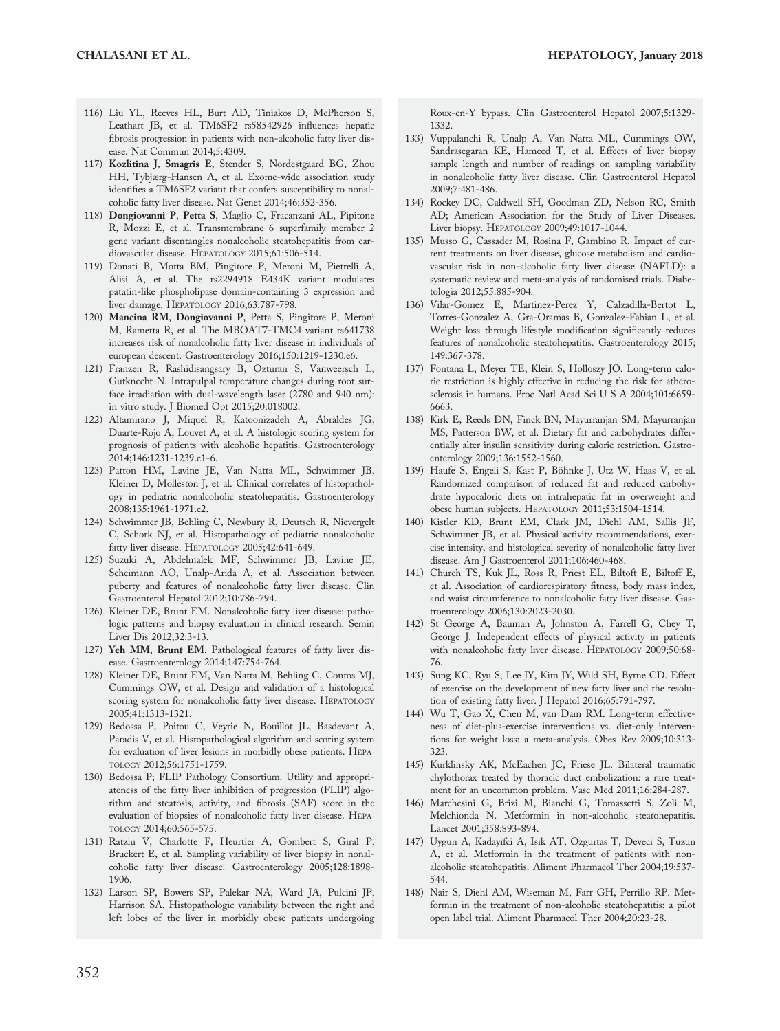- 116) Liu YL, Reeves HL, Burt AD, Tiniakos D, McPherson S, Leathart JB, et al. TM6SF2 rs58542926 influences hepatic fibrosis progression in patients with non-alcoholic fatty liver disease. Nat Commun 2014;5:4309.
- 117) Kozlitina J, Smagris E, Stender S, Nordestgaard BG, Zhou HH, Tybjærg-Hansen A, et al. Exome-wide association study identifies a TM6SF2 variant that confers susceptibility to nonalcoholic fatty liver disease. Nat Genet 2014;46:352-356.
- 118) Dongiovanni P, Petta S, Maglio C, Fracanzani AL, Pipitone R, Mozzi E, et al. Transmembrane 6 superfamily member 2 gene variant disentangles nonalcoholic steatohepatitis from cardiovascular disease. HEPATOLOGY 2015;61:506-514.
- 119) Donati B, Motta BM, Pingitore P, Meroni M, Pietrelli A, Alisi A, et al. The rs2294918 E434K variant modulates patatin-like phospholipase domain-containing 3 expression and liver damage. HEPATOLOGY 2016;63:787-798.
- 120) Mancina RM, Dongiovanni P, Petta S, Pingitore P, Meroni M, Rametta R, et al. The MBOAT7-TMC4 variant rs641738 increases risk of nonalcoholic fatty liver disease in individuals of european descent. Gastroenterology 2016;150:1219-1230.e6.
- 121) Franzen R, Rashidisangsary B, Ozturan S, Vanweersch L, Gutknecht N. Intrapulpal temperature changes during root surface irradiation with dual-wavelength laser (2780 and 940 nm): in vitro study. J Biomed Opt 2015;20:018002.
- 122) Altamirano J, Miquel R, Katoonizadeh A, Abraldes JG, Duarte-Rojo A, Louvet A, et al. A histologic scoring system for prognosis of patients with alcoholic hepatitis. Gastroenterology 2014;146:1231-1239.e1-6.
- 123) Patton HM, Lavine JE, Van Natta ML, Schwimmer JB, Kleiner D, Molleston J, et al. Clinical correlates of histopathology in pediatric nonalcoholic steatohepatitis. Gastroenterology 2008;135:1961-1971.e2.
- 124) Schwimmer JB, Behling C, Newbury R, Deutsch R, Nievergelt C, Schork NJ, et al. Histopathology of pediatric nonalcoholic fatty liver disease. HEPATOLOGY 2005;42:641-649.
- 125) Suzuki A, Abdelmalek MF, Schwimmer JB, Lavine JE, Scheimann AO, Unalp-Arida A, et al. Association between puberty and features of nonalcoholic fatty liver disease. Clin Gastroenterol Hepatol 2012;10:786-794.
- 126) Kleiner DE, Brunt EM. Nonalcoholic fatty liver disease: pathologic patterns and biopsy evaluation in clinical research. Semin Liver Dis 2012;32:3-13.
- 127) Yeh MM, Brunt EM. Pathological features of fatty liver disease. Gastroenterology 2014;147:754-764.
- 128) Kleiner DE, Brunt EM, Van Natta M, Behling C, Contos MJ, Cummings OW, et al. Design and validation of a histological scoring system for nonalcoholic fatty liver disease. HEPATOLOGY 2005;41:1313-1321.
- 129) Bedossa P, Poitou C, Veyrie N, Bouillot JL, Basdevant A, Paradis V, et al. Histopathological algorithm and scoring system for evaluation of liver lesions in morbidly obese patients. HEPA-TOLOGY 2012;56:1751-1759.
- 130) Bedossa P; FLIP Pathology Consortium. Utility and appropriateness of the fatty liver inhibition of progression (FLIP) algorithm and steatosis, activity, and fibrosis (SAF) score in the evaluation of biopsies of nonalcoholic fatty liver disease. HEPA-TOLOGY 2014;60:565-575.
- 131) Ratziu V, Charlotte F, Heurtier A, Gombert S, Giral P, Bruckert E, et al. Sampling variability of liver biopsy in nonalcoholic fatty liver disease. Gastroenterology 2005;128:1898- 1906.
- 132) Larson SP, Bowers SP, Palekar NA, Ward JA, Pulcini JP, Harrison SA. Histopathologic variability between the right and left lobes of the liver in morbidly obese patients undergoing

Roux-en-Y bypass. Clin Gastroenterol Hepatol 2007;5:1329- 1332.

- 133) Vuppalanchi R, Unalp A, Van Natta ML, Cummings OW, Sandrasegaran KE, Hameed T, et al. Effects of liver biopsy sample length and number of readings on sampling variability in nonalcoholic fatty liver disease. Clin Gastroenterol Hepatol 2009;7:481-486.
- 134) Rockey DC, Caldwell SH, Goodman ZD, Nelson RC, Smith AD; American Association for the Study of Liver Diseases. Liver biopsy. HEPATOLOGY 2009;49:1017-1044.
- 135) Musso G, Cassader M, Rosina F, Gambino R. Impact of current treatments on liver disease, glucose metabolism and cardiovascular risk in non-alcoholic fatty liver disease (NAFLD): a systematic review and meta-analysis of randomised trials. Diabetologia 2012;55:885-904.
- 136) Vilar-Gomez E, Martinez-Perez Y, Calzadilla-Bertot L, Torres-Gonzalez A, Gra-Oramas B, Gonzalez-Fabian L, et al. Weight loss through lifestyle modification significantly reduces features of nonalcoholic steatohepatitis. Gastroenterology 2015; 149:367-378.
- 137) Fontana L, Meyer TE, Klein S, Holloszy JO. Long-term calorie restriction is highly effective in reducing the risk for atherosclerosis in humans. Proc Natl Acad Sci U S A 2004;101:6659- 6663.
- 138) Kirk E, Reeds DN, Finck BN, Mayurranjan SM, Mayurranjan MS, Patterson BW, et al. Dietary fat and carbohydrates differentially alter insulin sensitivity during caloric restriction. Gastroenterology 2009;136:1552-1560.
- 139) Haufe S, Engeli S, Kast P, Böhnke J, Utz W, Haas V, et al. Randomized comparison of reduced fat and reduced carbohydrate hypocaloric diets on intrahepatic fat in overweight and obese human subjects. HEPATOLOGY 2011;53:1504-1514.
- 140) Kistler KD, Brunt EM, Clark JM, Diehl AM, Sallis JF, Schwimmer JB, et al. Physical activity recommendations, exercise intensity, and histological severity of nonalcoholic fatty liver disease. Am J Gastroenterol 2011;106:460-468.
- 141) Church TS, Kuk JL, Ross R, Priest EL, Biltoft E, Biltoff E, et al. Association of cardiorespiratory fitness, body mass index, and waist circumference to nonalcoholic fatty liver disease. Gastroenterology 2006;130:2023-2030.
- 142) St George A, Bauman A, Johnston A, Farrell G, Chey T, George J. Independent effects of physical activity in patients with nonalcoholic fatty liver disease. HEPATOLOGY 2009;50:68- 76.
- 143) Sung KC, Ryu S, Lee JY, Kim JY, Wild SH, Byrne CD. Effect of exercise on the development of new fatty liver and the resolution of existing fatty liver. J Hepatol 2016;65:791-797.
- 144) Wu T, Gao X, Chen M, van Dam RM. Long-term effectiveness of diet-plus-exercise interventions vs. diet-only interventions for weight loss: a meta-analysis. Obes Rev 2009;10:313- 323.
- 145) Kurklinsky AK, McEachen JC, Friese JL. Bilateral traumatic chylothorax treated by thoracic duct embolization: a rare treatment for an uncommon problem. Vasc Med 2011;16:284-287.
- 146) Marchesini G, Brizi M, Bianchi G, Tomassetti S, Zoli M, Melchionda N. Metformin in non-alcoholic steatohepatitis. Lancet 2001;358:893-894.
- 147) Uygun A, Kadayifci A, Isik AT, Ozgurtas T, Deveci S, Tuzun A, et al. Metformin in the treatment of patients with nonalcoholic steatohepatitis. Aliment Pharmacol Ther 2004;19:537- 544.
- 148) Nair S, Diehl AM, Wiseman M, Farr GH, Perrillo RP. Metformin in the treatment of non-alcoholic steatohepatitis: a pilot open label trial. Aliment Pharmacol Ther 2004;20:23-28.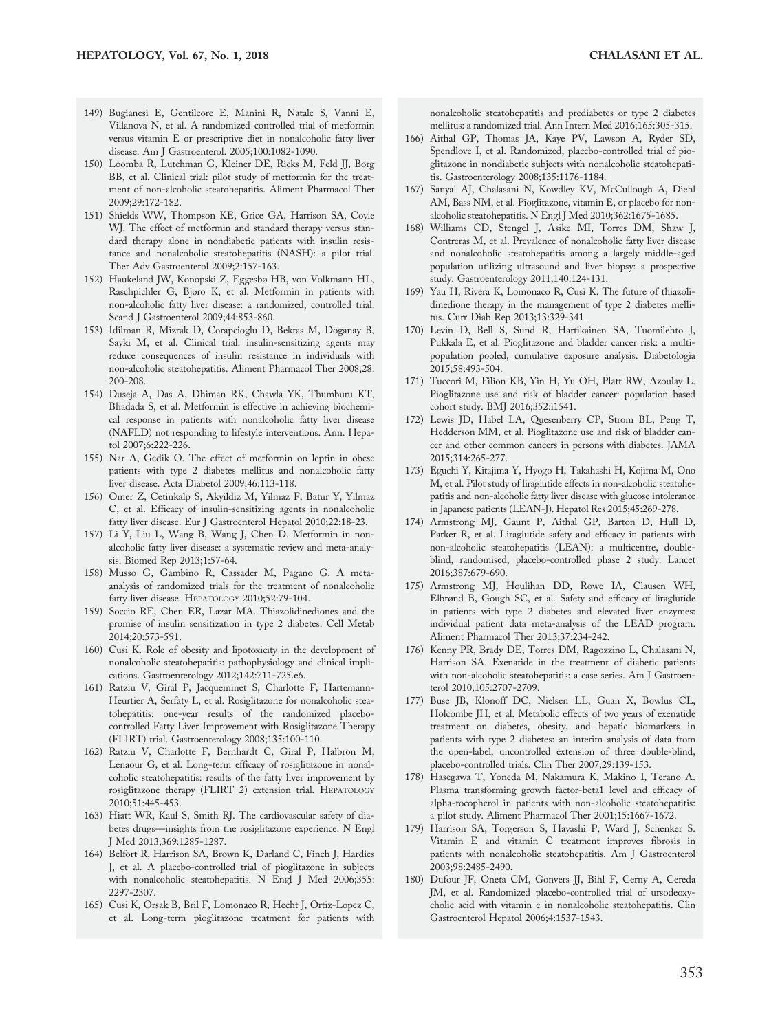- 149) Bugianesi E, Gentilcore E, Manini R, Natale S, Vanni E, Villanova N, et al. A randomized controlled trial of metformin versus vitamin E or prescriptive diet in nonalcoholic fatty liver disease. Am J Gastroenterol. 2005;100:1082-1090.
- 150) Loomba R, Lutchman G, Kleiner DE, Ricks M, Feld JJ, Borg BB, et al. Clinical trial: pilot study of metformin for the treatment of non-alcoholic steatohepatitis. Aliment Pharmacol Ther 2009;29:172-182.
- 151) Shields WW, Thompson KE, Grice GA, Harrison SA, Coyle WJ. The effect of metformin and standard therapy versus standard therapy alone in nondiabetic patients with insulin resistance and nonalcoholic steatohepatitis (NASH): a pilot trial. Ther Adv Gastroenterol 2009;2:157-163.
- 152) Haukeland JW, Konopski Z, Eggesbø HB, von Volkmann HL, Raschpichler G, Bjøro K, et al. Metformin in patients with non-alcoholic fatty liver disease: a randomized, controlled trial. Scand J Gastroenterol 2009;44:853-860.
- 153) Idilman R, Mizrak D, Corapcioglu D, Bektas M, Doganay B, Sayki M, et al. Clinical trial: insulin-sensitizing agents may reduce consequences of insulin resistance in individuals with non-alcoholic steatohepatitis. Aliment Pharmacol Ther 2008;28: 200-208.
- 154) Duseja A, Das A, Dhiman RK, Chawla YK, Thumburu KT, Bhadada S, et al. Metformin is effective in achieving biochemical response in patients with nonalcoholic fatty liver disease (NAFLD) not responding to lifestyle interventions. Ann. Hepatol 2007;6:222-226.
- 155) Nar A, Gedik O. The effect of metformin on leptin in obese patients with type 2 diabetes mellitus and nonalcoholic fatty liver disease. Acta Diabetol 2009;46:113-118.
- 156) Omer Z, Cetinkalp S, Akyildiz M, Yilmaz F, Batur Y, Yilmaz C, et al. Efficacy of insulin-sensitizing agents in nonalcoholic fatty liver disease. Eur J Gastroenterol Hepatol 2010;22:18-23.
- 157) Li Y, Liu L, Wang B, Wang J, Chen D. Metformin in nonalcoholic fatty liver disease: a systematic review and meta-analysis. Biomed Rep 2013;1:57-64.
- 158) Musso G, Gambino R, Cassader M, Pagano G. A metaanalysis of randomized trials for the treatment of nonalcoholic fatty liver disease. HEPATOLOGY 2010;52:79-104.
- 159) Soccio RE, Chen ER, Lazar MA. Thiazolidinediones and the promise of insulin sensitization in type 2 diabetes. Cell Metab 2014;20:573-591.
- 160) Cusi K. Role of obesity and lipotoxicity in the development of nonalcoholic steatohepatitis: pathophysiology and clinical implications. Gastroenterology 2012;142:711-725.e6.
- 161) Ratziu V, Giral P, Jacqueminet S, Charlotte F, Hartemann-Heurtier A, Serfaty L, et al. Rosiglitazone for nonalcoholic steatohepatitis: one-year results of the randomized placebocontrolled Fatty Liver Improvement with Rosiglitazone Therapy (FLIRT) trial. Gastroenterology 2008;135:100-110.
- 162) Ratziu V, Charlotte F, Bernhardt C, Giral P, Halbron M, Lenaour G, et al. Long-term efficacy of rosiglitazone in nonalcoholic steatohepatitis: results of the fatty liver improvement by rosiglitazone therapy (FLIRT 2) extension trial. HEPATOLOGY 2010;51:445-453.
- 163) Hiatt WR, Kaul S, Smith RJ. The cardiovascular safety of diabetes drugs—insights from the rosiglitazone experience. N Engl J Med 2013;369:1285-1287.
- 164) Belfort R, Harrison SA, Brown K, Darland C, Finch J, Hardies J, et al. A placebo-controlled trial of pioglitazone in subjects with nonalcoholic steatohepatitis. N Engl J Med 2006;355: 2297-2307.
- 165) Cusi K, Orsak B, Bril F, Lomonaco R, Hecht J, Ortiz-Lopez C, et al. Long-term pioglitazone treatment for patients with

nonalcoholic steatohepatitis and prediabetes or type 2 diabetes mellitus: a randomized trial. Ann Intern Med 2016;165:305-315.

- 166) Aithal GP, Thomas JA, Kaye PV, Lawson A, Ryder SD, Spendlove I, et al. Randomized, placebo-controlled trial of pioglitazone in nondiabetic subjects with nonalcoholic steatohepatitis. Gastroenterology 2008;135:1176-1184.
- 167) Sanyal AJ, Chalasani N, Kowdley KV, McCullough A, Diehl AM, Bass NM, et al. Pioglitazone, vitamin E, or placebo for nonalcoholic steatohepatitis. N Engl J Med 2010;362:1675-1685.
- 168) Williams CD, Stengel J, Asike MI, Torres DM, Shaw J, Contreras M, et al. Prevalence of nonalcoholic fatty liver disease and nonalcoholic steatohepatitis among a largely middle-aged population utilizing ultrasound and liver biopsy: a prospective study. Gastroenterology 2011;140:124-131.
- 169) Yau H, Rivera K, Lomonaco R, Cusi K. The future of thiazolidinedione therapy in the management of type 2 diabetes mellitus. Curr Diab Rep 2013;13:329-341.
- 170) Levin D, Bell S, Sund R, Hartikainen SA, Tuomilehto J, Pukkala E, et al. Pioglitazone and bladder cancer risk: a multipopulation pooled, cumulative exposure analysis. Diabetologia 2015;58:493-504.
- 171) Tuccori M, Filion KB, Yin H, Yu OH, Platt RW, Azoulay L. Pioglitazone use and risk of bladder cancer: population based cohort study. BMJ 2016;352:i1541.
- 172) Lewis JD, Habel LA, Quesenberry CP, Strom BL, Peng T, Hedderson MM, et al. Pioglitazone use and risk of bladder cancer and other common cancers in persons with diabetes. JAMA 2015;314:265-277.
- 173) Eguchi Y, Kitajima Y, Hyogo H, Takahashi H, Kojima M, Ono M, et al. Pilot study of liraglutide effects in non-alcoholic steatohepatitis and non-alcoholic fatty liver disease with glucose intolerance in Japanese patients (LEAN-J). Hepatol Res 2015;45:269-278.
- 174) Armstrong MJ, Gaunt P, Aithal GP, Barton D, Hull D, Parker R, et al. Liraglutide safety and efficacy in patients with non-alcoholic steatohepatitis (LEAN): a multicentre, doubleblind, randomised, placebo-controlled phase 2 study. Lancet 2016;387:679-690.
- 175) Armstrong MJ, Houlihan DD, Rowe IA, Clausen WH, Elbrønd B, Gough SC, et al. Safety and efficacy of liraglutide in patients with type 2 diabetes and elevated liver enzymes: individual patient data meta-analysis of the LEAD program. Aliment Pharmacol Ther 2013;37:234-242.
- 176) Kenny PR, Brady DE, Torres DM, Ragozzino L, Chalasani N, Harrison SA. Exenatide in the treatment of diabetic patients with non-alcoholic steatohepatitis: a case series. Am J Gastroenterol 2010;105:2707-2709.
- 177) Buse JB, Klonoff DC, Nielsen LL, Guan X, Bowlus CL, Holcombe JH, et al. Metabolic effects of two years of exenatide treatment on diabetes, obesity, and hepatic biomarkers in patients with type 2 diabetes: an interim analysis of data from the open-label, uncontrolled extension of three double-blind, placebo-controlled trials. Clin Ther 2007;29:139-153.
- 178) Hasegawa T, Yoneda M, Nakamura K, Makino I, Terano A. Plasma transforming growth factor-beta1 level and efficacy of alpha-tocopherol in patients with non-alcoholic steatohepatitis: a pilot study. Aliment Pharmacol Ther 2001;15:1667-1672.
- 179) Harrison SA, Torgerson S, Hayashi P, Ward J, Schenker S. Vitamin E and vitamin C treatment improves fibrosis in patients with nonalcoholic steatohepatitis. Am J Gastroenterol 2003;98:2485-2490.
- 180) Dufour JF, Oneta CM, Gonvers JJ, Bihl F, Cerny A, Cereda JM, et al. Randomized placebo-controlled trial of ursodeoxycholic acid with vitamin e in nonalcoholic steatohepatitis. Clin Gastroenterol Hepatol 2006;4:1537-1543.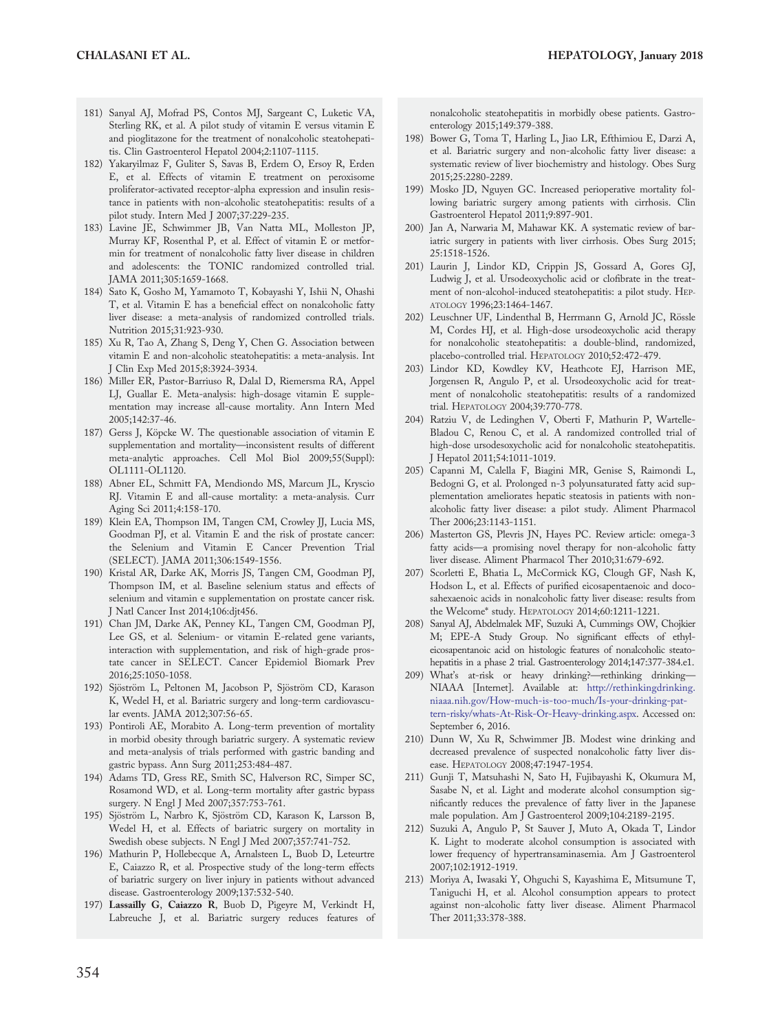- 181) Sanyal AJ, Mofrad PS, Contos MJ, Sargeant C, Luketic VA, Sterling RK, et al. A pilot study of vitamin E versus vitamin E and pioglitazone for the treatment of nonalcoholic steatohepatitis. Clin Gastroenterol Hepatol 2004;2:1107-1115.
- 182) Yakaryilmaz F, Guliter S, Savas B, Erdem O, Ersoy R, Erden E, et al. Effects of vitamin E treatment on peroxisome proliferator-activated receptor-alpha expression and insulin resistance in patients with non-alcoholic steatohepatitis: results of a pilot study. Intern Med J 2007;37:229-235.
- 183) Lavine JE, Schwimmer JB, Van Natta ML, Molleston JP, Murray KF, Rosenthal P, et al. Effect of vitamin E or metformin for treatment of nonalcoholic fatty liver disease in children and adolescents: the TONIC randomized controlled trial. JAMA 2011;305:1659-1668.
- 184) Sato K, Gosho M, Yamamoto T, Kobayashi Y, Ishii N, Ohashi T, et al. Vitamin E has a beneficial effect on nonalcoholic fatty liver disease: a meta-analysis of randomized controlled trials. Nutrition 2015;31:923-930.
- 185) Xu R, Tao A, Zhang S, Deng Y, Chen G. Association between vitamin E and non-alcoholic steatohepatitis: a meta-analysis. Int J Clin Exp Med 2015;8:3924-3934.
- 186) Miller ER, Pastor-Barriuso R, Dalal D, Riemersma RA, Appel LJ, Guallar E. Meta-analysis: high-dosage vitamin E supplementation may increase all-cause mortality. Ann Intern Med 2005;142:37-46.
- 187) Gerss J, Köpcke W. The questionable association of vitamin E supplementation and mortality—inconsistent results of different meta-analytic approaches. Cell Mol Biol 2009;55(Suppl): OL1111-OL1120.
- 188) Abner EL, Schmitt FA, Mendiondo MS, Marcum JL, Kryscio RJ. Vitamin E and all-cause mortality: a meta-analysis. Curr Aging Sci 2011;4:158-170.
- 189) Klein EA, Thompson IM, Tangen CM, Crowley JJ, Lucia MS, Goodman PJ, et al. Vitamin E and the risk of prostate cancer: the Selenium and Vitamin E Cancer Prevention Trial (SELECT). JAMA 2011;306:1549-1556.
- 190) Kristal AR, Darke AK, Morris JS, Tangen CM, Goodman PJ, Thompson IM, et al. Baseline selenium status and effects of selenium and vitamin e supplementation on prostate cancer risk. J Natl Cancer Inst 2014;106:djt456.
- 191) Chan JM, Darke AK, Penney KL, Tangen CM, Goodman PJ, Lee GS, et al. Selenium- or vitamin E-related gene variants, interaction with supplementation, and risk of high-grade prostate cancer in SELECT. Cancer Epidemiol Biomark Prev 2016;25:1050-1058.
- 192) Sjöström L, Peltonen M, Jacobson P, Sjöström CD, Karason K, Wedel H, et al. Bariatric surgery and long-term cardiovascular events. JAMA 2012;307:56-65.
- 193) Pontiroli AE, Morabito A. Long-term prevention of mortality in morbid obesity through bariatric surgery. A systematic review and meta-analysis of trials performed with gastric banding and gastric bypass. Ann Surg 2011;253:484-487.
- 194) Adams TD, Gress RE, Smith SC, Halverson RC, Simper SC, Rosamond WD, et al. Long-term mortality after gastric bypass surgery. N Engl J Med 2007;357:753-761.
- 195) Sjöström L, Narbro K, Sjöström CD, Karason K, Larsson B, Wedel H, et al. Effects of bariatric surgery on mortality in Swedish obese subjects. N Engl J Med 2007;357:741-752.
- 196) Mathurin P, Hollebecque A, Arnalsteen L, Buob D, Leteurtre E, Caiazzo R, et al. Prospective study of the long-term effects of bariatric surgery on liver injury in patients without advanced disease. Gastroenterology 2009;137:532-540.
- 197) Lassailly G, Caiazzo R, Buob D, Pigeyre M, Verkindt H, Labreuche J, et al. Bariatric surgery reduces features of

nonalcoholic steatohepatitis in morbidly obese patients. Gastroenterology 2015;149:379-388.

- 198) Bower G, Toma T, Harling L, Jiao LR, Efthimiou E, Darzi A, et al. Bariatric surgery and non-alcoholic fatty liver disease: a systematic review of liver biochemistry and histology. Obes Surg 2015;25:2280-2289.
- 199) Mosko JD, Nguyen GC. Increased perioperative mortality following bariatric surgery among patients with cirrhosis. Clin Gastroenterol Hepatol 2011;9:897-901.
- 200) Jan A, Narwaria M, Mahawar KK. A systematic review of bariatric surgery in patients with liver cirrhosis. Obes Surg 2015; 25:1518-1526.
- 201) Laurin J, Lindor KD, Crippin JS, Gossard A, Gores GJ, Ludwig J, et al. Ursodeoxycholic acid or clofibrate in the treatment of non-alcohol-induced steatohepatitis: a pilot study. HEP-ATOLOGY 1996;23:1464-1467.
- 202) Leuschner UF, Lindenthal B, Herrmann G, Arnold JC, Rössle M, Cordes HJ, et al. High-dose ursodeoxycholic acid therapy for nonalcoholic steatohepatitis: a double-blind, randomized, placebo-controlled trial. HEPATOLOGY 2010;52:472-479.
- 203) Lindor KD, Kowdley KV, Heathcote EJ, Harrison ME, Jorgensen R, Angulo P, et al. Ursodeoxycholic acid for treatment of nonalcoholic steatohepatitis: results of a randomized trial. HEPATOLOGY 2004;39:770-778.
- 204) Ratziu V, de Ledinghen V, Oberti F, Mathurin P, Wartelle-Bladou C, Renou C, et al. A randomized controlled trial of high-dose ursodesoxycholic acid for nonalcoholic steatohepatitis. J Hepatol 2011;54:1011-1019.
- 205) Capanni M, Calella F, Biagini MR, Genise S, Raimondi L, Bedogni G, et al. Prolonged n-3 polyunsaturated fatty acid supplementation ameliorates hepatic steatosis in patients with nonalcoholic fatty liver disease: a pilot study. Aliment Pharmacol Ther 2006;23:1143-1151.
- 206) Masterton GS, Plevris JN, Hayes PC. Review article: omega-3 fatty acids—a promising novel therapy for non-alcoholic fatty liver disease. Aliment Pharmacol Ther 2010;31:679-692.
- 207) Scorletti E, Bhatia L, McCormick KG, Clough GF, Nash K, Hodson L, et al. Effects of purified eicosapentaenoic and docosahexaenoic acids in nonalcoholic fatty liver disease: results from the Welcome\* study. HEPATOLOGY 2014;60:1211-1221.
- 208) Sanyal AJ, Abdelmalek MF, Suzuki A, Cummings OW, Chojkier M; EPE-A Study Group. No significant effects of ethyleicosapentanoic acid on histologic features of nonalcoholic steatohepatitis in a phase 2 trial. Gastroenterology 2014;147:377-384.e1.
- 209) What's at-risk or heavy drinking?—rethinking drinking NIAAA [Internet]. Available at: [http://rethinkingdrinking.](http://rethinkingdrinking.niaaa.nih.gov/How-much-is-too-much/Is-your-drinking-pattern-risky/whats-At-Risk-Or-Heavy-drinking.aspx) [niaaa.nih.gov/How-much-is-too-much/Is-your-drinking-pat](http://rethinkingdrinking.niaaa.nih.gov/How-much-is-too-much/Is-your-drinking-pattern-risky/whats-At-Risk-Or-Heavy-drinking.aspx)[tern-risky/whats-At-Risk-Or-Heavy-drinking.aspx.](http://rethinkingdrinking.niaaa.nih.gov/How-much-is-too-much/Is-your-drinking-pattern-risky/whats-At-Risk-Or-Heavy-drinking.aspx) Accessed on: September 6, 2016.
- 210) Dunn W, Xu R, Schwimmer JB. Modest wine drinking and decreased prevalence of suspected nonalcoholic fatty liver disease. HEPATOLOGY 2008;47:1947-1954.
- 211) Gunji T, Matsuhashi N, Sato H, Fujibayashi K, Okumura M, Sasabe N, et al. Light and moderate alcohol consumption significantly reduces the prevalence of fatty liver in the Japanese male population. Am J Gastroenterol 2009;104:2189-2195.
- 212) Suzuki A, Angulo P, St Sauver J, Muto A, Okada T, Lindor K. Light to moderate alcohol consumption is associated with lower frequency of hypertransaminasemia. Am J Gastroenterol 2007;102:1912-1919.
- 213) Moriya A, Iwasaki Y, Ohguchi S, Kayashima E, Mitsumune T, Taniguchi H, et al. Alcohol consumption appears to protect against non-alcoholic fatty liver disease. Aliment Pharmacol Ther 2011;33:378-388.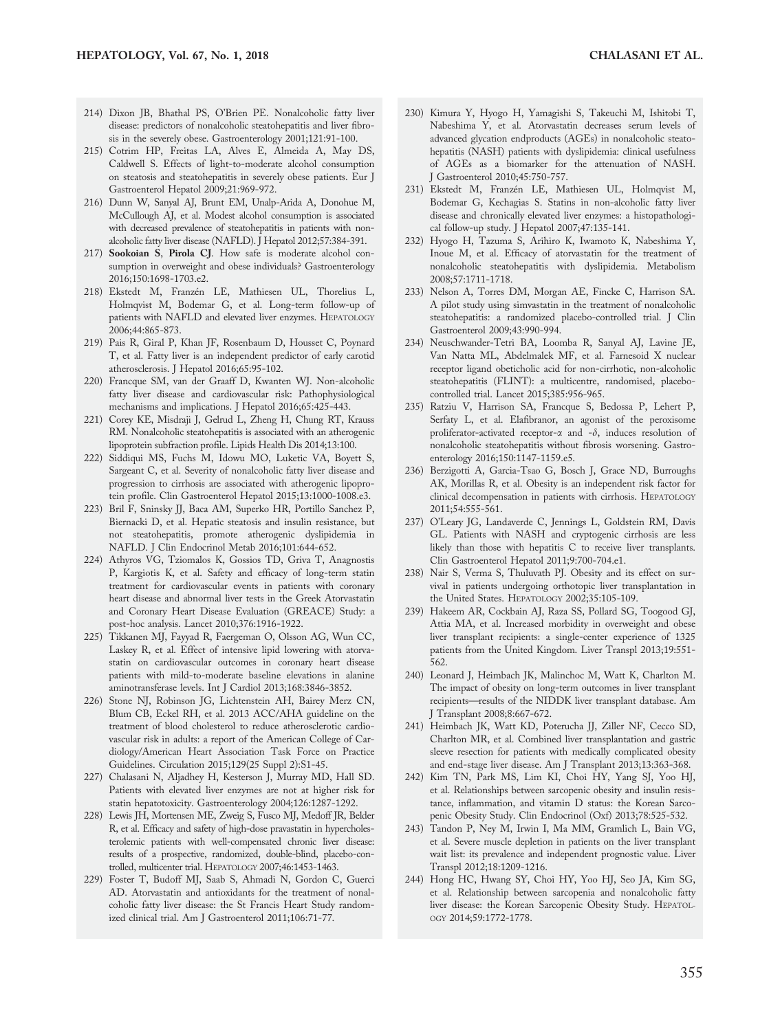- 214) Dixon JB, Bhathal PS, O'Brien PE. Nonalcoholic fatty liver disease: predictors of nonalcoholic steatohepatitis and liver fibrosis in the severely obese. Gastroenterology 2001;121:91-100.
- 215) Cotrim HP, Freitas LA, Alves E, Almeida A, May DS, Caldwell S. Effects of light-to-moderate alcohol consumption on steatosis and steatohepatitis in severely obese patients. Eur J Gastroenterol Hepatol 2009;21:969-972.
- 216) Dunn W, Sanyal AJ, Brunt EM, Unalp-Arida A, Donohue M, McCullough AJ, et al. Modest alcohol consumption is associated with decreased prevalence of steatohepatitis in patients with nonalcoholic fatty liver disease (NAFLD). J Hepatol 2012;57:384-391.
- 217) Sookoian S, Pirola CJ. How safe is moderate alcohol consumption in overweight and obese individuals? Gastroenterology 2016;150:1698-1703.e2.
- 218) Ekstedt M, Franzén LE, Mathiesen UL, Thorelius L, Holmqvist M, Bodemar G, et al. Long-term follow-up of patients with NAFLD and elevated liver enzymes. HEPATOLOGY 2006;44:865-873.
- 219) Pais R, Giral P, Khan JF, Rosenbaum D, Housset C, Poynard T, et al. Fatty liver is an independent predictor of early carotid atherosclerosis. J Hepatol 2016;65:95-102.
- 220) Francque SM, van der Graaff D, Kwanten WJ. Non-alcoholic fatty liver disease and cardiovascular risk: Pathophysiological mechanisms and implications. J Hepatol 2016;65:425-443.
- 221) Corey KE, Misdraji J, Gelrud L, Zheng H, Chung RT, Krauss RM. Nonalcoholic steatohepatitis is associated with an atherogenic lipoprotein subfraction profile. Lipids Health Dis 2014;13:100.
- 222) Siddiqui MS, Fuchs M, Idowu MO, Luketic VA, Boyett S, Sargeant C, et al. Severity of nonalcoholic fatty liver disease and progression to cirrhosis are associated with atherogenic lipoprotein profile. Clin Gastroenterol Hepatol 2015;13:1000-1008.e3.
- 223) Bril F, Sninsky JJ, Baca AM, Superko HR, Portillo Sanchez P, Biernacki D, et al. Hepatic steatosis and insulin resistance, but not steatohepatitis, promote atherogenic dyslipidemia in NAFLD. J Clin Endocrinol Metab 2016;101:644-652.
- 224) Athyros VG, Tziomalos K, Gossios TD, Griva T, Anagnostis P, Kargiotis K, et al. Safety and efficacy of long-term statin treatment for cardiovascular events in patients with coronary heart disease and abnormal liver tests in the Greek Atorvastatin and Coronary Heart Disease Evaluation (GREACE) Study: a post-hoc analysis. Lancet 2010;376:1916-1922.
- 225) Tikkanen MJ, Fayyad R, Faergeman O, Olsson AG, Wun CC, Laskey R, et al. Effect of intensive lipid lowering with atorvastatin on cardiovascular outcomes in coronary heart disease patients with mild-to-moderate baseline elevations in alanine aminotransferase levels. Int J Cardiol 2013;168:3846-3852.
- 226) Stone NJ, Robinson JG, Lichtenstein AH, Bairey Merz CN, Blum CB, Eckel RH, et al. 2013 ACC/AHA guideline on the treatment of blood cholesterol to reduce atherosclerotic cardiovascular risk in adults: a report of the American College of Cardiology/American Heart Association Task Force on Practice Guidelines. Circulation 2015;129(25 Suppl 2):S1-45.
- 227) Chalasani N, Aljadhey H, Kesterson J, Murray MD, Hall SD. Patients with elevated liver enzymes are not at higher risk for statin hepatotoxicity. Gastroenterology 2004;126:1287-1292.
- 228) Lewis JH, Mortensen ME, Zweig S, Fusco MJ, Medoff JR, Belder R, et al. Efficacy and safety of high-dose pravastatin in hypercholesterolemic patients with well-compensated chronic liver disease: results of a prospective, randomized, double-blind, placebo-controlled, multicenter trial. HEPATOLOGY 2007;46:1453-1463.
- 229) Foster T, Budoff MJ, Saab S, Ahmadi N, Gordon C, Guerci AD. Atorvastatin and antioxidants for the treatment of nonalcoholic fatty liver disease: the St Francis Heart Study randomized clinical trial. Am J Gastroenterol 2011;106:71-77.
- 230) Kimura Y, Hyogo H, Yamagishi S, Takeuchi M, Ishitobi T, Nabeshima Y, et al. Atorvastatin decreases serum levels of advanced glycation endproducts (AGEs) in nonalcoholic steatohepatitis (NASH) patients with dyslipidemia: clinical usefulness of AGEs as a biomarker for the attenuation of NASH. J Gastroenterol 2010;45:750-757.
- 231) Ekstedt M, Franzén LE, Mathiesen UL, Holmqvist M, Bodemar G, Kechagias S. Statins in non-alcoholic fatty liver disease and chronically elevated liver enzymes: a histopathological follow-up study. J Hepatol 2007;47:135-141.
- 232) Hyogo H, Tazuma S, Arihiro K, Iwamoto K, Nabeshima Y, Inoue M, et al. Efficacy of atorvastatin for the treatment of nonalcoholic steatohepatitis with dyslipidemia. Metabolism 2008;57:1711-1718.
- 233) Nelson A, Torres DM, Morgan AE, Fincke C, Harrison SA. A pilot study using simvastatin in the treatment of nonalcoholic steatohepatitis: a randomized placebo-controlled trial. J Clin Gastroenterol 2009;43:990-994.
- 234) Neuschwander-Tetri BA, Loomba R, Sanyal AJ, Lavine JE, Van Natta ML, Abdelmalek MF, et al. Farnesoid X nuclear receptor ligand obeticholic acid for non-cirrhotic, non-alcoholic steatohepatitis (FLINT): a multicentre, randomised, placebocontrolled trial. Lancet 2015;385:956-965.
- 235) Ratziu V, Harrison SA, Francque S, Bedossa P, Lehert P, Serfaty L, et al. Elafibranor, an agonist of the peroxisome proliferator-activated receptor- $\alpha$  and - $\delta$ , induces resolution of nonalcoholic steatohepatitis without fibrosis worsening. Gastroenterology 2016;150:1147-1159.e5.
- 236) Berzigotti A, Garcia-Tsao G, Bosch J, Grace ND, Burroughs AK, Morillas R, et al. Obesity is an independent risk factor for clinical decompensation in patients with cirrhosis. HEPATOLOGY 2011;54:555-561.
- 237) O'Leary JG, Landaverde C, Jennings L, Goldstein RM, Davis GL. Patients with NASH and cryptogenic cirrhosis are less likely than those with hepatitis C to receive liver transplants. Clin Gastroenterol Hepatol 2011;9:700-704.e1.
- 238) Nair S, Verma S, Thuluvath PJ. Obesity and its effect on survival in patients undergoing orthotopic liver transplantation in the United States. HEPATOLOGY 2002;35:105-109.
- 239) Hakeem AR, Cockbain AJ, Raza SS, Pollard SG, Toogood GJ, Attia MA, et al. Increased morbidity in overweight and obese liver transplant recipients: a single-center experience of 1325 patients from the United Kingdom. Liver Transpl 2013;19:551- 562.
- 240) Leonard J, Heimbach JK, Malinchoc M, Watt K, Charlton M. The impact of obesity on long-term outcomes in liver transplant recipients—results of the NIDDK liver transplant database. Am J Transplant 2008;8:667-672.
- 241) Heimbach JK, Watt KD, Poterucha JJ, Ziller NF, Cecco SD, Charlton MR, et al. Combined liver transplantation and gastric sleeve resection for patients with medically complicated obesity and end-stage liver disease. Am J Transplant 2013;13:363-368.
- 242) Kim TN, Park MS, Lim KI, Choi HY, Yang SJ, Yoo HJ, et al. Relationships between sarcopenic obesity and insulin resistance, inflammation, and vitamin D status: the Korean Sarcopenic Obesity Study. Clin Endocrinol (Oxf) 2013;78:525-532.
- 243) Tandon P, Ney M, Irwin I, Ma MM, Gramlich L, Bain VG, et al. Severe muscle depletion in patients on the liver transplant wait list: its prevalence and independent prognostic value. Liver Transpl 2012;18:1209-1216.
- 244) Hong HC, Hwang SY, Choi HY, Yoo HJ, Seo JA, Kim SG, et al. Relationship between sarcopenia and nonalcoholic fatty liver disease: the Korean Sarcopenic Obesity Study. HEPATOL-OGY 2014;59:1772-1778.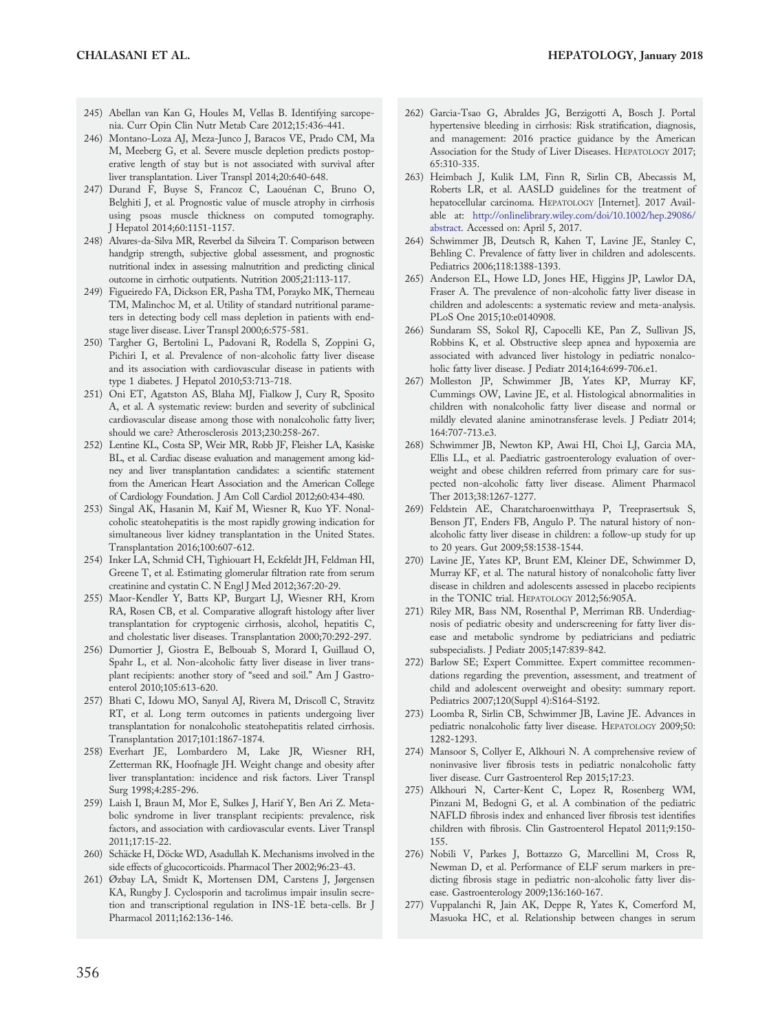- 245) Abellan van Kan G, Houles M, Vellas B. Identifying sarcopenia. Curr Opin Clin Nutr Metab Care 2012;15:436-441.
- 246) Montano-Loza AJ, Meza-Junco J, Baracos VE, Prado CM, Ma M, Meeberg G, et al. Severe muscle depletion predicts postoperative length of stay but is not associated with survival after liver transplantation. Liver Transpl 2014;20:640-648.
- 247) Durand F, Buyse S, Francoz C, Laouénan C, Bruno O, Belghiti J, et al. Prognostic value of muscle atrophy in cirrhosis using psoas muscle thickness on computed tomography. J Hepatol 2014;60:1151-1157.
- 248) Alvares-da-Silva MR, Reverbel da Silveira T. Comparison between handgrip strength, subjective global assessment, and prognostic nutritional index in assessing malnutrition and predicting clinical outcome in cirrhotic outpatients. Nutrition 2005;21:113-117.
- 249) Figueiredo FA, Dickson ER, Pasha TM, Porayko MK, Therneau TM, Malinchoc M, et al. Utility of standard nutritional parameters in detecting body cell mass depletion in patients with endstage liver disease. Liver Transpl 2000;6:575-581.
- 250) Targher G, Bertolini L, Padovani R, Rodella S, Zoppini G, Pichiri I, et al. Prevalence of non-alcoholic fatty liver disease and its association with cardiovascular disease in patients with type 1 diabetes. J Hepatol 2010;53:713-718.
- 251) Oni ET, Agatston AS, Blaha MJ, Fialkow J, Cury R, Sposito A, et al. A systematic review: burden and severity of subclinical cardiovascular disease among those with nonalcoholic fatty liver; should we care? Atherosclerosis 2013;230:258-267.
- 252) Lentine KL, Costa SP, Weir MR, Robb JF, Fleisher LA, Kasiske BL, et al. Cardiac disease evaluation and management among kidney and liver transplantation candidates: a scientific statement from the American Heart Association and the American College of Cardiology Foundation. J Am Coll Cardiol 2012;60:434-480.
- 253) Singal AK, Hasanin M, Kaif M, Wiesner R, Kuo YF. Nonalcoholic steatohepatitis is the most rapidly growing indication for simultaneous liver kidney transplantation in the United States. Transplantation 2016;100:607-612.
- 254) Inker LA, Schmid CH, Tighiouart H, Eckfeldt JH, Feldman HI, Greene T, et al. Estimating glomerular filtration rate from serum creatinine and cystatin C. N Engl J Med 2012;367:20-29.
- 255) Maor-Kendler Y, Batts KP, Burgart LJ, Wiesner RH, Krom RA, Rosen CB, et al. Comparative allograft histology after liver transplantation for cryptogenic cirrhosis, alcohol, hepatitis C, and cholestatic liver diseases. Transplantation 2000;70:292-297.
- 256) Dumortier J, Giostra E, Belbouab S, Morard I, Guillaud O, Spahr L, et al. Non-alcoholic fatty liver disease in liver transplant recipients: another story of "seed and soil." Am J Gastroenterol 2010;105:613-620.
- 257) Bhati C, Idowu MO, Sanyal AJ, Rivera M, Driscoll C, Stravitz RT, et al. Long term outcomes in patients undergoing liver transplantation for nonalcoholic steatohepatitis related cirrhosis. Transplantation 2017;101:1867-1874.
- 258) Everhart JE, Lombardero M, Lake JR, Wiesner RH, Zetterman RK, Hoofnagle JH. Weight change and obesity after liver transplantation: incidence and risk factors. Liver Transpl Surg 1998;4:285-296.
- 259) Laish I, Braun M, Mor E, Sulkes J, Harif Y, Ben Ari Z. Metabolic syndrome in liver transplant recipients: prevalence, risk factors, and association with cardiovascular events. Liver Transpl 2011;17:15-22.
- 260) Schäcke H, Döcke WD, Asadullah K. Mechanisms involved in the side effects of glucocorticoids. Pharmacol Ther 2002;96:23-43.
- 261) Øzbay LA, Smidt K, Mortensen DM, Carstens J, Jørgensen KA, Rungby J. Cyclosporin and tacrolimus impair insulin secretion and transcriptional regulation in INS-1E beta-cells. Br J Pharmacol 2011;162:136-146.
- 262) Garcia-Tsao G, Abraldes JG, Berzigotti A, Bosch J. Portal hypertensive bleeding in cirrhosis: Risk stratification, diagnosis, and management: 2016 practice guidance by the American Association for the Study of Liver Diseases. HEPATOLOGY 2017; 65:310-335.
- 263) Heimbach J, Kulik LM, Finn R, Sirlin CB, Abecassis M, Roberts LR, et al. AASLD guidelines for the treatment of hepatocellular carcinoma. HEPATOLOGY [Internet]. 2017 Available at: [http://onlinelibrary.wiley.com/doi/10.1002/hep.29086/](http://onlinelibrary.wiley.com/doi/10.1002/hep.29086/abstract) [abstract.](http://onlinelibrary.wiley.com/doi/10.1002/hep.29086/abstract) Accessed on: April 5, 2017.
- 264) Schwimmer JB, Deutsch R, Kahen T, Lavine JE, Stanley C, Behling C. Prevalence of fatty liver in children and adolescents. Pediatrics 2006;118:1388-1393.
- 265) Anderson EL, Howe LD, Jones HE, Higgins JP, Lawlor DA, Fraser A. The prevalence of non-alcoholic fatty liver disease in children and adolescents: a systematic review and meta-analysis. PLoS One 2015;10:e0140908.
- 266) Sundaram SS, Sokol RJ, Capocelli KE, Pan Z, Sullivan JS, Robbins K, et al. Obstructive sleep apnea and hypoxemia are associated with advanced liver histology in pediatric nonalcoholic fatty liver disease. J Pediatr 2014;164:699-706.e1.
- 267) Molleston JP, Schwimmer JB, Yates KP, Murray KF, Cummings OW, Lavine JE, et al. Histological abnormalities in children with nonalcoholic fatty liver disease and normal or mildly elevated alanine aminotransferase levels. J Pediatr 2014; 164:707-713.e3.
- 268) Schwimmer JB, Newton KP, Awai HI, Choi LJ, Garcia MA, Ellis LL, et al. Paediatric gastroenterology evaluation of overweight and obese children referred from primary care for suspected non-alcoholic fatty liver disease. Aliment Pharmacol Ther 2013;38:1267-1277.
- 269) Feldstein AE, Charatcharoenwitthaya P, Treeprasertsuk S, Benson JT, Enders FB, Angulo P. The natural history of nonalcoholic fatty liver disease in children: a follow-up study for up to 20 years. Gut 2009;58:1538-1544.
- 270) Lavine JE, Yates KP, Brunt EM, Kleiner DE, Schwimmer D, Murray KF, et al. The natural history of nonalcoholic fatty liver disease in children and adolescents assessed in placebo recipients in the TONIC trial. HEPATOLOGY 2012;56:905A.
- 271) Riley MR, Bass NM, Rosenthal P, Merriman RB. Underdiagnosis of pediatric obesity and underscreening for fatty liver disease and metabolic syndrome by pediatricians and pediatric subspecialists. J Pediatr 2005;147:839-842.
- 272) Barlow SE; Expert Committee. Expert committee recommendations regarding the prevention, assessment, and treatment of child and adolescent overweight and obesity: summary report. Pediatrics 2007;120(Suppl 4):S164-S192.
- 273) Loomba R, Sirlin CB, Schwimmer JB, Lavine JE. Advances in pediatric nonalcoholic fatty liver disease. HEPATOLOGY 2009;50: 1282-1293.
- 274) Mansoor S, Collyer E, Alkhouri N. A comprehensive review of noninvasive liver fibrosis tests in pediatric nonalcoholic fatty liver disease. Curr Gastroenterol Rep 2015;17:23.
- 275) Alkhouri N, Carter-Kent C, Lopez R, Rosenberg WM, Pinzani M, Bedogni G, et al. A combination of the pediatric NAFLD fibrosis index and enhanced liver fibrosis test identifies children with fibrosis. Clin Gastroenterol Hepatol 2011;9:150- 155.
- 276) Nobili V, Parkes J, Bottazzo G, Marcellini M, Cross R, Newman D, et al. Performance of ELF serum markers in predicting fibrosis stage in pediatric non-alcoholic fatty liver disease. Gastroenterology 2009;136:160-167.
- 277) Vuppalanchi R, Jain AK, Deppe R, Yates K, Comerford M, Masuoka HC, et al. Relationship between changes in serum